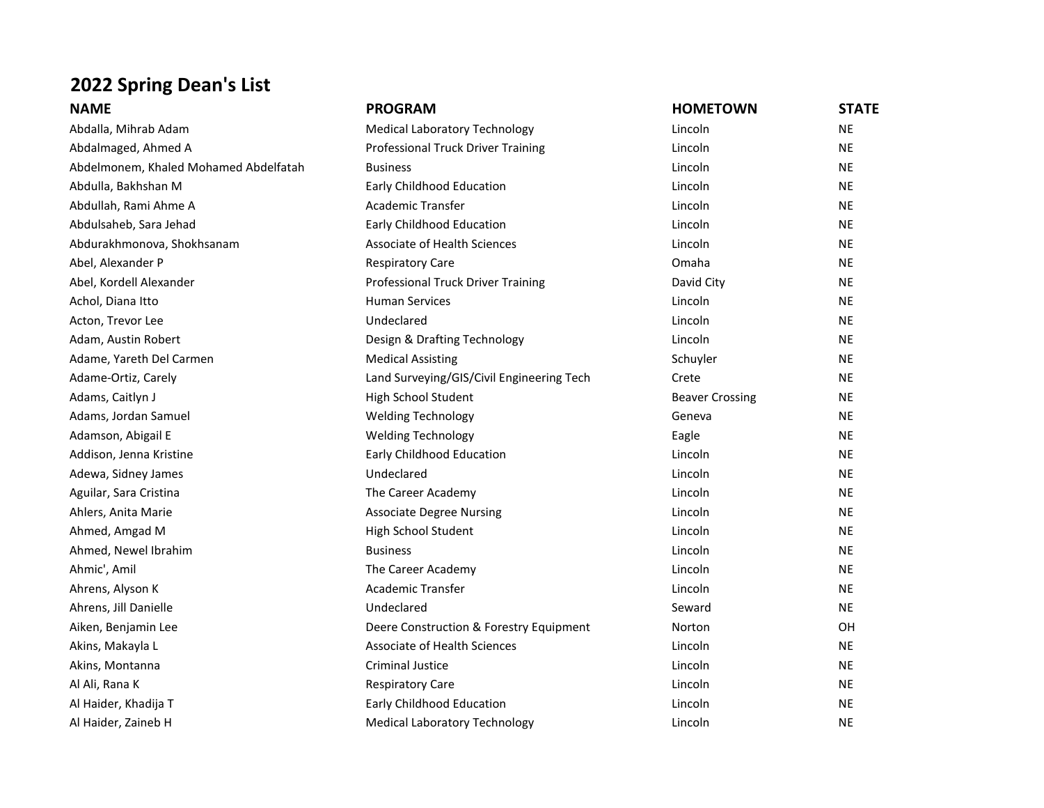## **2022 Spring Dean's List**

| <b>NAME</b>                           | <b>PROGRAM</b>                            | <b>HOMETOWN</b>        | <b>STATE</b> |
|---------------------------------------|-------------------------------------------|------------------------|--------------|
| Abdalla, Mihrab Adam                  | <b>Medical Laboratory Technology</b>      | Lincoln                | <b>NE</b>    |
| Abdalmaged, Ahmed A                   | Professional Truck Driver Training        | Lincoln                | <b>NE</b>    |
| Abdelmonem, Khaled Mohamed Abdelfatah | <b>Business</b>                           | Lincoln                | <b>NE</b>    |
| Abdulla, Bakhshan M                   | Early Childhood Education                 | Lincoln                | <b>NE</b>    |
| Abdullah, Rami Ahme A                 | Academic Transfer                         | Lincoln                | <b>NE</b>    |
| Abdulsaheb, Sara Jehad                | Early Childhood Education                 | Lincoln                | <b>NE</b>    |
| Abdurakhmonova, Shokhsanam            | Associate of Health Sciences              | Lincoln                | <b>NE</b>    |
| Abel, Alexander P                     | <b>Respiratory Care</b>                   | Omaha                  | <b>NE</b>    |
| Abel, Kordell Alexander               | Professional Truck Driver Training        | David City             | <b>NE</b>    |
| Achol, Diana Itto                     | <b>Human Services</b>                     | Lincoln                | <b>NE</b>    |
| Acton, Trevor Lee                     | Undeclared                                | Lincoln                | <b>NE</b>    |
| Adam, Austin Robert                   | Design & Drafting Technology              | Lincoln                | <b>NE</b>    |
| Adame, Yareth Del Carmen              | <b>Medical Assisting</b>                  | Schuyler               | <b>NE</b>    |
| Adame-Ortiz, Carely                   | Land Surveying/GIS/Civil Engineering Tech | Crete                  | <b>NE</b>    |
| Adams, Caitlyn J                      | High School Student                       | <b>Beaver Crossing</b> | <b>NE</b>    |
| Adams, Jordan Samuel                  | <b>Welding Technology</b>                 | Geneva                 | <b>NE</b>    |
| Adamson, Abigail E                    | <b>Welding Technology</b>                 | Eagle                  | <b>NE</b>    |
| Addison, Jenna Kristine               | Early Childhood Education                 | Lincoln                | <b>NE</b>    |
| Adewa, Sidney James                   | Undeclared                                | Lincoln                | <b>NE</b>    |
| Aguilar, Sara Cristina                | The Career Academy                        | Lincoln                | <b>NE</b>    |
| Ahlers, Anita Marie                   | <b>Associate Degree Nursing</b>           | Lincoln                | <b>NE</b>    |
| Ahmed, Amgad M                        | High School Student                       | Lincoln                | <b>NE</b>    |
| Ahmed, Newel Ibrahim                  | <b>Business</b>                           | Lincoln                | <b>NE</b>    |
| Ahmic', Amil                          | The Career Academy                        | Lincoln                | <b>NE</b>    |
| Ahrens, Alyson K                      | <b>Academic Transfer</b>                  | Lincoln                | <b>NE</b>    |
| Ahrens, Jill Danielle                 | Undeclared                                | Seward                 | <b>NE</b>    |
| Aiken, Benjamin Lee                   | Deere Construction & Forestry Equipment   | Norton                 | OH           |
| Akins, Makayla L                      | Associate of Health Sciences              | Lincoln                | <b>NE</b>    |
| Akins, Montanna                       | <b>Criminal Justice</b>                   | Lincoln                | <b>NE</b>    |
| Al Ali, Rana K                        | <b>Respiratory Care</b>                   | Lincoln                | <b>NE</b>    |
| Al Haider, Khadija T                  | Early Childhood Education                 | Lincoln                | <b>NE</b>    |
| Al Haider, Zaineb H                   | <b>Medical Laboratory Technology</b>      | Lincoln                | <b>NE</b>    |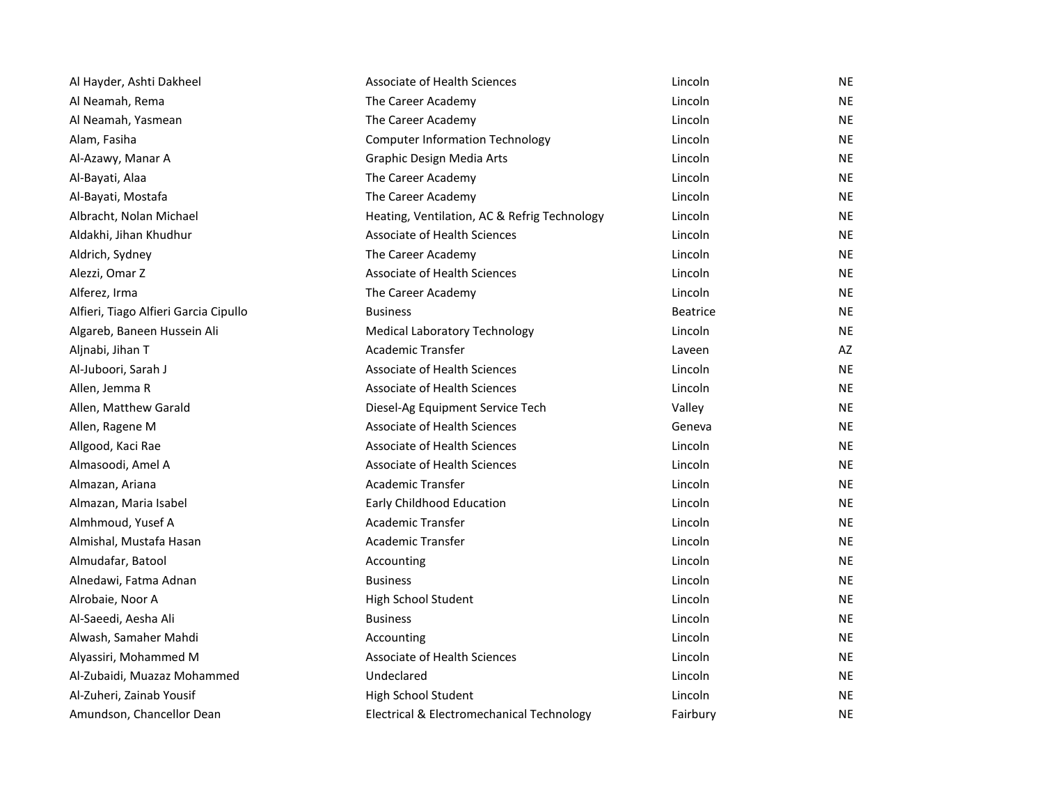| Al Hayder, Ashti Dakheel              | <b>Associate of Health Sciences</b>          | Lincoln         | <b>NE</b> |
|---------------------------------------|----------------------------------------------|-----------------|-----------|
| Al Neamah, Rema                       | The Career Academy                           | Lincoln         | <b>NE</b> |
| Al Neamah, Yasmean                    | The Career Academy                           | Lincoln         | <b>NE</b> |
| Alam, Fasiha                          | <b>Computer Information Technology</b>       | Lincoln         | <b>NE</b> |
| Al-Azawy, Manar A                     | Graphic Design Media Arts                    | Lincoln         | <b>NE</b> |
| Al-Bayati, Alaa                       | The Career Academy                           | Lincoln         | <b>NE</b> |
| Al-Bayati, Mostafa                    | The Career Academy                           | Lincoln         | <b>NE</b> |
| Albracht, Nolan Michael               | Heating, Ventilation, AC & Refrig Technology | Lincoln         | <b>NE</b> |
| Aldakhi, Jihan Khudhur                | <b>Associate of Health Sciences</b>          | Lincoln         | <b>NE</b> |
| Aldrich, Sydney                       | The Career Academy                           | Lincoln         | <b>NE</b> |
| Alezzi, Omar Z                        | <b>Associate of Health Sciences</b>          | Lincoln         | <b>NE</b> |
| Alferez, Irma                         | The Career Academy                           | Lincoln         | <b>NE</b> |
| Alfieri, Tiago Alfieri Garcia Cipullo | <b>Business</b>                              | <b>Beatrice</b> | <b>NE</b> |
| Algareb, Baneen Hussein Ali           | <b>Medical Laboratory Technology</b>         | Lincoln         | <b>NE</b> |
| Aljnabi, Jihan T                      | <b>Academic Transfer</b>                     | Laveen          | AZ        |
| Al-Juboori, Sarah J                   | <b>Associate of Health Sciences</b>          | Lincoln         | <b>NE</b> |
| Allen, Jemma R                        | <b>Associate of Health Sciences</b>          | Lincoln         | <b>NE</b> |
| Allen, Matthew Garald                 | Diesel-Ag Equipment Service Tech             | Valley          | <b>NE</b> |
| Allen, Ragene M                       | <b>Associate of Health Sciences</b>          | Geneva          | <b>NE</b> |
| Allgood, Kaci Rae                     | <b>Associate of Health Sciences</b>          | Lincoln         | <b>NE</b> |
| Almasoodi, Amel A                     | Associate of Health Sciences                 | Lincoln         | <b>NE</b> |
| Almazan, Ariana                       | Academic Transfer                            | Lincoln         | <b>NE</b> |
| Almazan, Maria Isabel                 | Early Childhood Education                    | Lincoln         | <b>NE</b> |
| Almhmoud, Yusef A                     | <b>Academic Transfer</b>                     | Lincoln         | <b>NE</b> |
| Almishal, Mustafa Hasan               | Academic Transfer                            | Lincoln         | <b>NE</b> |
| Almudafar, Batool                     | Accounting                                   | Lincoln         | <b>NE</b> |
| Alnedawi, Fatma Adnan                 | <b>Business</b>                              | Lincoln         | <b>NE</b> |
| Alrobaie, Noor A                      | High School Student                          | Lincoln         | <b>NE</b> |
| Al-Saeedi, Aesha Ali                  | <b>Business</b>                              | Lincoln         | <b>NE</b> |
| Alwash, Samaher Mahdi                 | Accounting                                   | Lincoln         | <b>NE</b> |
| Alyassiri, Mohammed M                 | Associate of Health Sciences                 | Lincoln         | <b>NE</b> |
| Al-Zubaidi, Muazaz Mohammed           | Undeclared                                   | Lincoln         | <b>NE</b> |
| Al-Zuheri, Zainab Yousif              | High School Student                          | Lincoln         | <b>NE</b> |
| Amundson, Chancellor Dean             | Electrical & Electromechanical Technology    | Fairbury        | <b>NE</b> |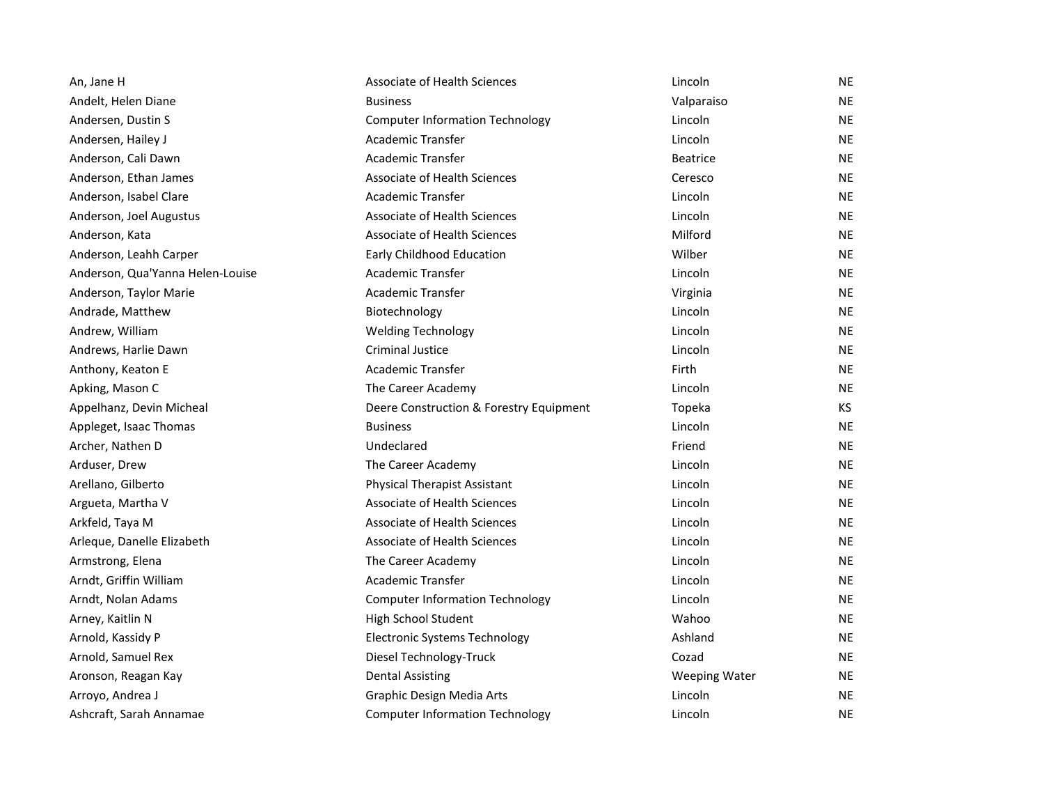| An, Jane H                       | <b>Associate of Health Sciences</b>     | Lincoln              | <b>NE</b> |
|----------------------------------|-----------------------------------------|----------------------|-----------|
| Andelt, Helen Diane              | <b>Business</b>                         | Valparaiso           | <b>NE</b> |
| Andersen, Dustin S               | <b>Computer Information Technology</b>  | Lincoln              | <b>NE</b> |
| Andersen, Hailey J               | Academic Transfer                       | Lincoln              | <b>NE</b> |
| Anderson, Cali Dawn              | <b>Academic Transfer</b>                | <b>Beatrice</b>      | <b>NE</b> |
| Anderson, Ethan James            | <b>Associate of Health Sciences</b>     | Ceresco              | <b>NE</b> |
| Anderson, Isabel Clare           | <b>Academic Transfer</b>                | Lincoln              | <b>NE</b> |
| Anderson, Joel Augustus          | <b>Associate of Health Sciences</b>     | Lincoln              | NE        |
| Anderson, Kata                   | <b>Associate of Health Sciences</b>     | Milford              | <b>NE</b> |
| Anderson, Leahh Carper           | Early Childhood Education               | Wilber               | <b>NE</b> |
| Anderson, Qua'Yanna Helen-Louise | Academic Transfer                       | Lincoln              | <b>NE</b> |
| Anderson, Taylor Marie           | Academic Transfer                       | Virginia             | NE        |
| Andrade, Matthew                 | Biotechnology                           | Lincoln              | <b>NE</b> |
| Andrew, William                  | <b>Welding Technology</b>               | Lincoln              | <b>NE</b> |
| Andrews, Harlie Dawn             | <b>Criminal Justice</b>                 | Lincoln              | <b>NE</b> |
| Anthony, Keaton E                | Academic Transfer                       | Firth                | NE        |
| Apking, Mason C                  | The Career Academy                      | Lincoln              | <b>NE</b> |
| Appelhanz, Devin Micheal         | Deere Construction & Forestry Equipment | Topeka               | KS        |
| Appleget, Isaac Thomas           | <b>Business</b>                         | Lincoln              | <b>NE</b> |
| Archer, Nathen D                 | Undeclared                              | Friend               | <b>NE</b> |
| Arduser, Drew                    | The Career Academy                      | Lincoln              | <b>NE</b> |
| Arellano, Gilberto               | <b>Physical Therapist Assistant</b>     | Lincoln              | <b>NE</b> |
| Argueta, Martha V                | Associate of Health Sciences            | Lincoln              | <b>NE</b> |
| Arkfeld, Taya M                  | <b>Associate of Health Sciences</b>     | Lincoln              | NE        |
| Arleque, Danelle Elizabeth       | <b>Associate of Health Sciences</b>     | Lincoln              | NE        |
| Armstrong, Elena                 | The Career Academy                      | Lincoln              | <b>NE</b> |
| Arndt, Griffin William           | <b>Academic Transfer</b>                | Lincoln              | <b>NE</b> |
| Arndt, Nolan Adams               | <b>Computer Information Technology</b>  | Lincoln              | <b>NE</b> |
| Arney, Kaitlin N                 | High School Student                     | Wahoo                | NE        |
| Arnold, Kassidy P                | <b>Electronic Systems Technology</b>    | Ashland              | <b>NE</b> |
| Arnold, Samuel Rex               | Diesel Technology-Truck                 | Cozad                | <b>NE</b> |
| Aronson, Reagan Kay              | <b>Dental Assisting</b>                 | <b>Weeping Water</b> | <b>NE</b> |
| Arroyo, Andrea J                 | Graphic Design Media Arts               | Lincoln              | <b>NE</b> |
| Ashcraft, Sarah Annamae          | <b>Computer Information Technology</b>  | Lincoln              | <b>NE</b> |
|                                  |                                         |                      |           |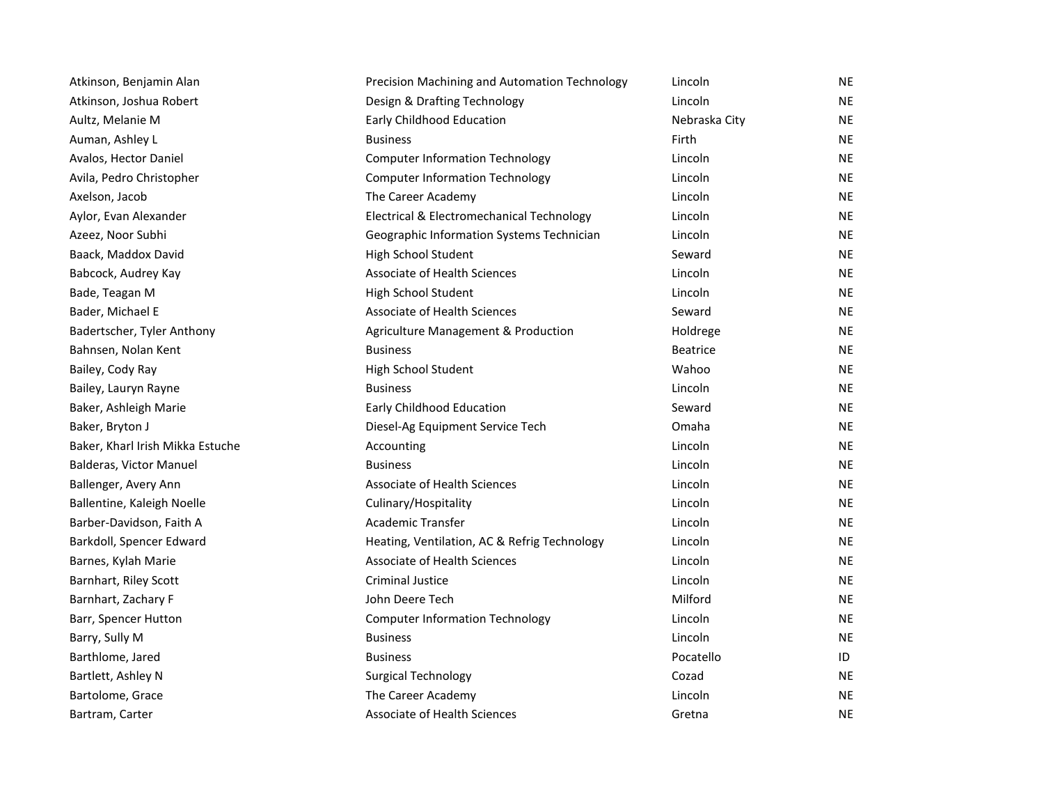| Atkinson, Benjamin Alan          | Precision Machining and Automation Technology | Lincoln         | NE        |
|----------------------------------|-----------------------------------------------|-----------------|-----------|
| Atkinson, Joshua Robert          | Design & Drafting Technology                  | Lincoln         | <b>NE</b> |
| Aultz, Melanie M                 | Early Childhood Education                     | Nebraska City   | <b>NE</b> |
| Auman, Ashley L                  | <b>Business</b>                               | Firth           | <b>NE</b> |
| Avalos, Hector Daniel            | <b>Computer Information Technology</b>        | Lincoln         | <b>NE</b> |
| Avila, Pedro Christopher         | <b>Computer Information Technology</b>        | Lincoln         | <b>NE</b> |
| Axelson, Jacob                   | The Career Academy                            | Lincoln         | <b>NE</b> |
| Aylor, Evan Alexander            | Electrical & Electromechanical Technology     | Lincoln         | <b>NE</b> |
| Azeez, Noor Subhi                | Geographic Information Systems Technician     | Lincoln         | <b>NE</b> |
| Baack, Maddox David              | High School Student                           | Seward          | <b>NE</b> |
| Babcock, Audrey Kay              | <b>Associate of Health Sciences</b>           | Lincoln         | <b>NE</b> |
| Bade, Teagan M                   | High School Student                           | Lincoln         | <b>NE</b> |
| Bader, Michael E                 | <b>Associate of Health Sciences</b>           | Seward          | <b>NE</b> |
| Badertscher, Tyler Anthony       | Agriculture Management & Production           | Holdrege        | <b>NE</b> |
| Bahnsen, Nolan Kent              | <b>Business</b>                               | <b>Beatrice</b> | <b>NE</b> |
| Bailey, Cody Ray                 | High School Student                           | Wahoo           | <b>NE</b> |
| Bailey, Lauryn Rayne             | <b>Business</b>                               | Lincoln         | <b>NE</b> |
| Baker, Ashleigh Marie            | <b>Early Childhood Education</b>              | Seward          | <b>NE</b> |
| Baker, Bryton J                  | Diesel-Ag Equipment Service Tech              | Omaha           | <b>NE</b> |
| Baker, Kharl Irish Mikka Estuche | Accounting                                    | Lincoln         | NE.       |
| Balderas, Victor Manuel          | <b>Business</b>                               | Lincoln         | <b>NE</b> |
| Ballenger, Avery Ann             | Associate of Health Sciences                  | Lincoln         | <b>NE</b> |
| Ballentine, Kaleigh Noelle       | Culinary/Hospitality                          | Lincoln         | <b>NE</b> |
| Barber-Davidson, Faith A         | <b>Academic Transfer</b>                      | Lincoln         | <b>NE</b> |
| Barkdoll, Spencer Edward         | Heating, Ventilation, AC & Refrig Technology  | Lincoln         | <b>NE</b> |
| Barnes, Kylah Marie              | <b>Associate of Health Sciences</b>           | Lincoln         | <b>NE</b> |
| Barnhart, Riley Scott            | <b>Criminal Justice</b>                       | Lincoln         | <b>NE</b> |
| Barnhart, Zachary F              | John Deere Tech                               | Milford         | NE        |
| Barr, Spencer Hutton             | <b>Computer Information Technology</b>        | Lincoln         | <b>NE</b> |
| Barry, Sully M                   | <b>Business</b>                               | Lincoln         | <b>NE</b> |
| Barthlome, Jared                 | <b>Business</b>                               | Pocatello       | ID        |
| Bartlett, Ashley N               | <b>Surgical Technology</b>                    | Cozad           | <b>NE</b> |
| Bartolome, Grace                 | The Career Academy                            | Lincoln         | <b>NE</b> |
| Bartram, Carter                  | Associate of Health Sciences                  | Gretna          | <b>NE</b> |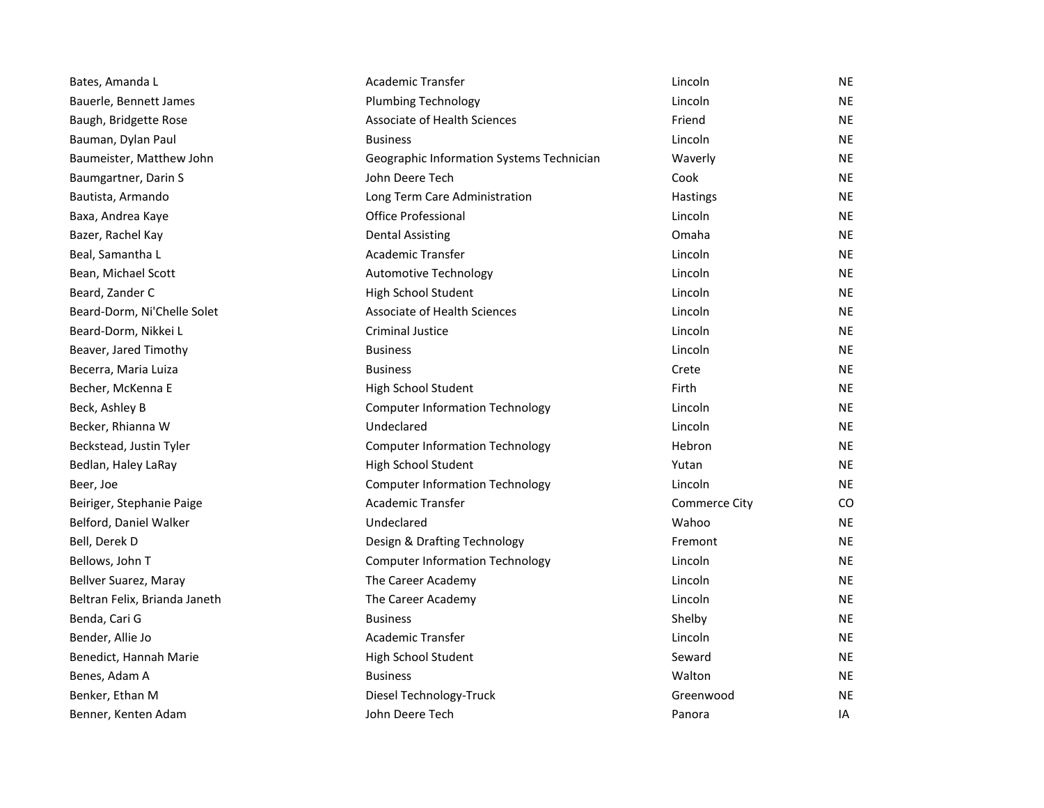| Bates, Amanda L               | Academic Transfer                         | Lincoln       | NE        |
|-------------------------------|-------------------------------------------|---------------|-----------|
| Bauerle, Bennett James        | <b>Plumbing Technology</b>                | Lincoln       | <b>NE</b> |
| Baugh, Bridgette Rose         | Associate of Health Sciences              | Friend        | <b>NE</b> |
| Bauman, Dylan Paul            | <b>Business</b>                           | Lincoln       | <b>NE</b> |
| Baumeister, Matthew John      | Geographic Information Systems Technician | Waverly       | <b>NE</b> |
| Baumgartner, Darin S          | John Deere Tech                           | Cook          | <b>NE</b> |
| Bautista, Armando             | Long Term Care Administration             | Hastings      | <b>NE</b> |
| Baxa, Andrea Kaye             | <b>Office Professional</b>                | Lincoln       | <b>NE</b> |
| Bazer, Rachel Kay             | <b>Dental Assisting</b>                   | Omaha         | <b>NE</b> |
| Beal, Samantha L              | <b>Academic Transfer</b>                  | Lincoln       | <b>NE</b> |
| Bean, Michael Scott           | <b>Automotive Technology</b>              | Lincoln       | <b>NE</b> |
| Beard, Zander C               | High School Student                       | Lincoln       | <b>NE</b> |
| Beard-Dorm, Ni'Chelle Solet   | Associate of Health Sciences              | Lincoln       | <b>NE</b> |
| Beard-Dorm, Nikkei L          | <b>Criminal Justice</b>                   | Lincoln       | <b>NE</b> |
| Beaver, Jared Timothy         | <b>Business</b>                           | Lincoln       | <b>NE</b> |
| Becerra, Maria Luiza          | <b>Business</b>                           | Crete         | <b>NE</b> |
| Becher, McKenna E             | High School Student                       | Firth         | <b>NE</b> |
| Beck, Ashley B                | <b>Computer Information Technology</b>    | Lincoln       | <b>NE</b> |
| Becker, Rhianna W             | Undeclared                                | Lincoln       | <b>NE</b> |
| Beckstead, Justin Tyler       | <b>Computer Information Technology</b>    | Hebron        | <b>NE</b> |
| Bedlan, Haley LaRay           | High School Student                       | Yutan         | <b>NE</b> |
| Beer, Joe                     | <b>Computer Information Technology</b>    | Lincoln       | <b>NE</b> |
| Beiriger, Stephanie Paige     | <b>Academic Transfer</b>                  | Commerce City | CO.       |
| Belford, Daniel Walker        | Undeclared                                | Wahoo         | <b>NE</b> |
| Bell, Derek D                 | Design & Drafting Technology              | Fremont       | <b>NE</b> |
| Bellows, John T               | <b>Computer Information Technology</b>    | Lincoln       | <b>NE</b> |
| Bellver Suarez, Maray         | The Career Academy                        | Lincoln       | <b>NE</b> |
| Beltran Felix, Brianda Janeth | The Career Academy                        | Lincoln       | <b>NE</b> |
| Benda, Cari G                 | <b>Business</b>                           | Shelby        | NE        |
| Bender, Allie Jo              | Academic Transfer                         | Lincoln       | <b>NE</b> |
| Benedict, Hannah Marie        | High School Student                       | Seward        | NE.       |
| Benes, Adam A                 | <b>Business</b>                           | Walton        | <b>NE</b> |
| Benker, Ethan M               | Diesel Technology-Truck                   | Greenwood     | <b>NE</b> |
| Benner, Kenten Adam           | John Deere Tech                           | Panora        | IA        |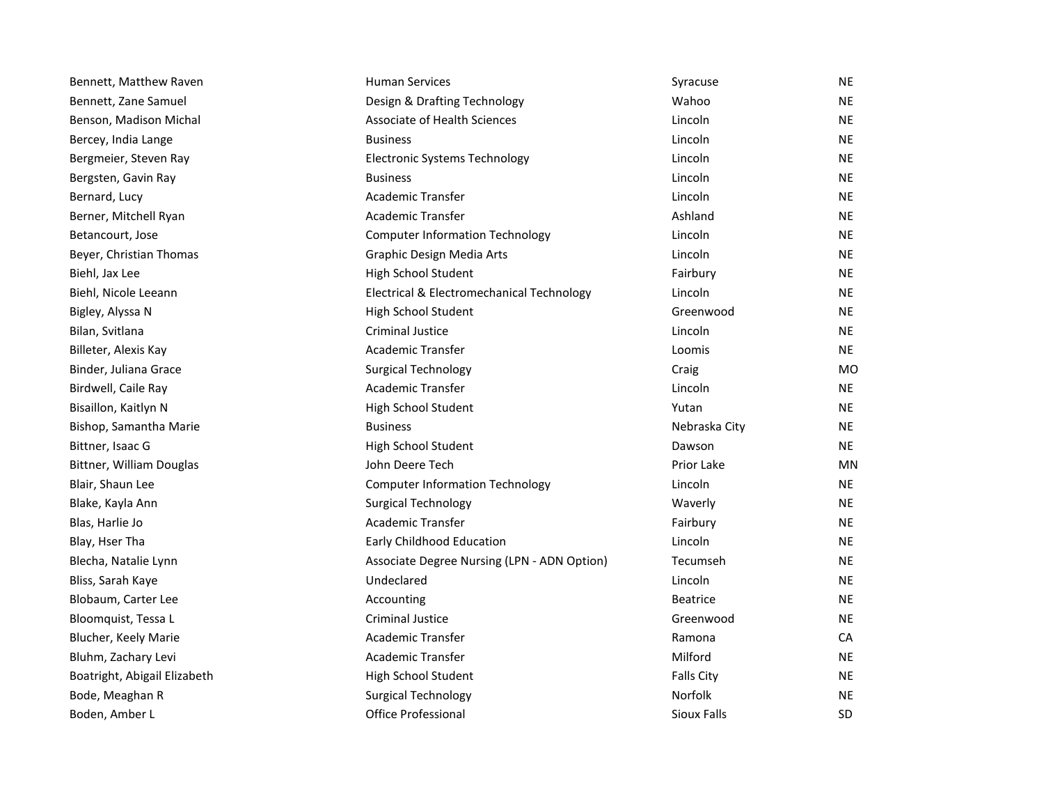| Bennett, Matthew Raven       | <b>Human Services</b>                       | Syracuse          | <b>NE</b> |
|------------------------------|---------------------------------------------|-------------------|-----------|
| Bennett, Zane Samuel         | Design & Drafting Technology                | Wahoo             | <b>NE</b> |
| Benson, Madison Michal       | Associate of Health Sciences                | Lincoln           | <b>NE</b> |
| Bercey, India Lange          | <b>Business</b>                             | Lincoln           | <b>NE</b> |
| Bergmeier, Steven Ray        | <b>Electronic Systems Technology</b>        | Lincoln           | <b>NE</b> |
| Bergsten, Gavin Ray          | <b>Business</b>                             | Lincoln           | <b>NE</b> |
| Bernard, Lucy                | Academic Transfer                           | Lincoln           | <b>NE</b> |
| Berner, Mitchell Ryan        | Academic Transfer                           | Ashland           | NE        |
| Betancourt, Jose             | <b>Computer Information Technology</b>      | Lincoln           | <b>NE</b> |
| Beyer, Christian Thomas      | Graphic Design Media Arts                   | Lincoln           | <b>NE</b> |
| Biehl, Jax Lee               | High School Student                         | Fairbury          | <b>NE</b> |
| Biehl, Nicole Leeann         | Electrical & Electromechanical Technology   | Lincoln           | <b>NE</b> |
| Bigley, Alyssa N             | High School Student                         | Greenwood         | NE.       |
| Bilan, Svitlana              | <b>Criminal Justice</b>                     | Lincoln           | <b>NE</b> |
| Billeter, Alexis Kay         | Academic Transfer                           | Loomis            | <b>NE</b> |
| Binder, Juliana Grace        | <b>Surgical Technology</b>                  | Craig             | MO        |
| Birdwell, Caile Ray          | <b>Academic Transfer</b>                    | Lincoln           | <b>NE</b> |
| Bisaillon, Kaitlyn N         | High School Student                         | Yutan             | <b>NE</b> |
| Bishop, Samantha Marie       | <b>Business</b>                             | Nebraska City     | <b>NE</b> |
| Bittner, Isaac G             | High School Student                         | Dawson            | <b>NE</b> |
| Bittner, William Douglas     | John Deere Tech                             | Prior Lake        | MN        |
| Blair, Shaun Lee             | <b>Computer Information Technology</b>      | Lincoln           | <b>NE</b> |
| Blake, Kayla Ann             | <b>Surgical Technology</b>                  | Waverly           | <b>NE</b> |
| Blas, Harlie Jo              | Academic Transfer                           | Fairbury          | <b>NE</b> |
| Blay, Hser Tha               | Early Childhood Education                   | Lincoln           | <b>NE</b> |
| Blecha, Natalie Lynn         | Associate Degree Nursing (LPN - ADN Option) | Tecumseh          | <b>NE</b> |
| Bliss, Sarah Kaye            | Undeclared                                  | Lincoln           | <b>NE</b> |
| Blobaum, Carter Lee          | Accounting                                  | <b>Beatrice</b>   | <b>NE</b> |
| Bloomquist, Tessa L          | Criminal Justice                            | Greenwood         | <b>NE</b> |
| Blucher, Keely Marie         | Academic Transfer                           | Ramona            | CA        |
| Bluhm, Zachary Levi          | Academic Transfer                           | Milford           | <b>NE</b> |
| Boatright, Abigail Elizabeth | High School Student                         | <b>Falls City</b> | NE.       |
| Bode, Meaghan R              | <b>Surgical Technology</b>                  | Norfolk           | <b>NE</b> |
| Boden, Amber L               | <b>Office Professional</b>                  | Sioux Falls       | <b>SD</b> |
|                              |                                             |                   |           |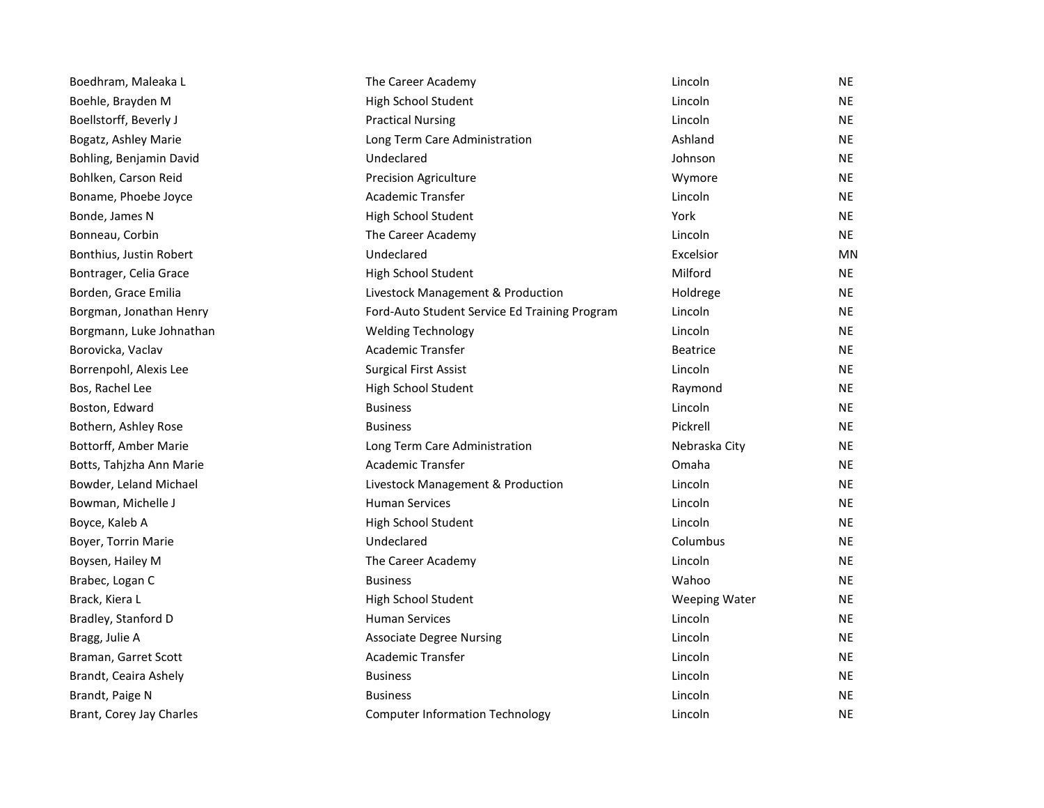| Boedhram, Maleaka L      | The Career Academy                            | Lincoln              | <b>NE</b> |
|--------------------------|-----------------------------------------------|----------------------|-----------|
| Boehle, Brayden M        | High School Student                           | Lincoln              | <b>NE</b> |
| Boellstorff, Beverly J   | <b>Practical Nursing</b>                      | Lincoln              | <b>NE</b> |
| Bogatz, Ashley Marie     | Long Term Care Administration                 | Ashland              | <b>NE</b> |
| Bohling, Benjamin David  | Undeclared                                    | Johnson              | <b>NE</b> |
| Bohlken, Carson Reid     | <b>Precision Agriculture</b>                  | Wymore               | <b>NE</b> |
| Boname, Phoebe Joyce     | Academic Transfer                             | Lincoln              | <b>NE</b> |
| Bonde, James N           | High School Student                           | York                 | <b>NE</b> |
| Bonneau, Corbin          | The Career Academy                            | Lincoln              | <b>NE</b> |
| Bonthius, Justin Robert  | Undeclared                                    | Excelsior            | MN        |
| Bontrager, Celia Grace   | High School Student                           | Milford              | <b>NE</b> |
| Borden, Grace Emilia     | Livestock Management & Production             | Holdrege             | <b>NE</b> |
| Borgman, Jonathan Henry  | Ford-Auto Student Service Ed Training Program | Lincoln              | <b>NE</b> |
| Borgmann, Luke Johnathan | <b>Welding Technology</b>                     | Lincoln              | <b>NE</b> |
| Borovicka, Vaclav        | Academic Transfer                             | <b>Beatrice</b>      | <b>NE</b> |
| Borrenpohl, Alexis Lee   | <b>Surgical First Assist</b>                  | Lincoln              | <b>NE</b> |
| Bos, Rachel Lee          | High School Student                           | Raymond              | <b>NE</b> |
| Boston, Edward           | <b>Business</b>                               | Lincoln              | <b>NE</b> |
| Bothern, Ashley Rose     | <b>Business</b>                               | Pickrell             | <b>NE</b> |
| Bottorff, Amber Marie    | Long Term Care Administration                 | Nebraska City        | <b>NE</b> |
| Botts, Tahjzha Ann Marie | Academic Transfer                             | Omaha                | <b>NE</b> |
| Bowder, Leland Michael   | Livestock Management & Production             | Lincoln              | <b>NE</b> |
| Bowman, Michelle J       | <b>Human Services</b>                         | Lincoln              | <b>NE</b> |
| Boyce, Kaleb A           | High School Student                           | Lincoln              | <b>NE</b> |
| Boyer, Torrin Marie      | Undeclared                                    | Columbus             | <b>NE</b> |
| Boysen, Hailey M         | The Career Academy                            | Lincoln              | <b>NE</b> |
| Brabec, Logan C          | <b>Business</b>                               | Wahoo                | <b>NE</b> |
| Brack, Kiera L           | High School Student                           | <b>Weeping Water</b> | <b>NE</b> |
| Bradley, Stanford D      | <b>Human Services</b>                         | Lincoln              | <b>NE</b> |
| Bragg, Julie A           | <b>Associate Degree Nursing</b>               | Lincoln              | <b>NE</b> |
| Braman, Garret Scott     | Academic Transfer                             | Lincoln              | <b>NE</b> |
| Brandt, Ceaira Ashely    | <b>Business</b>                               | Lincoln              | <b>NE</b> |
| Brandt, Paige N          | <b>Business</b>                               | Lincoln              | <b>NE</b> |
| Brant, Corey Jay Charles | <b>Computer Information Technology</b>        | Lincoln              | <b>NE</b> |
|                          |                                               |                      |           |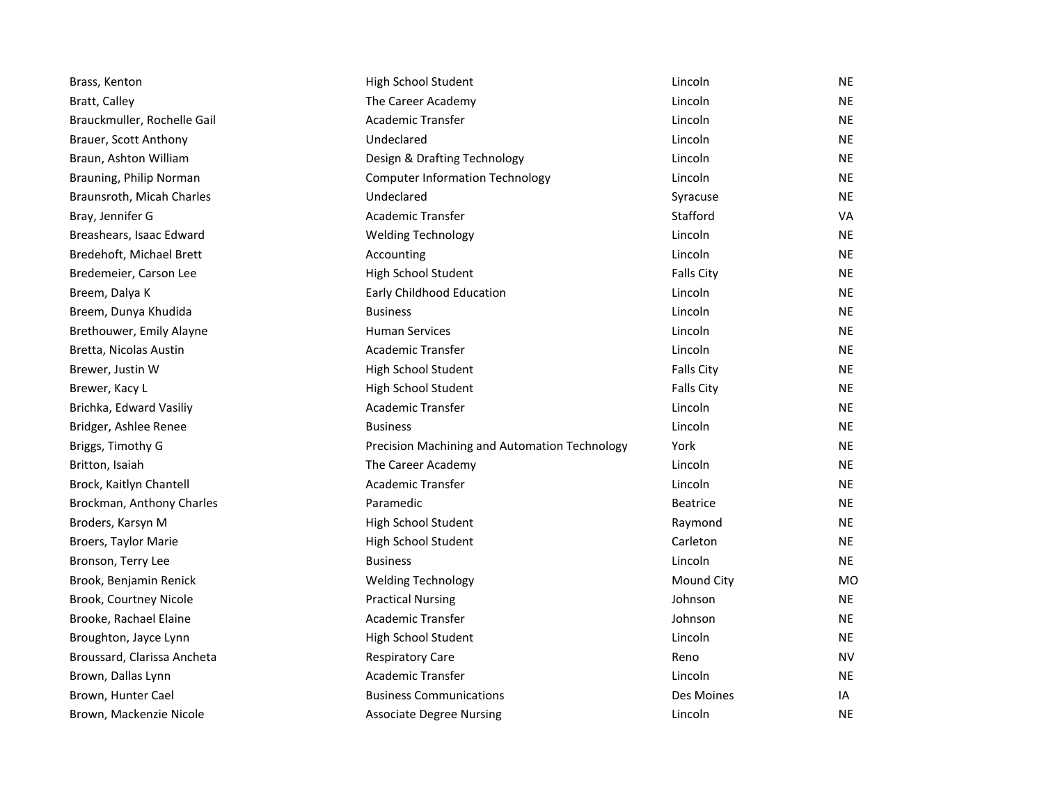| Brass, Kenton               | High School Student                           | Lincoln           | NE        |
|-----------------------------|-----------------------------------------------|-------------------|-----------|
| Bratt, Calley               | The Career Academy                            | Lincoln           | NE        |
| Brauckmuller, Rochelle Gail | Academic Transfer                             | Lincoln           | NE        |
| Brauer, Scott Anthony       | Undeclared                                    | Lincoln           | NE        |
| Braun, Ashton William       | Design & Drafting Technology                  | Lincoln           | ΝE        |
| Brauning, Philip Norman     | <b>Computer Information Technology</b>        | Lincoln           | NE        |
| Braunsroth, Micah Charles   | Undeclared                                    | Syracuse          | <b>NE</b> |
| Bray, Jennifer G            | <b>Academic Transfer</b>                      | Stafford          | VA        |
| Breashears, Isaac Edward    | <b>Welding Technology</b>                     | Lincoln           | NE        |
| Bredehoft, Michael Brett    | Accounting                                    | Lincoln           | ΝE        |
| Bredemeier, Carson Lee      | High School Student                           | <b>Falls City</b> | NE        |
| Breem, Dalya K              | Early Childhood Education                     | Lincoln           | ΝE        |
| Breem, Dunya Khudida        | <b>Business</b>                               | Lincoln           | NE        |
| Brethouwer, Emily Alayne    | <b>Human Services</b>                         | Lincoln           | NE        |
| Bretta, Nicolas Austin      | Academic Transfer                             | Lincoln           | ΝE        |
| Brewer, Justin W            | High School Student                           | <b>Falls City</b> | ΝE        |
| Brewer, Kacy L              | High School Student                           | <b>Falls City</b> | NE        |
| Brichka, Edward Vasiliy     | Academic Transfer                             | Lincoln           | ΝE        |
| Bridger, Ashlee Renee       | <b>Business</b>                               | Lincoln           | NE        |
| Briggs, Timothy G           | Precision Machining and Automation Technology | York              | NE        |
| Britton, Isaiah             | The Career Academy                            | Lincoln           | ΝE        |
| Brock, Kaitlyn Chantell     | Academic Transfer                             | Lincoln           | ΝE        |
| Brockman, Anthony Charles   | Paramedic                                     | <b>Beatrice</b>   | NE        |
| Broders, Karsyn M           | High School Student                           | Raymond           | NE        |
| Broers, Taylor Marie        | High School Student                           | Carleton          | ΝE        |
| Bronson, Terry Lee          | <b>Business</b>                               | Lincoln           | NE        |
| Brook, Benjamin Renick      | <b>Welding Technology</b>                     | <b>Mound City</b> | MO        |
| Brook, Courtney Nicole      | <b>Practical Nursing</b>                      | Johnson           | NE        |
| Brooke, Rachael Elaine      | Academic Transfer                             | Johnson           | NE        |
| Broughton, Jayce Lynn       | High School Student                           | Lincoln           | ΝE        |
| Broussard, Clarissa Ancheta | <b>Respiratory Care</b>                       | Reno              | NV        |
| Brown, Dallas Lynn          | <b>Academic Transfer</b>                      | Lincoln           | NE        |
| Brown, Hunter Cael          | <b>Business Communications</b>                | Des Moines        | ΙA        |
| Brown, Mackenzie Nicole     | <b>Associate Degree Nursing</b>               | Lincoln           | NE.       |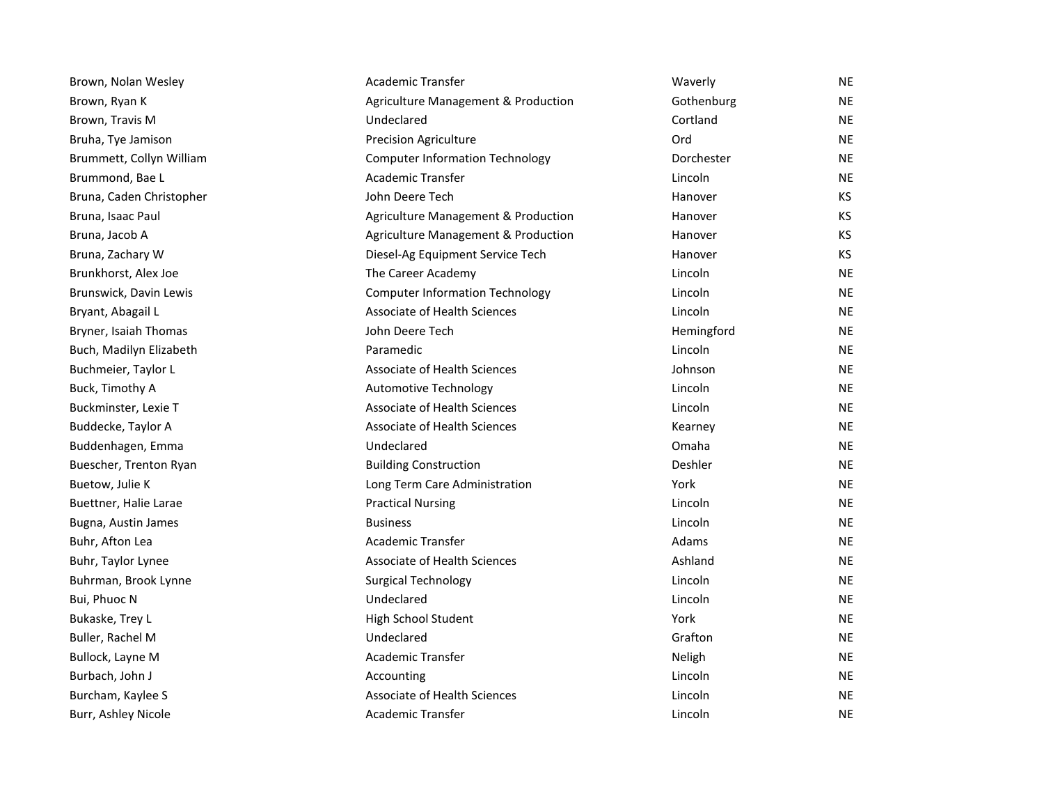| Brown, Nolan Wesley      | Academic Transfer                      | Waverly    | NE        |
|--------------------------|----------------------------------------|------------|-----------|
| Brown, Ryan K            | Agriculture Management & Production    | Gothenburg | ΝE        |
| Brown, Travis M          | Undeclared                             | Cortland   | ΝE        |
| Bruha, Tye Jamison       | <b>Precision Agriculture</b>           | Ord        | <b>NE</b> |
| Brummett, Collyn William | <b>Computer Information Technology</b> | Dorchester | ΝE        |
| Brummond, Bae L          | Academic Transfer                      | Lincoln    | NE.       |
| Bruna, Caden Christopher | John Deere Tech                        | Hanover    | КS        |
| Bruna, Isaac Paul        | Agriculture Management & Production    | Hanover    | КS        |
| Bruna, Jacob A           | Agriculture Management & Production    | Hanover    | КS        |
| Bruna, Zachary W         | Diesel-Ag Equipment Service Tech       | Hanover    | КS        |
| Brunkhorst, Alex Joe     | The Career Academy                     | Lincoln    | ΝE        |
| Brunswick, Davin Lewis   | <b>Computer Information Technology</b> | Lincoln    | NE        |
| Bryant, Abagail L        | <b>Associate of Health Sciences</b>    | Lincoln    | NE        |
| Bryner, Isaiah Thomas    | John Deere Tech                        | Hemingford | NE.       |
| Buch, Madilyn Elizabeth  | Paramedic                              | Lincoln    | NE        |
| Buchmeier, Taylor L      | Associate of Health Sciences           | Johnson    | ΝE        |
| Buck, Timothy A          | Automotive Technology                  | Lincoln    | NE        |
| Buckminster, Lexie T     | <b>Associate of Health Sciences</b>    | Lincoln    | NE.       |
| Buddecke, Taylor A       | <b>Associate of Health Sciences</b>    | Kearney    | <b>NE</b> |
| Buddenhagen, Emma        | Undeclared                             | Omaha      | ΝE        |
| Buescher, Trenton Ryan   | <b>Building Construction</b>           | Deshler    | NE        |
| Buetow, Julie K          | Long Term Care Administration          | York       | ΝE        |
| Buettner, Halie Larae    | <b>Practical Nursing</b>               | Lincoln    | NE        |
| Bugna, Austin James      | <b>Business</b>                        | Lincoln    | <b>NE</b> |
| Buhr, Afton Lea          | Academic Transfer                      | Adams      | ΝE        |
| Buhr, Taylor Lynee       | <b>Associate of Health Sciences</b>    | Ashland    | NE        |
| Buhrman, Brook Lynne     | <b>Surgical Technology</b>             | Lincoln    | NE.       |
| Bui, Phuoc N             | Undeclared                             | Lincoln    | NE        |
| Bukaske, Trey L          | High School Student                    | York       | NE.       |
| Buller, Rachel M         | Undeclared                             | Grafton    | NE        |
| Bullock, Layne M         | Academic Transfer                      | Neligh     | ΝE        |
| Burbach, John J          | Accounting                             | Lincoln    | NE.       |
| Burcham, Kaylee S        | <b>Associate of Health Sciences</b>    | Lincoln    | ΝE        |
| Burr, Ashley Nicole      | <b>Academic Transfer</b>               | Lincoln    | <b>NE</b> |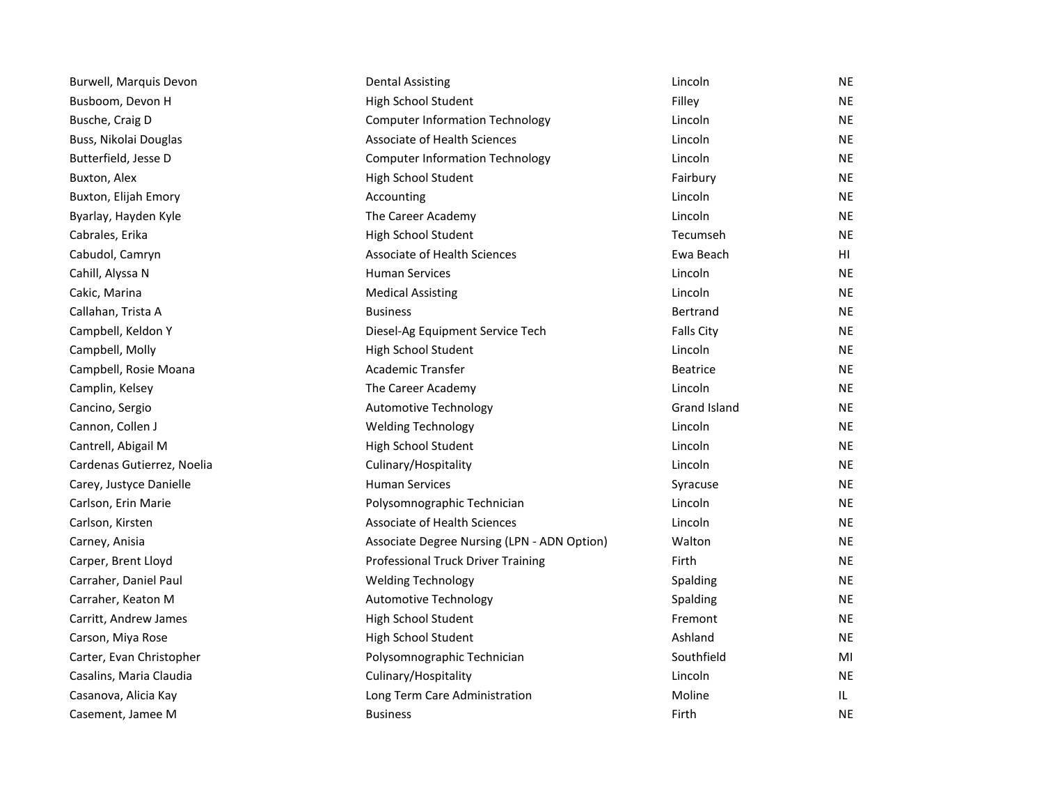| Burwell, Marquis Devon     | <b>Dental Assisting</b>                     | Lincoln           | <b>NE</b> |
|----------------------------|---------------------------------------------|-------------------|-----------|
| Busboom, Devon H           | High School Student                         | Filley            | <b>NE</b> |
| Busche, Craig D            | <b>Computer Information Technology</b>      | Lincoln           | <b>NE</b> |
| Buss, Nikolai Douglas      | <b>Associate of Health Sciences</b>         | Lincoln           | <b>NE</b> |
| Butterfield, Jesse D       | <b>Computer Information Technology</b>      | Lincoln           | <b>NE</b> |
| Buxton, Alex               | High School Student                         | Fairbury          | <b>NE</b> |
| Buxton, Elijah Emory       | Accounting                                  | Lincoln           | <b>NE</b> |
| Byarlay, Hayden Kyle       | The Career Academy                          | Lincoln           | NE.       |
| Cabrales, Erika            | High School Student                         | Tecumseh          | <b>NE</b> |
| Cabudol, Camryn            | Associate of Health Sciences                | Ewa Beach         | HI        |
| Cahill, Alyssa N           | <b>Human Services</b>                       | Lincoln           | <b>NE</b> |
| Cakic, Marina              | <b>Medical Assisting</b>                    | Lincoln           | NE.       |
| Callahan, Trista A         | <b>Business</b>                             | <b>Bertrand</b>   | NE.       |
| Campbell, Keldon Y         | Diesel-Ag Equipment Service Tech            | <b>Falls City</b> | <b>NE</b> |
| Campbell, Molly            | High School Student                         | Lincoln           | <b>NE</b> |
| Campbell, Rosie Moana      | <b>Academic Transfer</b>                    | <b>Beatrice</b>   | NE.       |
| Camplin, Kelsey            | The Career Academy                          | Lincoln           | <b>NE</b> |
| Cancino, Sergio            | <b>Automotive Technology</b>                | Grand Island      | NE.       |
| Cannon, Collen J           | <b>Welding Technology</b>                   | Lincoln           | NE.       |
| Cantrell, Abigail M        | High School Student                         | Lincoln           | <b>NE</b> |
| Cardenas Gutierrez, Noelia | Culinary/Hospitality                        | Lincoln           | <b>NE</b> |
| Carey, Justyce Danielle    | <b>Human Services</b>                       | Syracuse          | NE.       |
| Carlson, Erin Marie        | Polysomnographic Technician                 | Lincoln           | <b>NE</b> |
| Carlson, Kirsten           | <b>Associate of Health Sciences</b>         | Lincoln           | <b>NE</b> |
| Carney, Anisia             | Associate Degree Nursing (LPN - ADN Option) | Walton            | NE.       |
| Carper, Brent Lloyd        | Professional Truck Driver Training          | Firth             | <b>NE</b> |
| Carraher, Daniel Paul      | <b>Welding Technology</b>                   | Spalding          | <b>NE</b> |
| Carraher, Keaton M         | <b>Automotive Technology</b>                | Spalding          | NE.       |
| Carritt, Andrew James      | High School Student                         | Fremont           | <b>NE</b> |
| Carson, Miya Rose          | High School Student                         | Ashland           | <b>NE</b> |
| Carter, Evan Christopher   | Polysomnographic Technician                 | Southfield        | MI        |
| Casalins, Maria Claudia    | Culinary/Hospitality                        | Lincoln           | <b>NE</b> |
| Casanova, Alicia Kay       | Long Term Care Administration               | Moline            | IL.       |
| Casement, Jamee M          | <b>Business</b>                             | Firth             | <b>NE</b> |
|                            |                                             |                   |           |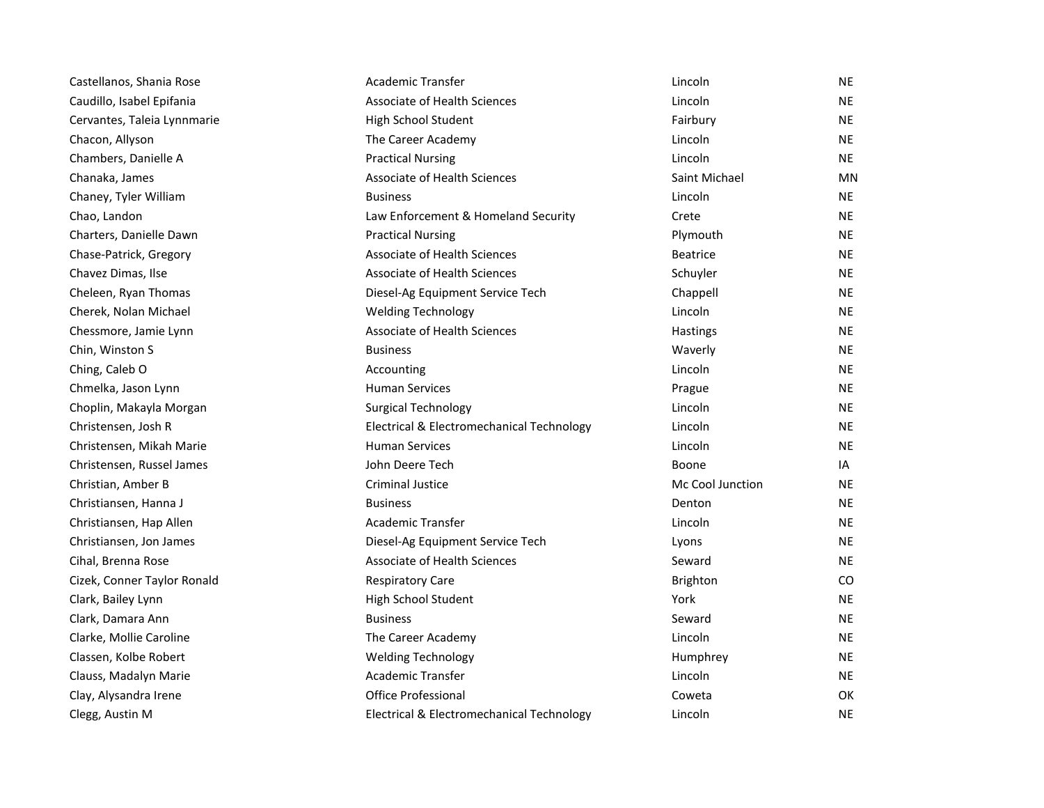| Castellanos, Shania Rose    | Academic Transfer                         | Lincoln          | <b>NE</b> |
|-----------------------------|-------------------------------------------|------------------|-----------|
| Caudillo, Isabel Epifania   | <b>Associate of Health Sciences</b>       | Lincoln          | <b>NE</b> |
| Cervantes, Taleia Lynnmarie | High School Student                       | Fairbury         | NE        |
| Chacon, Allyson             | The Career Academy                        | Lincoln          | NE        |
| Chambers, Danielle A        | <b>Practical Nursing</b>                  | Lincoln          | <b>NE</b> |
| Chanaka, James              | Associate of Health Sciences              | Saint Michael    | <b>MN</b> |
| Chaney, Tyler William       | <b>Business</b>                           | Lincoln          | <b>NE</b> |
| Chao, Landon                | Law Enforcement & Homeland Security       | Crete            | <b>NE</b> |
| Charters, Danielle Dawn     | <b>Practical Nursing</b>                  | Plymouth         | <b>NE</b> |
| Chase-Patrick, Gregory      | <b>Associate of Health Sciences</b>       | <b>Beatrice</b>  | <b>NE</b> |
| Chavez Dimas, Ilse          | <b>Associate of Health Sciences</b>       | Schuyler         | NE        |
| Cheleen, Ryan Thomas        | Diesel-Ag Equipment Service Tech          | Chappell         | NE        |
| Cherek, Nolan Michael       | <b>Welding Technology</b>                 | Lincoln          | NE        |
| Chessmore, Jamie Lynn       | Associate of Health Sciences              | Hastings         | <b>NE</b> |
| Chin, Winston S             | <b>Business</b>                           | Waverly          | <b>NE</b> |
| Ching, Caleb O              | Accounting                                | Lincoln          | <b>NE</b> |
| Chmelka, Jason Lynn         | <b>Human Services</b>                     | Prague           | NE        |
| Choplin, Makayla Morgan     | <b>Surgical Technology</b>                | Lincoln          | <b>NE</b> |
| Christensen, Josh R         | Electrical & Electromechanical Technology | Lincoln          | <b>NE</b> |
| Christensen, Mikah Marie    | <b>Human Services</b>                     | Lincoln          | <b>NE</b> |
| Christensen, Russel James   | John Deere Tech                           | Boone            | IA        |
| Christian, Amber B          | <b>Criminal Justice</b>                   | Mc Cool Junction | NE        |
| Christiansen, Hanna J       | <b>Business</b>                           | Denton           | <b>NE</b> |
| Christiansen, Hap Allen     | <b>Academic Transfer</b>                  | Lincoln          | <b>NE</b> |
| Christiansen, Jon James     | Diesel-Ag Equipment Service Tech          | Lyons            | NE.       |
| Cihal, Brenna Rose          | <b>Associate of Health Sciences</b>       | Seward           | <b>NE</b> |
| Cizek, Conner Taylor Ronald | <b>Respiratory Care</b>                   | Brighton         | CO.       |
| Clark, Bailey Lynn          | High School Student                       | York             | <b>NE</b> |
| Clark, Damara Ann           | <b>Business</b>                           | Seward           | <b>NE</b> |
| Clarke, Mollie Caroline     | The Career Academy                        | Lincoln          | NE        |
| Classen, Kolbe Robert       | <b>Welding Technology</b>                 | Humphrey         | NE        |
| Clauss, Madalyn Marie       | <b>Academic Transfer</b>                  | Lincoln          | <b>NE</b> |
| Clay, Alysandra Irene       | <b>Office Professional</b>                | Coweta           | <b>OK</b> |
| Clegg, Austin M             | Electrical & Electromechanical Technology | Lincoln          | NE.       |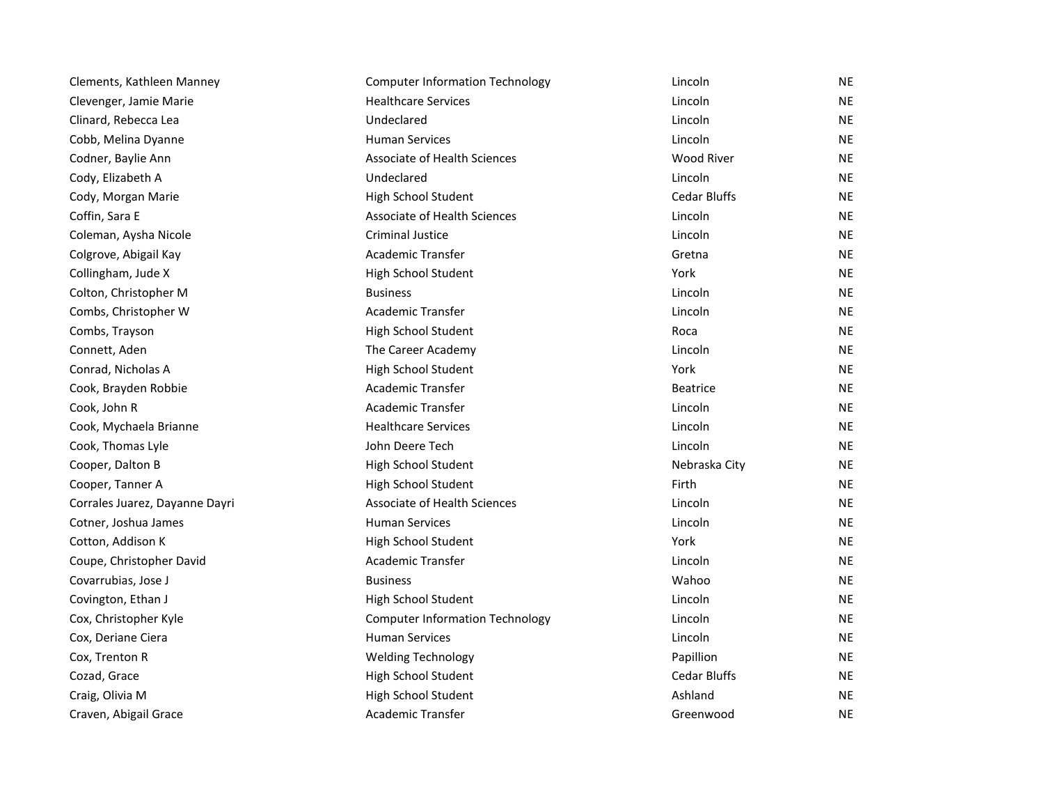| Clements, Kathleen Manney      | <b>Computer Information Technology</b> | Lincoln             | NE        |
|--------------------------------|----------------------------------------|---------------------|-----------|
| Clevenger, Jamie Marie         | <b>Healthcare Services</b>             | Lincoln             | <b>NE</b> |
| Clinard, Rebecca Lea           | Undeclared                             | Lincoln             | <b>NE</b> |
| Cobb, Melina Dyanne            | <b>Human Services</b>                  | Lincoln             | <b>NE</b> |
| Codner, Baylie Ann             | Associate of Health Sciences           | <b>Wood River</b>   | <b>NE</b> |
| Cody, Elizabeth A              | Undeclared                             | Lincoln             | <b>NE</b> |
| Cody, Morgan Marie             | High School Student                    | <b>Cedar Bluffs</b> | <b>NE</b> |
| Coffin, Sara E                 | Associate of Health Sciences           | Lincoln             | <b>NE</b> |
| Coleman, Aysha Nicole          | <b>Criminal Justice</b>                | Lincoln             | <b>NE</b> |
| Colgrove, Abigail Kay          | <b>Academic Transfer</b>               | Gretna              | <b>NE</b> |
| Collingham, Jude X             | High School Student                    | York                | <b>NE</b> |
| Colton, Christopher M          | <b>Business</b>                        | Lincoln             | <b>NE</b> |
| Combs, Christopher W           | Academic Transfer                      | Lincoln             | <b>NE</b> |
| Combs, Trayson                 | High School Student                    | Roca                | <b>NE</b> |
| Connett, Aden                  | The Career Academy                     | Lincoln             | <b>NE</b> |
| Conrad, Nicholas A             | High School Student                    | York                | <b>NE</b> |
| Cook, Brayden Robbie           | <b>Academic Transfer</b>               | <b>Beatrice</b>     | <b>NE</b> |
| Cook, John R                   | Academic Transfer                      | Lincoln             | <b>NE</b> |
| Cook, Mychaela Brianne         | <b>Healthcare Services</b>             | Lincoln             | <b>NE</b> |
| Cook, Thomas Lyle              | John Deere Tech                        | Lincoln             | <b>NE</b> |
| Cooper, Dalton B               | High School Student                    | Nebraska City       | <b>NE</b> |
| Cooper, Tanner A               | High School Student                    | Firth               | <b>NE</b> |
| Corrales Juarez, Dayanne Dayri | Associate of Health Sciences           | Lincoln             | <b>NE</b> |
| Cotner, Joshua James           | <b>Human Services</b>                  | Lincoln             | <b>NE</b> |
| Cotton, Addison K              | High School Student                    | York                | <b>NE</b> |
| Coupe, Christopher David       | Academic Transfer                      | Lincoln             | <b>NE</b> |
| Covarrubias, Jose J            | <b>Business</b>                        | Wahoo               | <b>NE</b> |
| Covington, Ethan J             | High School Student                    | Lincoln             | <b>NE</b> |
| Cox, Christopher Kyle          | <b>Computer Information Technology</b> | Lincoln             | NE        |
| Cox, Deriane Ciera             | <b>Human Services</b>                  | Lincoln             | <b>NE</b> |
| Cox, Trenton R                 | <b>Welding Technology</b>              | Papillion           | <b>NE</b> |
| Cozad, Grace                   | High School Student                    | <b>Cedar Bluffs</b> | <b>NE</b> |
| Craig, Olivia M                | High School Student                    | Ashland             | <b>NE</b> |
| Craven, Abigail Grace          | Academic Transfer                      | Greenwood           | <b>NE</b> |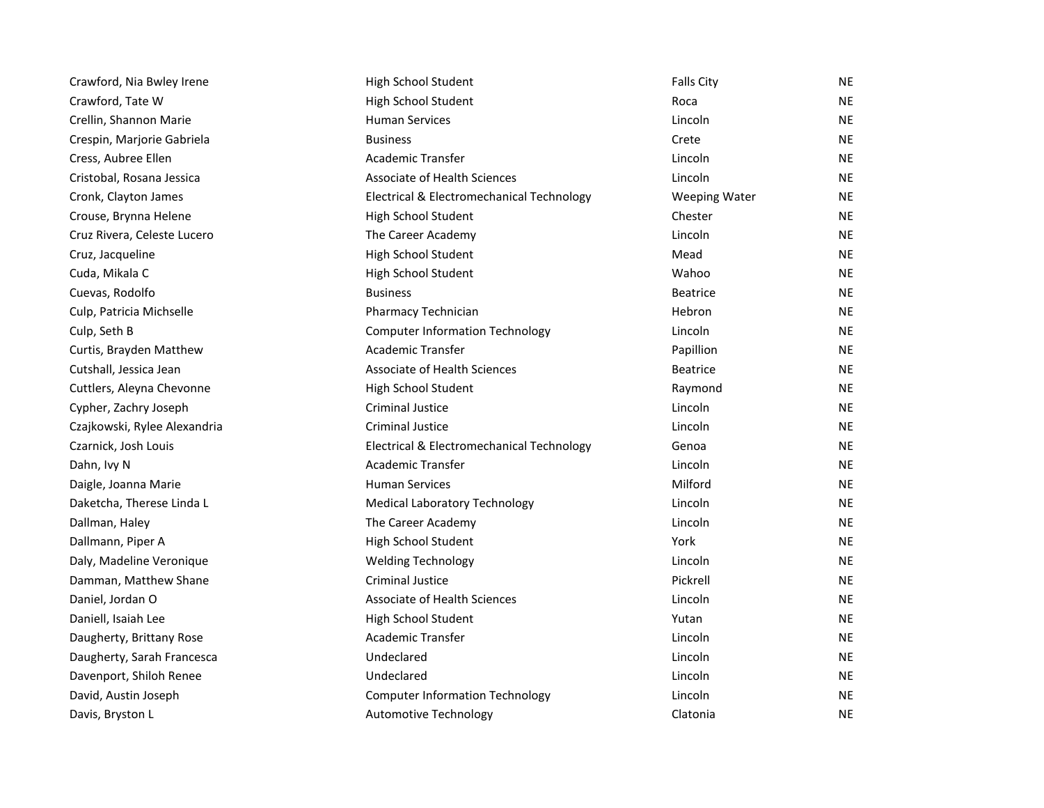| Crawford, Nia Bwley Irene    | High School Student                       | <b>Falls City</b>    | <b>NE</b> |
|------------------------------|-------------------------------------------|----------------------|-----------|
| Crawford, Tate W             | High School Student                       | Roca                 | <b>NE</b> |
| Crellin, Shannon Marie       | <b>Human Services</b>                     | Lincoln              | <b>NE</b> |
| Crespin, Marjorie Gabriela   | <b>Business</b>                           | Crete                | <b>NE</b> |
| Cress, Aubree Ellen          | Academic Transfer                         | Lincoln              | <b>NE</b> |
| Cristobal, Rosana Jessica    | Associate of Health Sciences              | Lincoln              | <b>NE</b> |
| Cronk, Clayton James         | Electrical & Electromechanical Technology | <b>Weeping Water</b> | <b>NE</b> |
| Crouse, Brynna Helene        | High School Student                       | Chester              | <b>NE</b> |
| Cruz Rivera, Celeste Lucero  | The Career Academy                        | Lincoln              | <b>NE</b> |
| Cruz, Jacqueline             | High School Student                       | Mead                 | <b>NE</b> |
| Cuda, Mikala C               | High School Student                       | Wahoo                | <b>NE</b> |
| Cuevas, Rodolfo              | <b>Business</b>                           | <b>Beatrice</b>      | <b>NE</b> |
| Culp, Patricia Michselle     | Pharmacy Technician                       | Hebron               | <b>NE</b> |
| Culp, Seth B                 | <b>Computer Information Technology</b>    | Lincoln              | NE.       |
| Curtis, Brayden Matthew      | <b>Academic Transfer</b>                  | Papillion            | <b>NE</b> |
| Cutshall, Jessica Jean       | Associate of Health Sciences              | <b>Beatrice</b>      | <b>NE</b> |
| Cuttlers, Aleyna Chevonne    | High School Student                       | Raymond              | <b>NE</b> |
| Cypher, Zachry Joseph        | <b>Criminal Justice</b>                   | Lincoln              | <b>NE</b> |
| Czajkowski, Rylee Alexandria | <b>Criminal Justice</b>                   | Lincoln              | <b>NE</b> |
| Czarnick, Josh Louis         | Electrical & Electromechanical Technology | Genoa                | <b>NE</b> |
| Dahn, Ivy N                  | Academic Transfer                         | Lincoln              | <b>NE</b> |
| Daigle, Joanna Marie         | <b>Human Services</b>                     | Milford              | <b>NE</b> |
| Daketcha, Therese Linda L    | <b>Medical Laboratory Technology</b>      | Lincoln              | <b>NE</b> |
| Dallman, Haley               | The Career Academy                        | Lincoln              | <b>NE</b> |
| Dallmann, Piper A            | High School Student                       | York                 | <b>NE</b> |
| Daly, Madeline Veronique     | <b>Welding Technology</b>                 | Lincoln              | <b>NE</b> |
| Damman, Matthew Shane        | <b>Criminal Justice</b>                   | Pickrell             | <b>NE</b> |
| Daniel, Jordan O             | <b>Associate of Health Sciences</b>       | Lincoln              | <b>NE</b> |
| Daniell, Isaiah Lee          | High School Student                       | Yutan                | <b>NE</b> |
| Daugherty, Brittany Rose     | Academic Transfer                         | Lincoln              | <b>NE</b> |
| Daugherty, Sarah Francesca   | Undeclared                                | Lincoln              | <b>NE</b> |
| Davenport, Shiloh Renee      | Undeclared                                | Lincoln              | <b>NE</b> |
| David, Austin Joseph         | <b>Computer Information Technology</b>    | Lincoln              | <b>NE</b> |
| Davis, Bryston L             | <b>Automotive Technology</b>              | Clatonia             | <b>NE</b> |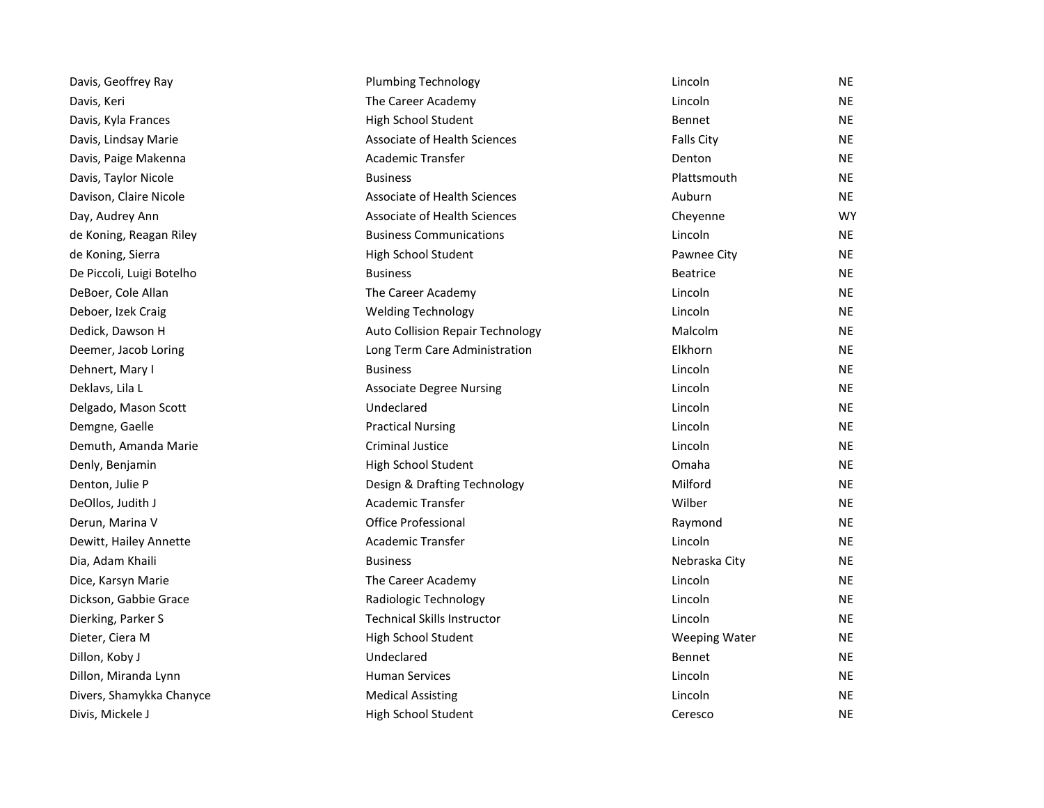| Davis, Geoffrey Ray       | <b>Plumbing Technology</b>              | Lincoln              | <b>NE</b> |
|---------------------------|-----------------------------------------|----------------------|-----------|
| Davis, Keri               | The Career Academy                      | Lincoln              | <b>NE</b> |
| Davis, Kyla Frances       | High School Student                     | <b>Bennet</b>        | <b>NE</b> |
| Davis, Lindsay Marie      | Associate of Health Sciences            | <b>Falls City</b>    | <b>NE</b> |
| Davis, Paige Makenna      | Academic Transfer                       | Denton               | <b>NE</b> |
| Davis, Taylor Nicole      | <b>Business</b>                         | Plattsmouth          | <b>NE</b> |
| Davison, Claire Nicole    | <b>Associate of Health Sciences</b>     | Auburn               | <b>NE</b> |
| Day, Audrey Ann           | Associate of Health Sciences            | Cheyenne             | <b>WY</b> |
| de Koning, Reagan Riley   | <b>Business Communications</b>          | Lincoln              | <b>NE</b> |
| de Koning, Sierra         | High School Student                     | Pawnee City          | <b>NE</b> |
| De Piccoli, Luigi Botelho | <b>Business</b>                         | <b>Beatrice</b>      | <b>NE</b> |
| DeBoer, Cole Allan        | The Career Academy                      | Lincoln              | <b>NE</b> |
| Deboer, Izek Craig        | <b>Welding Technology</b>               | Lincoln              | <b>NE</b> |
| Dedick, Dawson H          | <b>Auto Collision Repair Technology</b> | Malcolm              | <b>NE</b> |
| Deemer, Jacob Loring      | Long Term Care Administration           | Elkhorn              | <b>NE</b> |
| Dehnert, Mary I           | <b>Business</b>                         | Lincoln              | <b>NE</b> |
| Deklavs, Lila L           | <b>Associate Degree Nursing</b>         | Lincoln              | <b>NE</b> |
| Delgado, Mason Scott      | Undeclared                              | Lincoln              | <b>NE</b> |
| Demgne, Gaelle            | <b>Practical Nursing</b>                | Lincoln              | <b>NE</b> |
| Demuth, Amanda Marie      | Criminal Justice                        | Lincoln              | <b>NE</b> |
| Denly, Benjamin           | High School Student                     | Omaha                | <b>NE</b> |
| Denton, Julie P           | Design & Drafting Technology            | Milford              | NE        |
| DeOllos, Judith J         | Academic Transfer                       | Wilber               | <b>NE</b> |
| Derun, Marina V           | <b>Office Professional</b>              | Raymond              | <b>NE</b> |
| Dewitt, Hailey Annette    | <b>Academic Transfer</b>                | Lincoln              | <b>NE</b> |
| Dia, Adam Khaili          | <b>Business</b>                         | Nebraska City        | <b>NE</b> |
| Dice, Karsyn Marie        | The Career Academy                      | Lincoln              | <b>NE</b> |
| Dickson, Gabbie Grace     | Radiologic Technology                   | Lincoln              | <b>NE</b> |
| Dierking, Parker S        | <b>Technical Skills Instructor</b>      | Lincoln              | <b>NE</b> |
| Dieter, Ciera M           | High School Student                     | <b>Weeping Water</b> | <b>NE</b> |
| Dillon, Koby J            | Undeclared                              | Bennet               | <b>NE</b> |
| Dillon, Miranda Lynn      | <b>Human Services</b>                   | Lincoln              | <b>NE</b> |
| Divers, Shamykka Chanyce  | <b>Medical Assisting</b>                | Lincoln              | <b>NE</b> |
| Divis, Mickele J          | High School Student                     | Ceresco              | <b>NE</b> |
|                           |                                         |                      |           |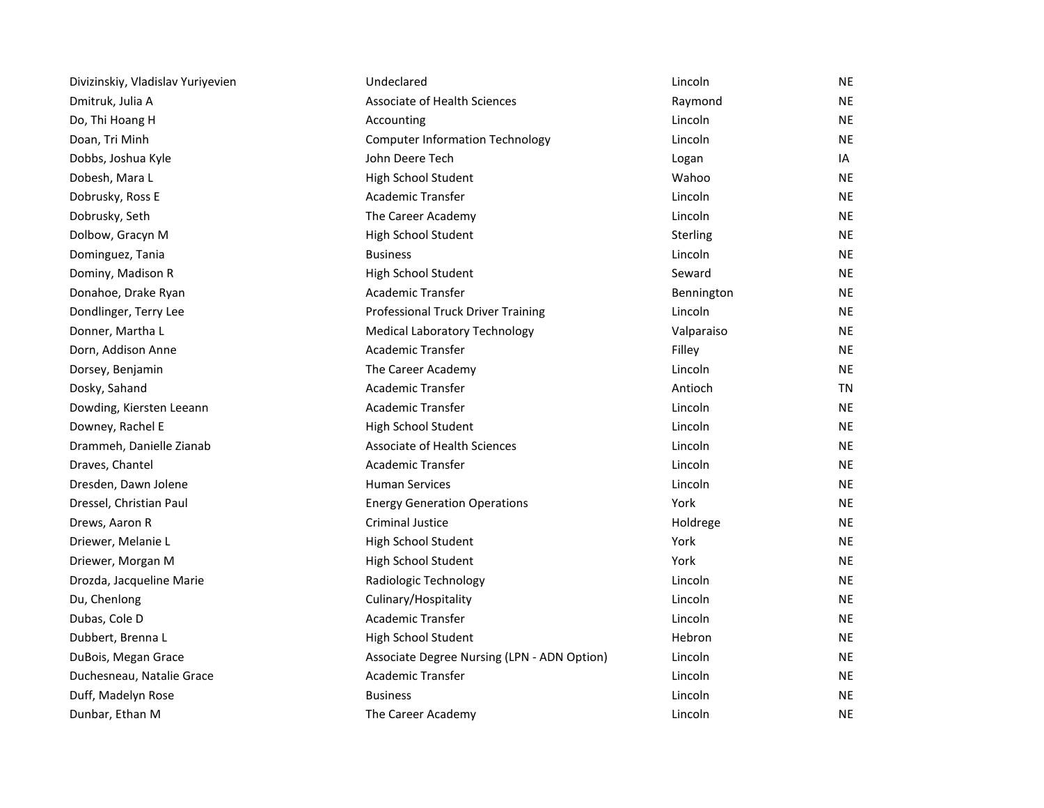| Divizinskiy, Vladislav Yuriyevien | Undeclared                                  | Lincoln    | <b>NE</b> |
|-----------------------------------|---------------------------------------------|------------|-----------|
| Dmitruk, Julia A                  | <b>Associate of Health Sciences</b>         | Raymond    | <b>NE</b> |
| Do, Thi Hoang H                   | Accounting                                  | Lincoln    | NE        |
| Doan, Tri Minh                    | <b>Computer Information Technology</b>      | Lincoln    | NE        |
| Dobbs, Joshua Kyle                | John Deere Tech                             | Logan      | IA        |
| Dobesh, Mara L                    | High School Student                         | Wahoo      | <b>NE</b> |
| Dobrusky, Ross E                  | Academic Transfer                           | Lincoln    | <b>NE</b> |
| Dobrusky, Seth                    | The Career Academy                          | Lincoln    | <b>NE</b> |
| Dolbow, Gracyn M                  | High School Student                         | Sterling   | <b>NE</b> |
| Dominguez, Tania                  | <b>Business</b>                             | Lincoln    | <b>NE</b> |
| Dominy, Madison R                 | High School Student                         | Seward     | <b>NE</b> |
| Donahoe, Drake Ryan               | Academic Transfer                           | Bennington | <b>NE</b> |
| Dondlinger, Terry Lee             | Professional Truck Driver Training          | Lincoln    | <b>NE</b> |
| Donner, Martha L                  | <b>Medical Laboratory Technology</b>        | Valparaiso | <b>NE</b> |
| Dorn, Addison Anne                | Academic Transfer                           | Filley     | <b>NE</b> |
| Dorsey, Benjamin                  | The Career Academy                          | Lincoln    | <b>NE</b> |
| Dosky, Sahand                     | Academic Transfer                           | Antioch    | TN        |
| Dowding, Kiersten Leeann          | Academic Transfer                           | Lincoln    | <b>NE</b> |
| Downey, Rachel E                  | High School Student                         | Lincoln    | <b>NE</b> |
| Drammeh, Danielle Zianab          | Associate of Health Sciences                | Lincoln    | <b>NE</b> |
| Draves, Chantel                   | <b>Academic Transfer</b>                    | Lincoln    | <b>NE</b> |
| Dresden, Dawn Jolene              | <b>Human Services</b>                       | Lincoln    | <b>NE</b> |
| Dressel, Christian Paul           | <b>Energy Generation Operations</b>         | York       | <b>NE</b> |
| Drews, Aaron R                    | Criminal Justice                            | Holdrege   | <b>NE</b> |
| Driewer, Melanie L                | High School Student                         | York       | <b>NE</b> |
| Driewer, Morgan M                 | High School Student                         | York       | <b>NE</b> |
| Drozda, Jacqueline Marie          | Radiologic Technology                       | Lincoln    | <b>NE</b> |
| Du, Chenlong                      | Culinary/Hospitality                        | Lincoln    | <b>NE</b> |
| Dubas, Cole D                     | Academic Transfer                           | Lincoln    | <b>NE</b> |
| Dubbert, Brenna L                 | High School Student                         | Hebron     | <b>NE</b> |
| DuBois, Megan Grace               | Associate Degree Nursing (LPN - ADN Option) | Lincoln    | <b>NE</b> |
| Duchesneau, Natalie Grace         | Academic Transfer                           | Lincoln    | <b>NE</b> |
| Duff, Madelyn Rose                | <b>Business</b>                             | Lincoln    | <b>NE</b> |
| Dunbar, Ethan M                   | The Career Academy                          | Lincoln    | <b>NE</b> |
|                                   |                                             |            |           |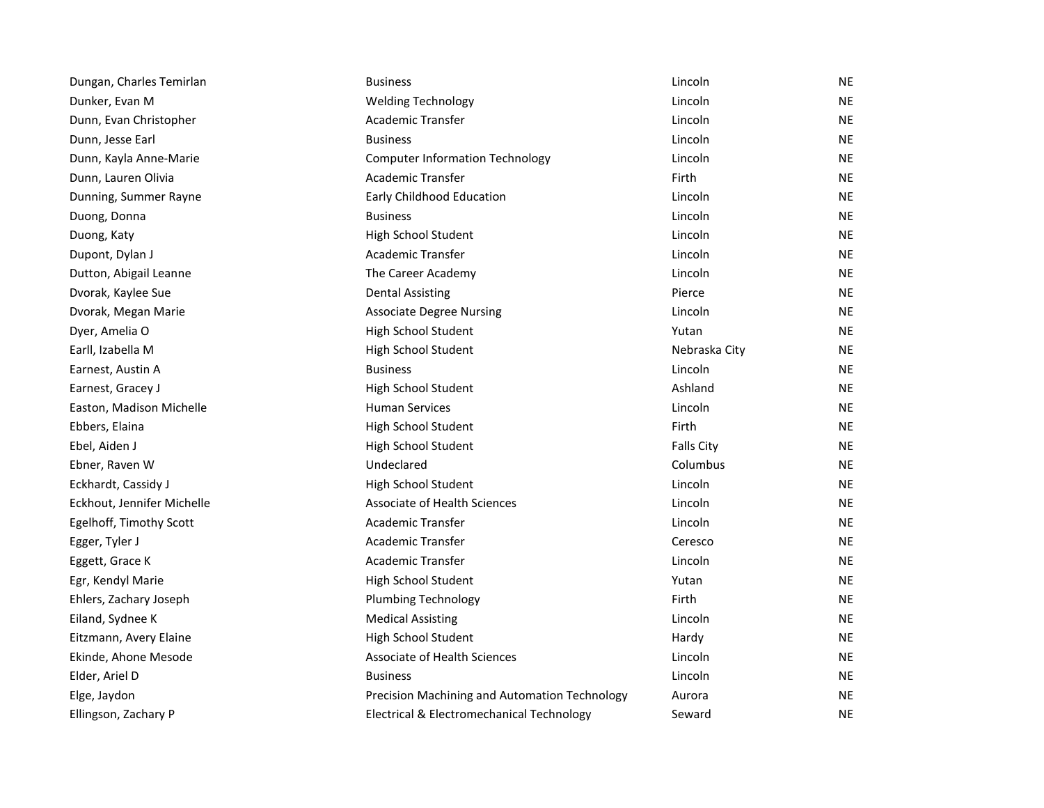| Dungan, Charles Temirlan   | <b>Business</b>                               | Lincoln           | <b>NE</b> |
|----------------------------|-----------------------------------------------|-------------------|-----------|
| Dunker, Evan M             | <b>Welding Technology</b>                     | Lincoln           | <b>NE</b> |
| Dunn, Evan Christopher     | Academic Transfer                             | Lincoln           | <b>NE</b> |
| Dunn, Jesse Earl           | <b>Business</b>                               | Lincoln           | <b>NE</b> |
| Dunn, Kayla Anne-Marie     | <b>Computer Information Technology</b>        | Lincoln           | <b>NE</b> |
| Dunn, Lauren Olivia        | Academic Transfer                             | Firth             | <b>NE</b> |
| Dunning, Summer Rayne      | Early Childhood Education                     | Lincoln           | <b>NE</b> |
| Duong, Donna               | <b>Business</b>                               | Lincoln           | <b>NE</b> |
| Duong, Katy                | High School Student                           | Lincoln           | <b>NE</b> |
| Dupont, Dylan J            | Academic Transfer                             | Lincoln           | <b>NE</b> |
| Dutton, Abigail Leanne     | The Career Academy                            | Lincoln           | <b>NE</b> |
| Dvorak, Kaylee Sue         | <b>Dental Assisting</b>                       | Pierce            | <b>NE</b> |
| Dvorak, Megan Marie        | <b>Associate Degree Nursing</b>               | Lincoln           | <b>NE</b> |
| Dyer, Amelia O             | High School Student                           | Yutan             | <b>NE</b> |
| Earll, Izabella M          | High School Student                           | Nebraska City     | <b>NE</b> |
| Earnest, Austin A          | <b>Business</b>                               | Lincoln           | <b>NE</b> |
| Earnest, Gracey J          | High School Student                           | Ashland           | <b>NE</b> |
| Easton, Madison Michelle   | <b>Human Services</b>                         | Lincoln           | <b>NE</b> |
| Ebbers, Elaina             | High School Student                           | Firth             | <b>NE</b> |
| Ebel, Aiden J              | High School Student                           | <b>Falls City</b> | <b>NE</b> |
| Ebner, Raven W             | Undeclared                                    | Columbus          | <b>NE</b> |
| Eckhardt, Cassidy J        | High School Student                           | Lincoln           | <b>NE</b> |
| Eckhout, Jennifer Michelle | Associate of Health Sciences                  | Lincoln           | <b>NE</b> |
| Egelhoff, Timothy Scott    | <b>Academic Transfer</b>                      | Lincoln           | <b>NE</b> |
| Egger, Tyler J             | Academic Transfer                             | Ceresco           | <b>NE</b> |
| Eggett, Grace K            | Academic Transfer                             | Lincoln           | <b>NE</b> |
| Egr, Kendyl Marie          | High School Student                           | Yutan             | <b>NE</b> |
| Ehlers, Zachary Joseph     | <b>Plumbing Technology</b>                    | Firth             | <b>NE</b> |
| Eiland, Sydnee K           | <b>Medical Assisting</b>                      | Lincoln           | <b>NE</b> |
| Eitzmann, Avery Elaine     | High School Student                           | Hardy             | <b>NE</b> |
| Ekinde, Ahone Mesode       | Associate of Health Sciences                  | Lincoln           | <b>NE</b> |
| Elder, Ariel D             | <b>Business</b>                               | Lincoln           | <b>NE</b> |
| Elge, Jaydon               | Precision Machining and Automation Technology | Aurora            | <b>NE</b> |
| Ellingson, Zachary P       | Electrical & Electromechanical Technology     | Seward            | <b>NE</b> |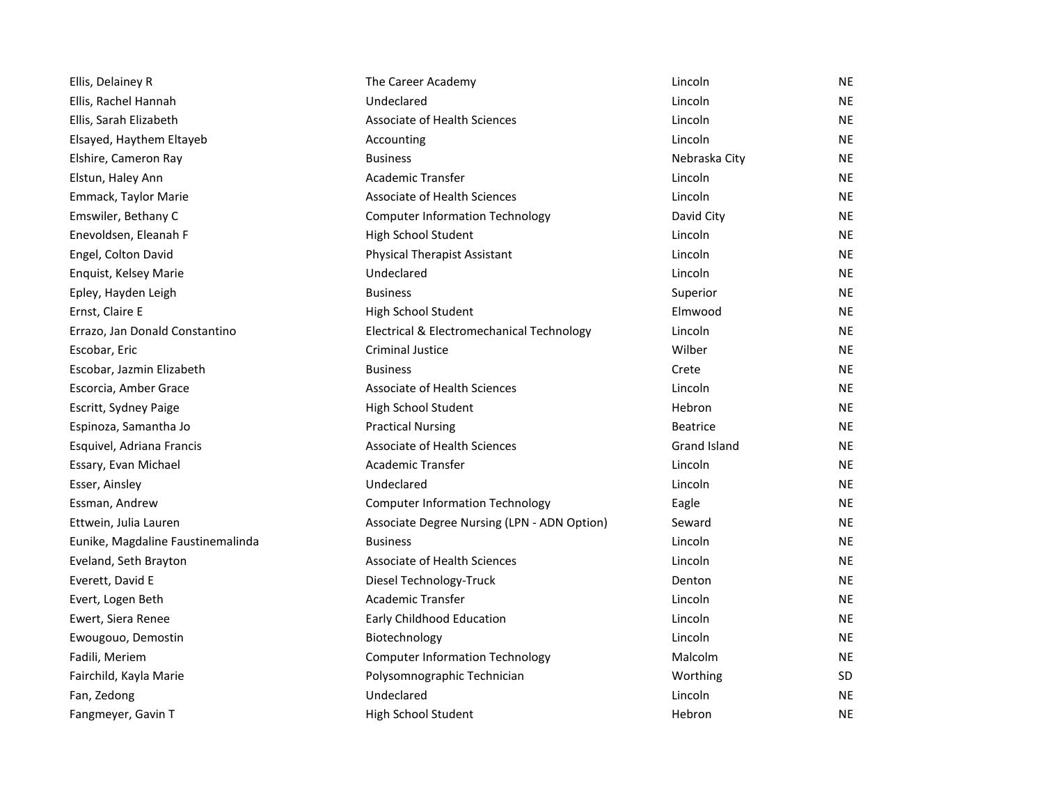| Ellis, Delainey R                 | The Career Academy                          | Lincoln         | <b>NE</b> |
|-----------------------------------|---------------------------------------------|-----------------|-----------|
| Ellis, Rachel Hannah              | Undeclared                                  | Lincoln         | <b>NE</b> |
| Ellis, Sarah Elizabeth            | Associate of Health Sciences                | Lincoln         | <b>NE</b> |
| Elsayed, Haythem Eltayeb          | Accounting                                  | Lincoln         | <b>NE</b> |
| Elshire, Cameron Ray              | <b>Business</b>                             | Nebraska City   | <b>NE</b> |
| Elstun, Haley Ann                 | Academic Transfer                           | Lincoln         | <b>NE</b> |
| Emmack, Taylor Marie              | Associate of Health Sciences                | Lincoln         | <b>NE</b> |
| Emswiler, Bethany C               | <b>Computer Information Technology</b>      | David City      | <b>NE</b> |
| Enevoldsen, Eleanah F             | High School Student                         | Lincoln         | <b>NE</b> |
| Engel, Colton David               | <b>Physical Therapist Assistant</b>         | Lincoln         | <b>NE</b> |
| Enquist, Kelsey Marie             | Undeclared                                  | Lincoln         | NE.       |
| Epley, Hayden Leigh               | <b>Business</b>                             | Superior        | <b>NE</b> |
| Ernst, Claire E                   | High School Student                         | Elmwood         | <b>NE</b> |
| Errazo, Jan Donald Constantino    | Electrical & Electromechanical Technology   | Lincoln         | <b>NE</b> |
| Escobar, Eric                     | <b>Criminal Justice</b>                     | Wilber          | <b>NE</b> |
| Escobar, Jazmin Elizabeth         | <b>Business</b>                             | Crete           | <b>NE</b> |
| Escorcia, Amber Grace             | Associate of Health Sciences                | Lincoln         | <b>NE</b> |
| Escritt, Sydney Paige             | High School Student                         | Hebron          | <b>NE</b> |
| Espinoza, Samantha Jo             | <b>Practical Nursing</b>                    | <b>Beatrice</b> | <b>NE</b> |
| Esquivel, Adriana Francis         | <b>Associate of Health Sciences</b>         | Grand Island    | <b>NE</b> |
| Essary, Evan Michael              | <b>Academic Transfer</b>                    | Lincoln         | <b>NE</b> |
| Esser, Ainsley                    | Undeclared                                  | Lincoln         | <b>NE</b> |
| Essman, Andrew                    | <b>Computer Information Technology</b>      | Eagle           | <b>NE</b> |
| Ettwein, Julia Lauren             | Associate Degree Nursing (LPN - ADN Option) | Seward          | <b>NE</b> |
| Eunike, Magdaline Faustinemalinda | <b>Business</b>                             | Lincoln         | <b>NE</b> |
| Eveland, Seth Brayton             | Associate of Health Sciences                | Lincoln         | <b>NE</b> |
| Everett, David E                  | Diesel Technology-Truck                     | Denton          | <b>NE</b> |
| Evert, Logen Beth                 | <b>Academic Transfer</b>                    | Lincoln         | <b>NE</b> |
| Ewert, Siera Renee                | Early Childhood Education                   | Lincoln         | <b>NE</b> |
| Ewougouo, Demostin                | Biotechnology                               | Lincoln         | <b>NE</b> |
| Fadili, Meriem                    | <b>Computer Information Technology</b>      | Malcolm         | NE.       |
| Fairchild, Kayla Marie            | Polysomnographic Technician                 | Worthing        | <b>SD</b> |
| Fan, Zedong                       | Undeclared                                  | Lincoln         | <b>NE</b> |
| Fangmeyer, Gavin T                | High School Student                         | Hebron          | <b>NE</b> |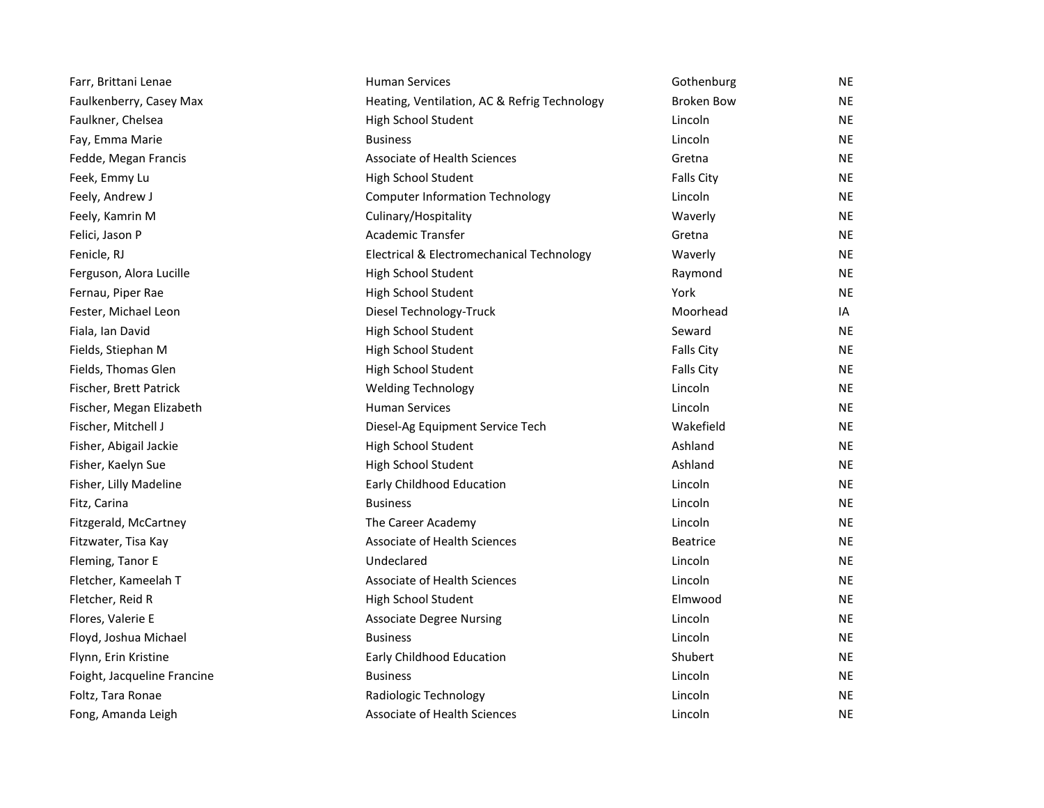| Farr, Brittani Lenae        | <b>Human Services</b>                        | Gothenburg        | <b>NE</b> |
|-----------------------------|----------------------------------------------|-------------------|-----------|
| Faulkenberry, Casey Max     | Heating, Ventilation, AC & Refrig Technology | <b>Broken Bow</b> | <b>NE</b> |
| Faulkner, Chelsea           | High School Student                          | Lincoln           | <b>NE</b> |
| Fay, Emma Marie             | <b>Business</b>                              | Lincoln           | NE        |
| Fedde, Megan Francis        | Associate of Health Sciences                 | Gretna            | <b>NE</b> |
| Feek, Emmy Lu               | High School Student                          | <b>Falls City</b> | <b>NE</b> |
| Feely, Andrew J             | <b>Computer Information Technology</b>       | Lincoln           | <b>NE</b> |
| Feely, Kamrin M             | Culinary/Hospitality                         | Waverly           | <b>NE</b> |
| Felici, Jason P             | Academic Transfer                            | Gretna            | <b>NE</b> |
| Fenicle, RJ                 | Electrical & Electromechanical Technology    | Waverly           | <b>NE</b> |
| Ferguson, Alora Lucille     | High School Student                          | Raymond           | <b>NE</b> |
| Fernau, Piper Rae           | High School Student                          | York              | <b>NE</b> |
| Fester, Michael Leon        | Diesel Technology-Truck                      | Moorhead          | IA        |
| Fiala, Ian David            | High School Student                          | Seward            | <b>NE</b> |
| Fields, Stiephan M          | High School Student                          | <b>Falls City</b> | <b>NE</b> |
| Fields, Thomas Glen         | High School Student                          | <b>Falls City</b> | <b>NE</b> |
| Fischer, Brett Patrick      | <b>Welding Technology</b>                    | Lincoln           | <b>NE</b> |
| Fischer, Megan Elizabeth    | <b>Human Services</b>                        | Lincoln           | <b>NE</b> |
| Fischer, Mitchell J         | Diesel-Ag Equipment Service Tech             | Wakefield         | <b>NE</b> |
| Fisher, Abigail Jackie      | High School Student                          | Ashland           | <b>NE</b> |
| Fisher, Kaelyn Sue          | High School Student                          | Ashland           | NE        |
| Fisher, Lilly Madeline      | <b>Early Childhood Education</b>             | Lincoln           | <b>NE</b> |
| Fitz, Carina                | <b>Business</b>                              | Lincoln           | <b>NE</b> |
| Fitzgerald, McCartney       | The Career Academy                           | Lincoln           | <b>NE</b> |
| Fitzwater, Tisa Kay         | Associate of Health Sciences                 | <b>Beatrice</b>   | <b>NE</b> |
| Fleming, Tanor E            | Undeclared                                   | Lincoln           | <b>NE</b> |
| Fletcher, Kameelah T        | <b>Associate of Health Sciences</b>          | Lincoln           | <b>NE</b> |
| Fletcher, Reid R            | High School Student                          | Elmwood           | NE        |
| Flores, Valerie E           | <b>Associate Degree Nursing</b>              | Lincoln           | <b>NE</b> |
| Floyd, Joshua Michael       | <b>Business</b>                              | Lincoln           | <b>NE</b> |
| Flynn, Erin Kristine        | Early Childhood Education                    | Shubert           | <b>NE</b> |
| Foight, Jacqueline Francine | <b>Business</b>                              | Lincoln           | <b>NE</b> |
| Foltz, Tara Ronae           | Radiologic Technology                        | Lincoln           | <b>NE</b> |
| Fong, Amanda Leigh          | <b>Associate of Health Sciences</b>          | Lincoln           | <b>NE</b> |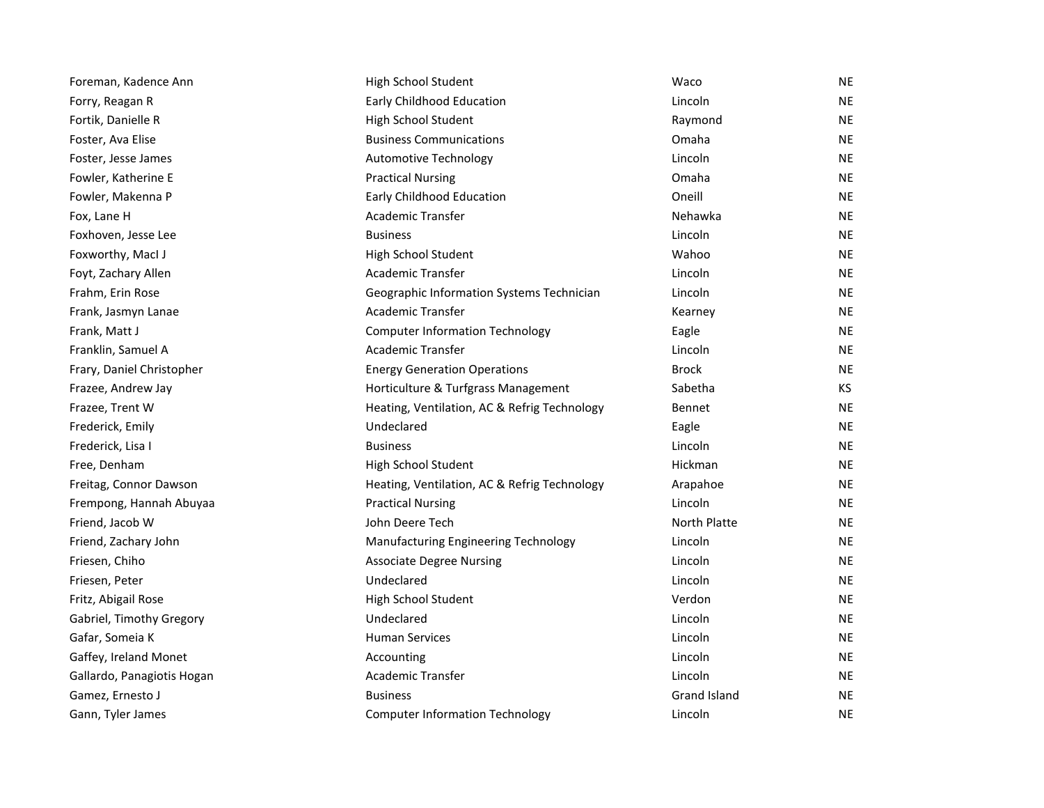| Foreman, Kadence Ann       | High School Student                          | Waco          | NE  |
|----------------------------|----------------------------------------------|---------------|-----|
| Forry, Reagan R            | Early Childhood Education                    | Lincoln       | NE  |
| Fortik, Danielle R         | High School Student                          | Raymond       | NE  |
| Foster, Ava Elise          | <b>Business Communications</b>               | Omaha         | NE  |
| Foster, Jesse James        | <b>Automotive Technology</b>                 | Lincoln       | NE  |
| Fowler, Katherine E        | <b>Practical Nursing</b>                     | Omaha         | NE  |
| Fowler, Makenna P          | Early Childhood Education                    | Oneill        | ΝE  |
| Fox, Lane H                | <b>Academic Transfer</b>                     | Nehawka       | NE  |
| Foxhoven, Jesse Lee        | <b>Business</b>                              | Lincoln       | ΝE  |
| Foxworthy, Macl J          | High School Student                          | Wahoo         | NE  |
| Foyt, Zachary Allen        | <b>Academic Transfer</b>                     | Lincoln       | NE  |
| Frahm, Erin Rose           | Geographic Information Systems Technician    | Lincoln       | NE  |
| Frank, Jasmyn Lanae        | Academic Transfer                            | Kearney       | NE  |
| Frank, Matt J              | <b>Computer Information Technology</b>       | Eagle         | ΝE  |
| Franklin, Samuel A         | Academic Transfer                            | Lincoln       | ΝE  |
| Frary, Daniel Christopher  | <b>Energy Generation Operations</b>          | <b>Brock</b>  | NE  |
| Frazee, Andrew Jay         | Horticulture & Turfgrass Management          | Sabetha       | KS. |
| Frazee, Trent W            | Heating, Ventilation, AC & Refrig Technology | <b>Bennet</b> | ΝE  |
| Frederick, Emily           | Undeclared                                   | Eagle         | ΝE  |
| Frederick, Lisa I          | <b>Business</b>                              | Lincoln       | NE  |
| Free, Denham               | High School Student                          | Hickman       | NE  |
| Freitag, Connor Dawson     | Heating, Ventilation, AC & Refrig Technology | Arapahoe      | NE  |
| Frempong, Hannah Abuyaa    | <b>Practical Nursing</b>                     | Lincoln       | NE  |
| Friend, Jacob W            | John Deere Tech                              | North Platte  | ΝE  |
| Friend, Zachary John       | Manufacturing Engineering Technology         | Lincoln       | ΝE  |
| Friesen, Chiho             | <b>Associate Degree Nursing</b>              | Lincoln       | ΝE  |
| Friesen, Peter             | Undeclared                                   | Lincoln       | ΝE  |
| Fritz, Abigail Rose        | High School Student                          | Verdon        | NE  |
| Gabriel, Timothy Gregory   | Undeclared                                   | Lincoln       | NE  |
| Gafar, Someia K            | <b>Human Services</b>                        | Lincoln       | NE  |
| Gaffey, Ireland Monet      | Accounting                                   | Lincoln       | ΝE  |
| Gallardo, Panagiotis Hogan | Academic Transfer                            | Lincoln       | ΝE  |
| Gamez, Ernesto J           | <b>Business</b>                              | Grand Island  | NE  |
| Gann, Tyler James          | <b>Computer Information Technology</b>       | Lincoln       | ΝE  |
|                            |                                              |               |     |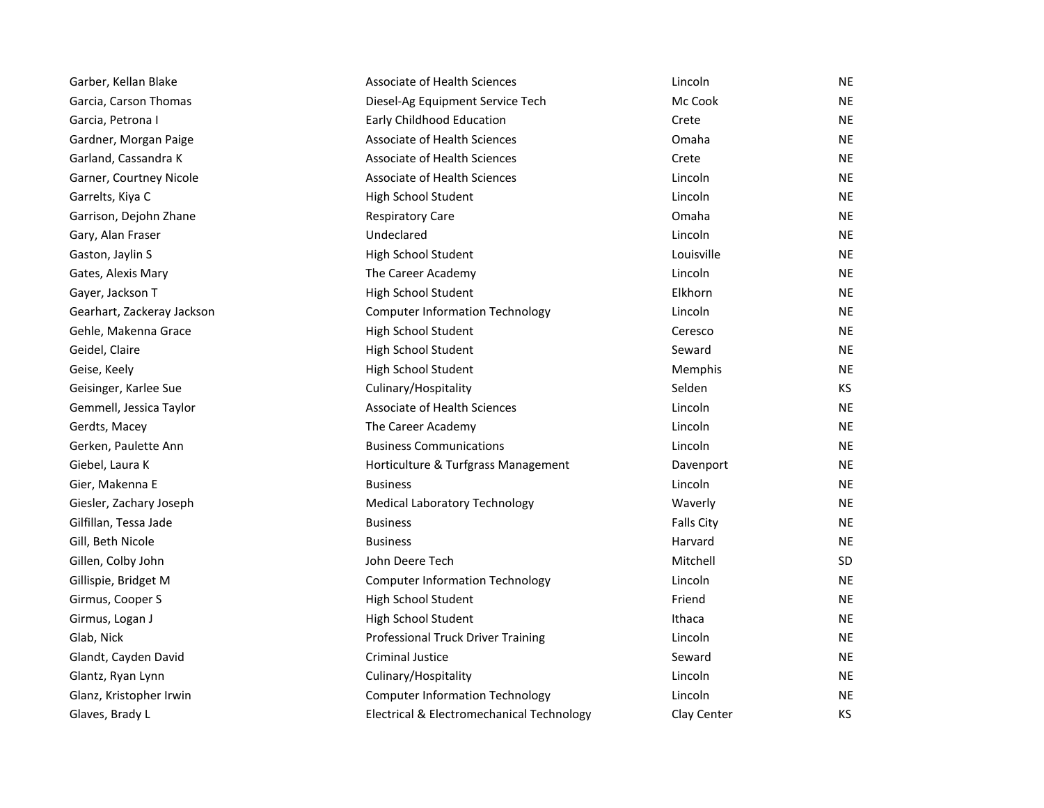| Garber, Kellan Blake       | Associate of Health Sciences              | Lincoln           | <b>NE</b> |
|----------------------------|-------------------------------------------|-------------------|-----------|
| Garcia, Carson Thomas      | Diesel-Ag Equipment Service Tech          | Mc Cook           | <b>NE</b> |
| Garcia, Petrona I          | Early Childhood Education                 | Crete             | <b>NE</b> |
| Gardner, Morgan Paige      | Associate of Health Sciences              | Omaha             | <b>NE</b> |
| Garland, Cassandra K       | Associate of Health Sciences              | Crete             | <b>NE</b> |
| Garner, Courtney Nicole    | <b>Associate of Health Sciences</b>       | Lincoln           | <b>NE</b> |
| Garrelts, Kiya C           | High School Student                       | Lincoln           | <b>NE</b> |
| Garrison, Dejohn Zhane     | <b>Respiratory Care</b>                   | Omaha             | <b>NE</b> |
| Gary, Alan Fraser          | Undeclared                                | Lincoln           | <b>NE</b> |
| Gaston, Jaylin S           | High School Student                       | Louisville        | <b>NE</b> |
| Gates, Alexis Mary         | The Career Academy                        | Lincoln           | <b>NE</b> |
| Gayer, Jackson T           | High School Student                       | Elkhorn           | <b>NE</b> |
| Gearhart, Zackeray Jackson | <b>Computer Information Technology</b>    | Lincoln           | <b>NE</b> |
| Gehle, Makenna Grace       | High School Student                       | Ceresco           | <b>NE</b> |
| Geidel, Claire             | High School Student                       | Seward            | <b>NE</b> |
| Geise, Keely               | High School Student                       | Memphis           | <b>NE</b> |
| Geisinger, Karlee Sue      | Culinary/Hospitality                      | Selden            | KS.       |
| Gemmell, Jessica Taylor    | Associate of Health Sciences              | Lincoln           | <b>NE</b> |
| Gerdts, Macey              | The Career Academy                        | Lincoln           | NE.       |
| Gerken, Paulette Ann       | <b>Business Communications</b>            | Lincoln           | <b>NE</b> |
| Giebel, Laura K            | Horticulture & Turfgrass Management       | Davenport         | NE        |
| Gier, Makenna E            | <b>Business</b>                           | Lincoln           | <b>NE</b> |
| Giesler, Zachary Joseph    | <b>Medical Laboratory Technology</b>      | Waverly           | <b>NE</b> |
| Gilfillan, Tessa Jade      | <b>Business</b>                           | <b>Falls City</b> | <b>NE</b> |
| Gill, Beth Nicole          | <b>Business</b>                           | Harvard           | <b>NE</b> |
| Gillen, Colby John         | John Deere Tech                           | Mitchell          | SD.       |
| Gillispie, Bridget M       | <b>Computer Information Technology</b>    | Lincoln           | <b>NE</b> |
| Girmus, Cooper S           | High School Student                       | Friend            | <b>NE</b> |
| Girmus, Logan J            | High School Student                       | Ithaca            | <b>NE</b> |
| Glab, Nick                 | Professional Truck Driver Training        | Lincoln           | <b>NE</b> |
| Glandt, Cayden David       | <b>Criminal Justice</b>                   | Seward            | <b>NE</b> |
| Glantz, Ryan Lynn          | Culinary/Hospitality                      | Lincoln           | <b>NE</b> |
| Glanz, Kristopher Irwin    | <b>Computer Information Technology</b>    | Lincoln           | <b>NE</b> |
| Glaves, Brady L            | Electrical & Electromechanical Technology | Clay Center       | <b>KS</b> |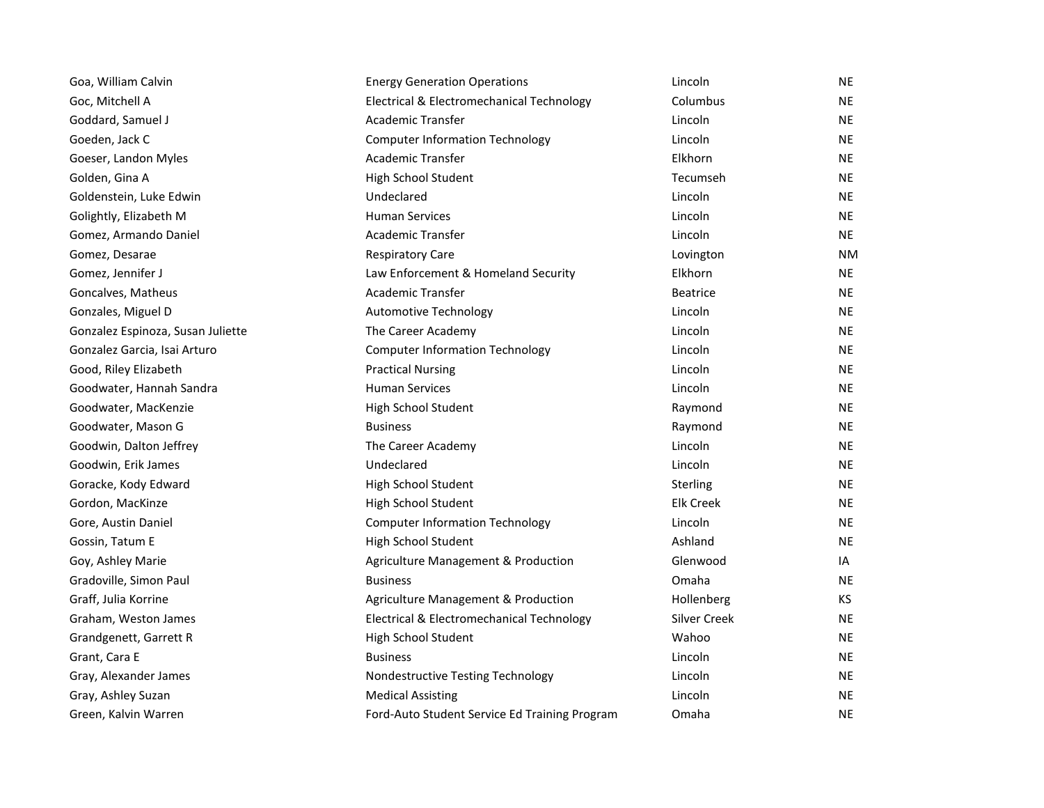| <b>Energy Generation Operations</b>           | Lincoln             | NE        |
|-----------------------------------------------|---------------------|-----------|
| Electrical & Electromechanical Technology     | Columbus            | NE        |
| <b>Academic Transfer</b>                      | Lincoln             | <b>NE</b> |
| <b>Computer Information Technology</b>        | Lincoln             | <b>NE</b> |
| <b>Academic Transfer</b>                      | Elkhorn             | <b>NE</b> |
| High School Student                           | Tecumseh            | NE        |
| Undeclared                                    | Lincoln             | <b>NE</b> |
| <b>Human Services</b>                         | Lincoln             | <b>NE</b> |
| <b>Academic Transfer</b>                      | Lincoln             | <b>NE</b> |
| <b>Respiratory Care</b>                       | Lovington           | <b>NM</b> |
| Law Enforcement & Homeland Security           | Elkhorn             | <b>NE</b> |
| <b>Academic Transfer</b>                      | <b>Beatrice</b>     | <b>NE</b> |
| <b>Automotive Technology</b>                  | Lincoln             | <b>NE</b> |
| The Career Academy                            | Lincoln             | <b>NE</b> |
| <b>Computer Information Technology</b>        | Lincoln             | <b>NE</b> |
| <b>Practical Nursing</b>                      | Lincoln             | <b>NE</b> |
| <b>Human Services</b>                         | Lincoln             | <b>NE</b> |
| High School Student                           | Raymond             | <b>NE</b> |
| <b>Business</b>                               | Raymond             | <b>NE</b> |
| The Career Academy                            | Lincoln             | <b>NE</b> |
| Undeclared                                    | Lincoln             | <b>NE</b> |
| High School Student                           | Sterling            | <b>NE</b> |
| High School Student                           | <b>Elk Creek</b>    | <b>NE</b> |
| <b>Computer Information Technology</b>        | Lincoln             | <b>NE</b> |
| High School Student                           | Ashland             | <b>NE</b> |
| Agriculture Management & Production           | Glenwood            | IA        |
| <b>Business</b>                               | Omaha               | <b>NE</b> |
| Agriculture Management & Production           | Hollenberg          | <b>KS</b> |
| Electrical & Electromechanical Technology     | <b>Silver Creek</b> | <b>NE</b> |
| High School Student                           | Wahoo               | <b>NE</b> |
| <b>Business</b>                               | Lincoln             | <b>NE</b> |
| Nondestructive Testing Technology             | Lincoln             | <b>NE</b> |
| <b>Medical Assisting</b>                      | Lincoln             | NE        |
| Ford-Auto Student Service Ed Training Program | Omaha               | <b>NE</b> |
|                                               |                     |           |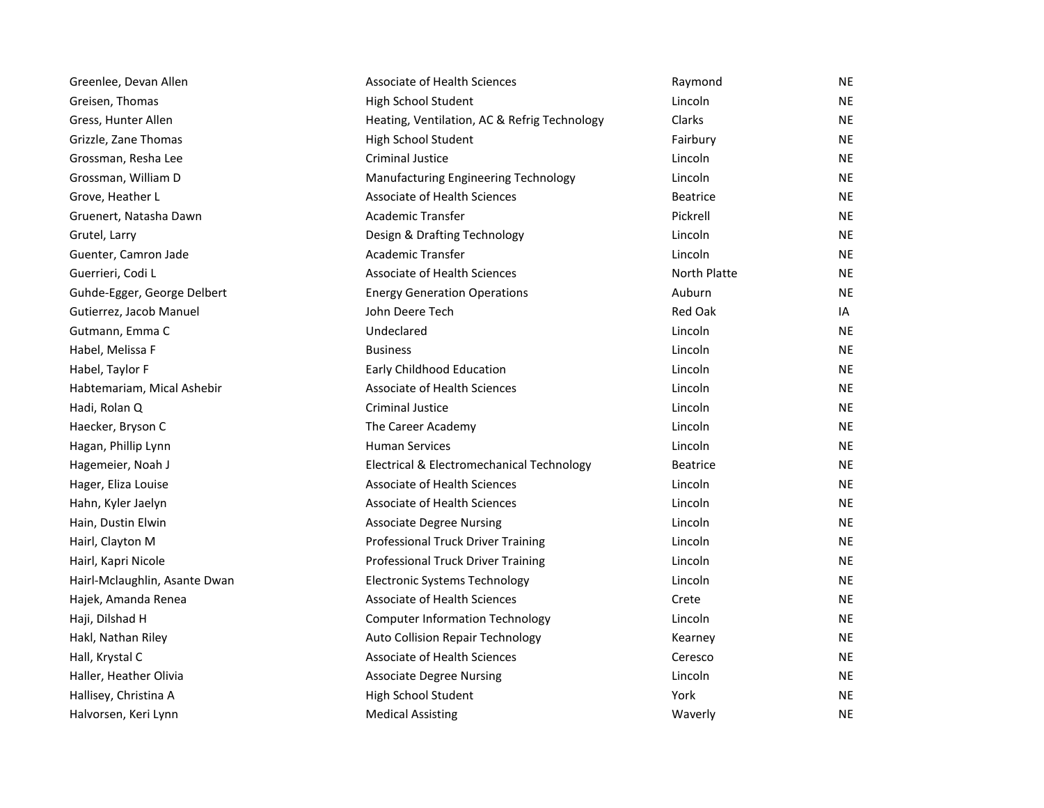| Greenlee, Devan Allen         | Associate of Health Sciences                 | Raymond         | <b>NE</b> |
|-------------------------------|----------------------------------------------|-----------------|-----------|
| Greisen, Thomas               | High School Student                          | Lincoln         | <b>NE</b> |
| Gress, Hunter Allen           | Heating, Ventilation, AC & Refrig Technology | Clarks          | NE        |
| Grizzle, Zane Thomas          | High School Student                          | Fairbury        | <b>NE</b> |
| Grossman, Resha Lee           | <b>Criminal Justice</b>                      | Lincoln         | <b>NE</b> |
| Grossman, William D           | Manufacturing Engineering Technology         | Lincoln         | <b>NE</b> |
| Grove, Heather L              | Associate of Health Sciences                 | <b>Beatrice</b> | <b>NE</b> |
| Gruenert, Natasha Dawn        | <b>Academic Transfer</b>                     | Pickrell        | <b>NE</b> |
| Grutel, Larry                 | Design & Drafting Technology                 | Lincoln         | <b>NE</b> |
| Guenter, Camron Jade          | <b>Academic Transfer</b>                     | Lincoln         | <b>NE</b> |
| Guerrieri, Codi L             | Associate of Health Sciences                 | North Platte    | NE        |
| Guhde-Egger, George Delbert   | <b>Energy Generation Operations</b>          | Auburn          | <b>NE</b> |
| Gutierrez, Jacob Manuel       | John Deere Tech                              | <b>Red Oak</b>  | IA        |
| Gutmann, Emma C               | Undeclared                                   | Lincoln         | <b>NE</b> |
| Habel, Melissa F              | <b>Business</b>                              | Lincoln         | NE        |
| Habel, Taylor F               | Early Childhood Education                    | Lincoln         | <b>NE</b> |
| Habtemariam, Mical Ashebir    | <b>Associate of Health Sciences</b>          | Lincoln         | <b>NE</b> |
| Hadi, Rolan Q                 | <b>Criminal Justice</b>                      | Lincoln         | <b>NE</b> |
| Haecker, Bryson C             | The Career Academy                           | Lincoln         | <b>NE</b> |
| Hagan, Phillip Lynn           | <b>Human Services</b>                        | Lincoln         | <b>NE</b> |
| Hagemeier, Noah J             | Electrical & Electromechanical Technology    | <b>Beatrice</b> | <b>NE</b> |
| Hager, Eliza Louise           | <b>Associate of Health Sciences</b>          | Lincoln         | <b>NE</b> |
| Hahn, Kyler Jaelyn            | Associate of Health Sciences                 | Lincoln         | <b>NE</b> |
| Hain, Dustin Elwin            | <b>Associate Degree Nursing</b>              | Lincoln         | NE        |
| Hairl, Clayton M              | <b>Professional Truck Driver Training</b>    | Lincoln         | <b>NE</b> |
| Hairl, Kapri Nicole           | <b>Professional Truck Driver Training</b>    | Lincoln         | <b>NE</b> |
| Hairl-Mclaughlin, Asante Dwan | <b>Electronic Systems Technology</b>         | Lincoln         | <b>NE</b> |
| Hajek, Amanda Renea           | <b>Associate of Health Sciences</b>          | Crete           | <b>NE</b> |
| Haji, Dilshad H               | <b>Computer Information Technology</b>       | Lincoln         | <b>NE</b> |
| Hakl, Nathan Riley            | <b>Auto Collision Repair Technology</b>      | Kearney         | <b>NE</b> |
| Hall, Krystal C               | Associate of Health Sciences                 | Ceresco         | <b>NE</b> |
| Haller, Heather Olivia        | <b>Associate Degree Nursing</b>              | Lincoln         | NE        |
| Hallisey, Christina A         | High School Student                          | York            | <b>NE</b> |
| Halvorsen, Keri Lynn          | <b>Medical Assisting</b>                     | Waverly         | <b>NE</b> |
|                               |                                              |                 |           |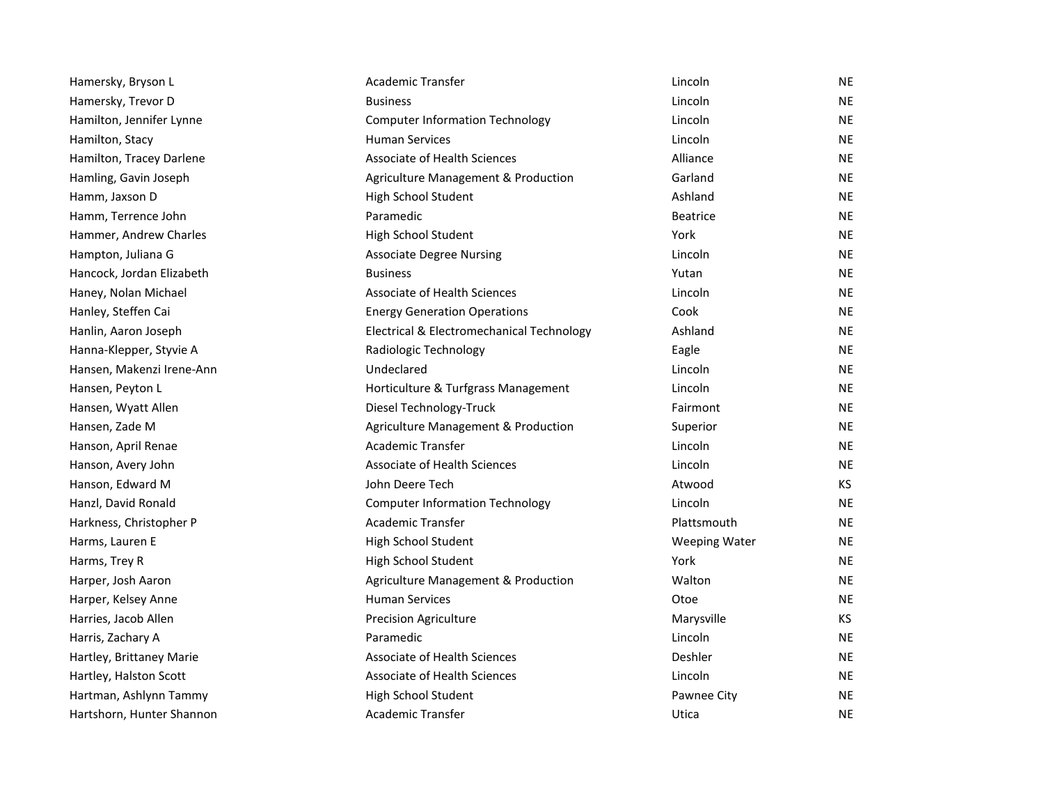| Hamersky, Bryson L        | Academic Transfer                         | Lincoln              | <b>NE</b> |
|---------------------------|-------------------------------------------|----------------------|-----------|
| Hamersky, Trevor D        | <b>Business</b>                           | Lincoln              | <b>NE</b> |
| Hamilton, Jennifer Lynne  | <b>Computer Information Technology</b>    | Lincoln              | <b>NE</b> |
| Hamilton, Stacy           | <b>Human Services</b>                     | Lincoln              | <b>NE</b> |
| Hamilton, Tracey Darlene  | <b>Associate of Health Sciences</b>       | Alliance             | <b>NE</b> |
| Hamling, Gavin Joseph     | Agriculture Management & Production       | Garland              | <b>NE</b> |
| Hamm, Jaxson D            | High School Student                       | Ashland              | <b>NE</b> |
| Hamm, Terrence John       | Paramedic                                 | <b>Beatrice</b>      | <b>NE</b> |
| Hammer, Andrew Charles    | High School Student                       | York                 | <b>NE</b> |
| Hampton, Juliana G        | <b>Associate Degree Nursing</b>           | Lincoln              | <b>NE</b> |
| Hancock, Jordan Elizabeth | <b>Business</b>                           | Yutan                | <b>NE</b> |
| Haney, Nolan Michael      | <b>Associate of Health Sciences</b>       | Lincoln              | <b>NE</b> |
| Hanley, Steffen Cai       | <b>Energy Generation Operations</b>       | Cook                 | <b>NE</b> |
| Hanlin, Aaron Joseph      | Electrical & Electromechanical Technology | Ashland              | <b>NE</b> |
| Hanna-Klepper, Styvie A   | Radiologic Technology                     | Eagle                | <b>NE</b> |
| Hansen, Makenzi Irene-Ann | Undeclared                                | Lincoln              | <b>NE</b> |
| Hansen, Peyton L          | Horticulture & Turfgrass Management       | Lincoln              | <b>NE</b> |
| Hansen, Wyatt Allen       | Diesel Technology-Truck                   | Fairmont             | <b>NE</b> |
| Hansen, Zade M            | Agriculture Management & Production       | Superior             | <b>NE</b> |
| Hanson, April Renae       | Academic Transfer                         | Lincoln              | <b>NE</b> |
| Hanson, Avery John        | <b>Associate of Health Sciences</b>       | Lincoln              | <b>NE</b> |
| Hanson, Edward M          | John Deere Tech                           | Atwood               | <b>KS</b> |
| Hanzl, David Ronald       | <b>Computer Information Technology</b>    | Lincoln              | <b>NE</b> |
| Harkness, Christopher P   | Academic Transfer                         | Plattsmouth          | <b>NE</b> |
| Harms, Lauren E           | High School Student                       | <b>Weeping Water</b> | <b>NE</b> |
| Harms, Trey R             | High School Student                       | York                 | <b>NE</b> |
| Harper, Josh Aaron        | Agriculture Management & Production       | Walton               | <b>NE</b> |
| Harper, Kelsey Anne       | <b>Human Services</b>                     | Otoe                 | <b>NE</b> |
| Harries, Jacob Allen      | <b>Precision Agriculture</b>              | Marysville           | KS        |
| Harris, Zachary A         | Paramedic                                 | Lincoln              | <b>NE</b> |
| Hartley, Brittaney Marie  | Associate of Health Sciences              | Deshler              | <b>NE</b> |
| Hartley, Halston Scott    | <b>Associate of Health Sciences</b>       | Lincoln              | <b>NE</b> |
| Hartman, Ashlynn Tammy    | High School Student                       | Pawnee City          | <b>NE</b> |
| Hartshorn, Hunter Shannon | <b>Academic Transfer</b>                  | Utica                | <b>NE</b> |
|                           |                                           |                      |           |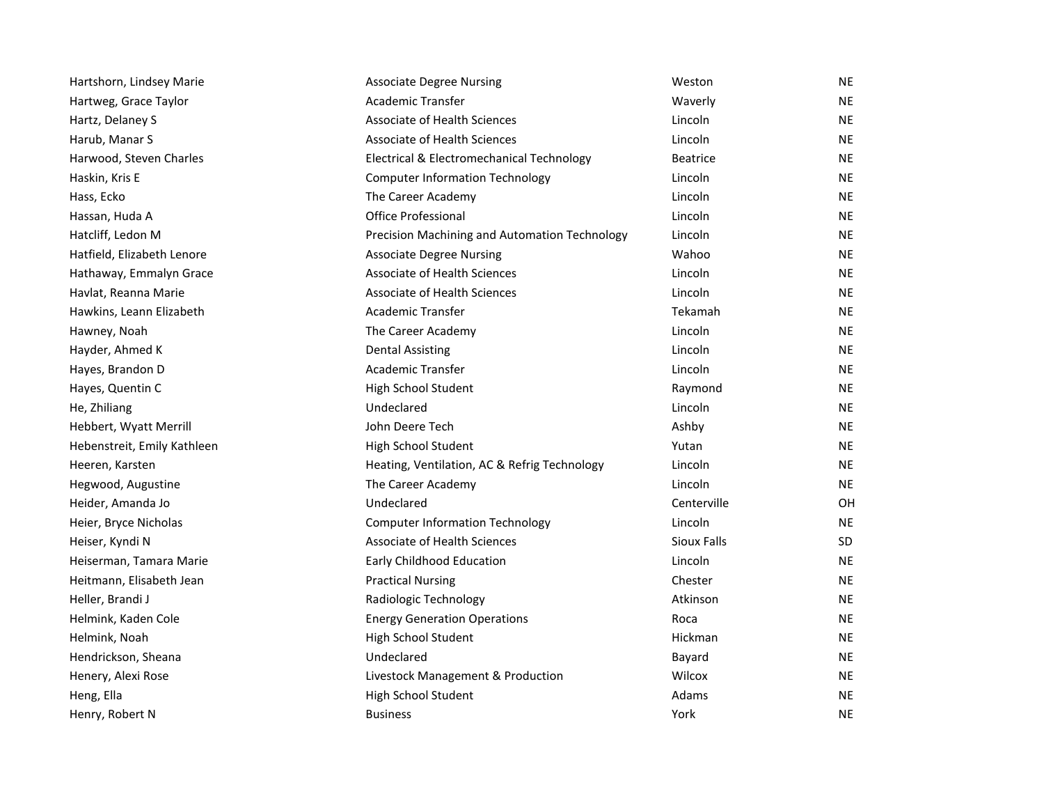| Hartshorn, Lindsey Marie    | <b>Associate Degree Nursing</b>               | Weston          | <b>NE</b> |
|-----------------------------|-----------------------------------------------|-----------------|-----------|
| Hartweg, Grace Taylor       | Academic Transfer                             | Waverly         | <b>NE</b> |
| Hartz, Delaney S            | Associate of Health Sciences                  | Lincoln         | <b>NE</b> |
| Harub, Manar S              | Associate of Health Sciences                  | Lincoln         | <b>NE</b> |
| Harwood, Steven Charles     | Electrical & Electromechanical Technology     | <b>Beatrice</b> | <b>NE</b> |
| Haskin, Kris E              | <b>Computer Information Technology</b>        | Lincoln         | <b>NE</b> |
| Hass, Ecko                  | The Career Academy                            | Lincoln         | <b>NE</b> |
| Hassan, Huda A              | Office Professional                           | Lincoln         | <b>NE</b> |
| Hatcliff, Ledon M           | Precision Machining and Automation Technology | Lincoln         | <b>NE</b> |
| Hatfield, Elizabeth Lenore  | <b>Associate Degree Nursing</b>               | Wahoo           | <b>NE</b> |
| Hathaway, Emmalyn Grace     | Associate of Health Sciences                  | Lincoln         | <b>NE</b> |
| Havlat, Reanna Marie        | Associate of Health Sciences                  | Lincoln         | <b>NE</b> |
| Hawkins, Leann Elizabeth    | Academic Transfer                             | Tekamah         | <b>NE</b> |
| Hawney, Noah                | The Career Academy                            | Lincoln         | <b>NE</b> |
| Hayder, Ahmed K             | <b>Dental Assisting</b>                       | Lincoln         | <b>NE</b> |
| Hayes, Brandon D            | <b>Academic Transfer</b>                      | Lincoln         | <b>NE</b> |
| Hayes, Quentin C            | High School Student                           | Raymond         | <b>NE</b> |
| He, Zhiliang                | Undeclared                                    | Lincoln         | <b>NE</b> |
| Hebbert, Wyatt Merrill      | John Deere Tech                               | Ashby           | <b>NE</b> |
| Hebenstreit, Emily Kathleen | High School Student                           | Yutan           | <b>NE</b> |
| Heeren, Karsten             | Heating, Ventilation, AC & Refrig Technology  | Lincoln         | <b>NE</b> |
| Hegwood, Augustine          | The Career Academy                            | Lincoln         | <b>NE</b> |
| Heider, Amanda Jo           | Undeclared                                    | Centerville     | <b>OH</b> |
| Heier, Bryce Nicholas       | <b>Computer Information Technology</b>        | Lincoln         | <b>NE</b> |
| Heiser, Kyndi N             | Associate of Health Sciences                  | Sioux Falls     | SD        |
| Heiserman, Tamara Marie     | Early Childhood Education                     | Lincoln         | <b>NE</b> |
| Heitmann, Elisabeth Jean    | <b>Practical Nursing</b>                      | Chester         | <b>NE</b> |
| Heller, Brandi J            | Radiologic Technology                         | Atkinson        | <b>NE</b> |
| Helmink, Kaden Cole         | <b>Energy Generation Operations</b>           | Roca            | <b>NE</b> |
| Helmink, Noah               | High School Student                           | Hickman         | <b>NE</b> |
| Hendrickson, Sheana         | Undeclared                                    | Bayard          | <b>NE</b> |
| Henery, Alexi Rose          | Livestock Management & Production             | Wilcox          | <b>NE</b> |
| Heng, Ella                  | High School Student                           | Adams           | <b>NE</b> |
| Henry, Robert N             | <b>Business</b>                               | York            | <b>NE</b> |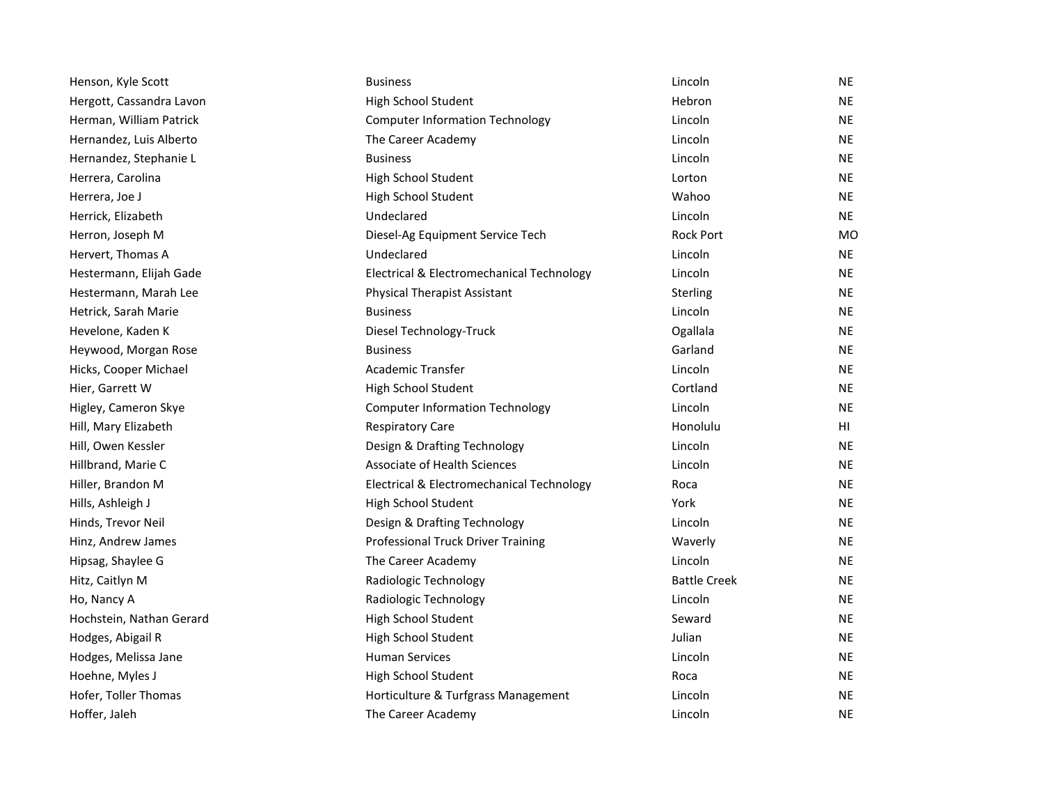| Henson, Kyle Scott       | <b>Business</b>                           | Lincoln             | NE  |
|--------------------------|-------------------------------------------|---------------------|-----|
| Hergott, Cassandra Lavon | High School Student                       | Hebron              | NE  |
| Herman, William Patrick  | <b>Computer Information Technology</b>    | Lincoln             | NE  |
| Hernandez, Luis Alberto  | The Career Academy                        | Lincoln             | NE  |
| Hernandez, Stephanie L   | <b>Business</b>                           | Lincoln             | NE  |
| Herrera, Carolina        | High School Student                       | Lorton              | NE  |
| Herrera, Joe J           | High School Student                       | Wahoo               | ΝE  |
| Herrick, Elizabeth       | Undeclared                                | Lincoln             | NE  |
| Herron, Joseph M         | Diesel-Ag Equipment Service Tech          | <b>Rock Port</b>    | MО  |
| Hervert, Thomas A        | Undeclared                                | Lincoln             | NE  |
| Hestermann, Elijah Gade  | Electrical & Electromechanical Technology | Lincoln             | ΝE  |
| Hestermann, Marah Lee    | <b>Physical Therapist Assistant</b>       | Sterling            | ΝE  |
| Hetrick, Sarah Marie     | <b>Business</b>                           | Lincoln             | ΝE  |
| Hevelone, Kaden K        | Diesel Technology-Truck                   | Ogallala            | NE. |
| Heywood, Morgan Rose     | <b>Business</b>                           | Garland             | ΝE  |
| Hicks, Cooper Michael    | <b>Academic Transfer</b>                  | Lincoln             | NE  |
| Hier, Garrett W          | High School Student                       | Cortland            | NE  |
| Higley, Cameron Skye     | <b>Computer Information Technology</b>    | Lincoln             | NE. |
| Hill, Mary Elizabeth     | <b>Respiratory Care</b>                   | Honolulu            | HI  |
| Hill, Owen Kessler       | Design & Drafting Technology              | Lincoln             | NE. |
| Hillbrand, Marie C       | Associate of Health Sciences              | Lincoln             | NE  |
| Hiller, Brandon M        | Electrical & Electromechanical Technology | Roca                | ΝE  |
| Hills, Ashleigh J        | High School Student                       | York                | ΝE  |
| Hinds, Trevor Neil       | Design & Drafting Technology              | Lincoln             | ΝE  |
| Hinz, Andrew James       | <b>Professional Truck Driver Training</b> | Waverly             | NE  |
| Hipsag, Shaylee G        | The Career Academy                        | Lincoln             | NE  |
| Hitz, Caitlyn M          | Radiologic Technology                     | <b>Battle Creek</b> | NE  |
| Ho, Nancy A              | Radiologic Technology                     | Lincoln             | ΝE  |
| Hochstein, Nathan Gerard | High School Student                       | Seward              | NE. |
| Hodges, Abigail R        | High School Student                       | Julian              | NE  |
| Hodges, Melissa Jane     | <b>Human Services</b>                     | Lincoln             | ΝE  |
| Hoehne, Myles J          | High School Student                       | Roca                | ΝE  |
| Hofer, Toller Thomas     | Horticulture & Turfgrass Management       | Lincoln             | ΝE  |
| Hoffer, Jaleh            | The Career Academy                        | Lincoln             | NE  |
|                          |                                           |                     |     |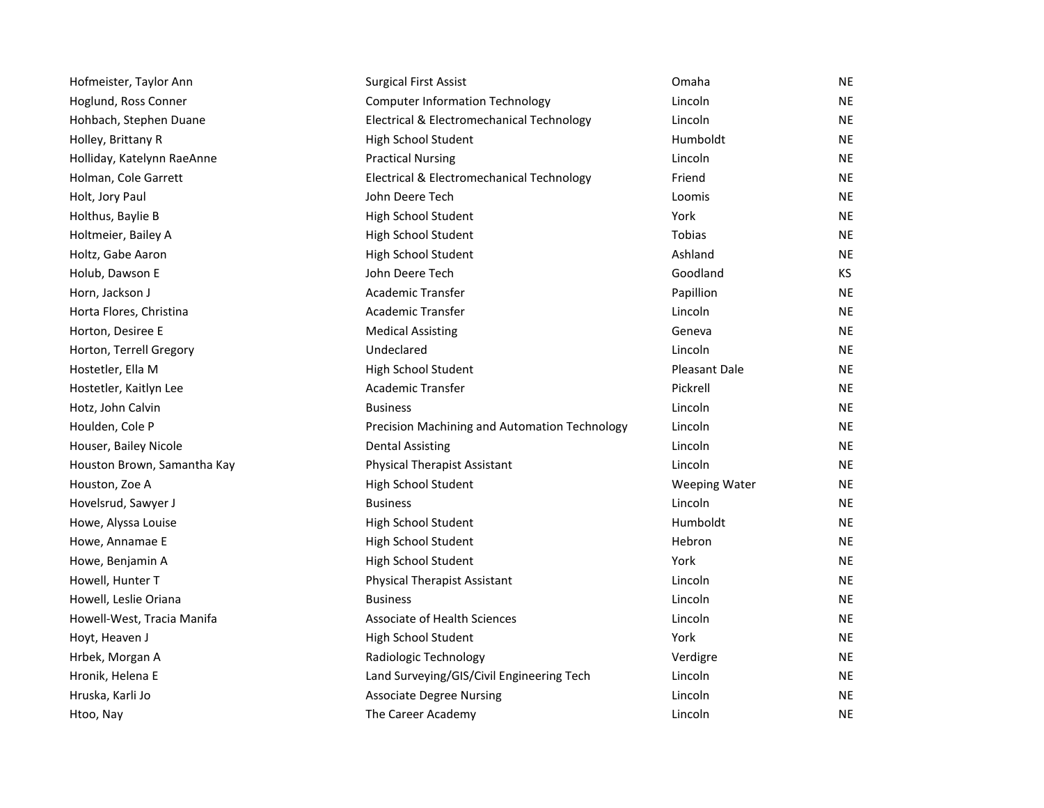| Hofmeister, Taylor Ann      | <b>Surgical First Assist</b>                  | Omaha                | NE        |
|-----------------------------|-----------------------------------------------|----------------------|-----------|
| Hoglund, Ross Conner        | <b>Computer Information Technology</b>        | Lincoln              | <b>NE</b> |
| Hohbach, Stephen Duane      | Electrical & Electromechanical Technology     | Lincoln              | <b>NE</b> |
| Holley, Brittany R          | High School Student                           | Humboldt             | <b>NE</b> |
| Holliday, Katelynn RaeAnne  | <b>Practical Nursing</b>                      | Lincoln              | <b>NE</b> |
| Holman, Cole Garrett        | Electrical & Electromechanical Technology     | Friend               | <b>NE</b> |
| Holt, Jory Paul             | John Deere Tech                               | Loomis               | <b>NE</b> |
| Holthus, Baylie B           | High School Student                           | York                 | <b>NE</b> |
| Holtmeier, Bailey A         | High School Student                           | Tobias               | <b>NE</b> |
| Holtz, Gabe Aaron           | High School Student                           | Ashland              | <b>NE</b> |
| Holub, Dawson E             | John Deere Tech                               | Goodland             | KS.       |
| Horn, Jackson J             | <b>Academic Transfer</b>                      | Papillion            | <b>NE</b> |
| Horta Flores, Christina     | Academic Transfer                             | Lincoln              | <b>NE</b> |
| Horton, Desiree E           | <b>Medical Assisting</b>                      | Geneva               | <b>NE</b> |
| Horton, Terrell Gregory     | Undeclared                                    | Lincoln              | NE.       |
| Hostetler, Ella M           | High School Student                           | <b>Pleasant Dale</b> | <b>NE</b> |
| Hostetler, Kaitlyn Lee      | Academic Transfer                             | Pickrell             | <b>NE</b> |
| Hotz, John Calvin           | <b>Business</b>                               | Lincoln              | <b>NE</b> |
| Houlden, Cole P             | Precision Machining and Automation Technology | Lincoln              | <b>NE</b> |
| Houser, Bailey Nicole       | <b>Dental Assisting</b>                       | Lincoln              | <b>NE</b> |
| Houston Brown, Samantha Kay | <b>Physical Therapist Assistant</b>           | Lincoln              | <b>NE</b> |
| Houston, Zoe A              | High School Student                           | Weeping Water        | <b>NE</b> |
| Hovelsrud, Sawyer J         | <b>Business</b>                               | Lincoln              | NE        |
| Howe, Alyssa Louise         | High School Student                           | Humboldt             | <b>NE</b> |
| Howe, Annamae E             | High School Student                           | Hebron               | <b>NE</b> |
| Howe, Benjamin A            | High School Student                           | York                 | <b>NE</b> |
| Howell, Hunter T            | <b>Physical Therapist Assistant</b>           | Lincoln              | <b>NE</b> |
| Howell, Leslie Oriana       | <b>Business</b>                               | Lincoln              | <b>NE</b> |
| Howell-West, Tracia Manifa  | <b>Associate of Health Sciences</b>           | Lincoln              | NE.       |
| Hoyt, Heaven J              | High School Student                           | York                 | <b>NE</b> |
| Hrbek, Morgan A             | Radiologic Technology                         | Verdigre             | NE.       |
| Hronik, Helena E            | Land Surveying/GIS/Civil Engineering Tech     | Lincoln              | <b>NE</b> |
| Hruska, Karli Jo            | <b>Associate Degree Nursing</b>               | Lincoln              | <b>NE</b> |
| Htoo, Nay                   | The Career Academy                            | Lincoln              | <b>NE</b> |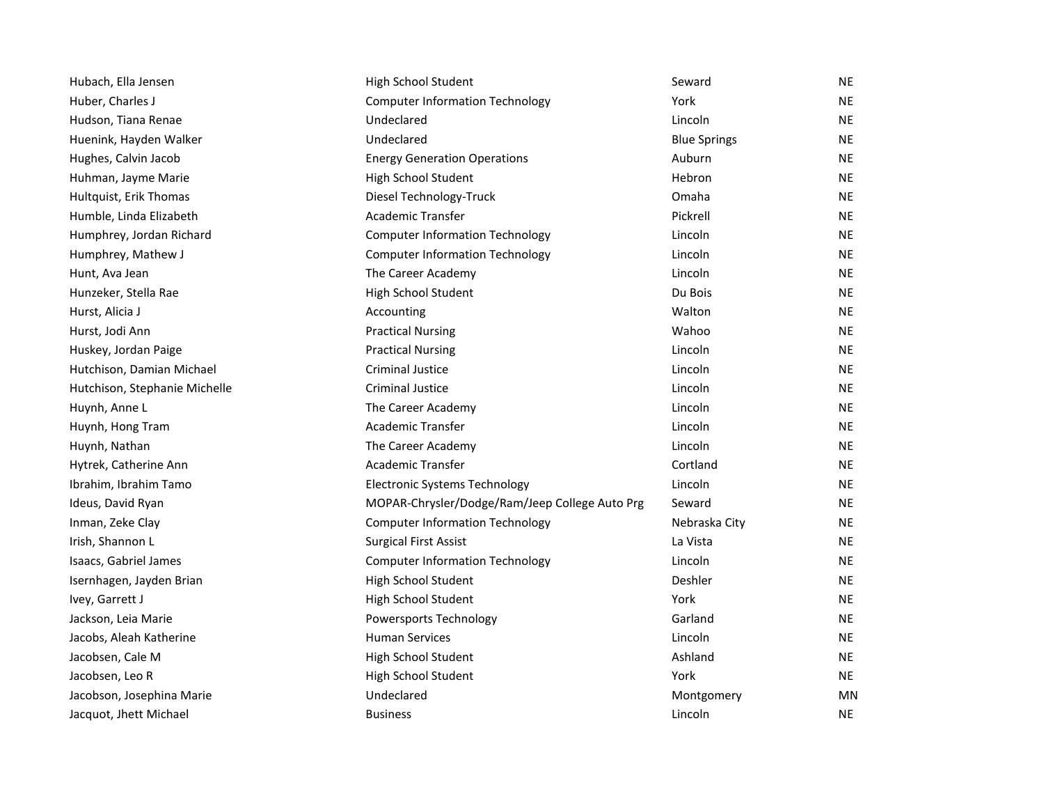| Hubach, Ella Jensen           | High School Student                            | Seward              | <b>NE</b> |
|-------------------------------|------------------------------------------------|---------------------|-----------|
| Huber, Charles J              | <b>Computer Information Technology</b>         | York                | <b>NE</b> |
| Hudson, Tiana Renae           | Undeclared                                     | Lincoln             | NE        |
| Huenink, Hayden Walker        | Undeclared                                     | <b>Blue Springs</b> | <b>NE</b> |
| Hughes, Calvin Jacob          | <b>Energy Generation Operations</b>            | Auburn              | NE        |
| Huhman, Jayme Marie           | High School Student                            | Hebron              | NE.       |
| Hultquist, Erik Thomas        | Diesel Technology-Truck                        | Omaha               | <b>NE</b> |
| Humble, Linda Elizabeth       | <b>Academic Transfer</b>                       | Pickrell            | <b>NE</b> |
| Humphrey, Jordan Richard      | <b>Computer Information Technology</b>         | Lincoln             | <b>NE</b> |
| Humphrey, Mathew J            | <b>Computer Information Technology</b>         | Lincoln             | NE        |
| Hunt, Ava Jean                | The Career Academy                             | Lincoln             | NE        |
| Hunzeker, Stella Rae          | High School Student                            | Du Bois             | NE        |
| Hurst, Alicia J               | Accounting                                     | Walton              | <b>NE</b> |
| Hurst, Jodi Ann               | <b>Practical Nursing</b>                       | Wahoo               | <b>NE</b> |
| Huskey, Jordan Paige          | <b>Practical Nursing</b>                       | Lincoln             | NE.       |
| Hutchison, Damian Michael     | <b>Criminal Justice</b>                        | Lincoln             | NE.       |
| Hutchison, Stephanie Michelle | <b>Criminal Justice</b>                        | Lincoln             | <b>NE</b> |
| Huynh, Anne L                 | The Career Academy                             | Lincoln             | NE.       |
| Huynh, Hong Tram              | <b>Academic Transfer</b>                       | Lincoln             | NE.       |
| Huynh, Nathan                 | The Career Academy                             | Lincoln             | <b>NE</b> |
| Hytrek, Catherine Ann         | <b>Academic Transfer</b>                       | Cortland            | NE        |
| Ibrahim, Ibrahim Tamo         | <b>Electronic Systems Technology</b>           | Lincoln             | NE        |
| Ideus, David Ryan             | MOPAR-Chrysler/Dodge/Ram/Jeep College Auto Prg | Seward              | <b>NE</b> |
| Inman, Zeke Clay              | <b>Computer Information Technology</b>         | Nebraska City       | <b>NE</b> |
| Irish, Shannon L              | <b>Surgical First Assist</b>                   | La Vista            | NE.       |
| Isaacs, Gabriel James         | <b>Computer Information Technology</b>         | Lincoln             | <b>NE</b> |
| Isernhagen, Jayden Brian      | High School Student                            | Deshler             | <b>NE</b> |
| Ivey, Garrett J               | High School Student                            | York                | NE.       |
| Jackson, Leia Marie           | Powersports Technology                         | Garland             | NE.       |
| Jacobs, Aleah Katherine       | <b>Human Services</b>                          | Lincoln             | NE.       |
| Jacobsen, Cale M              | High School Student                            | Ashland             | NE        |
| Jacobsen, Leo R               | High School Student                            | York                | <b>NE</b> |
| Jacobson, Josephina Marie     | Undeclared                                     | Montgomery          | MN        |
| Jacquot, Jhett Michael        | <b>Business</b>                                | Lincoln             | <b>NE</b> |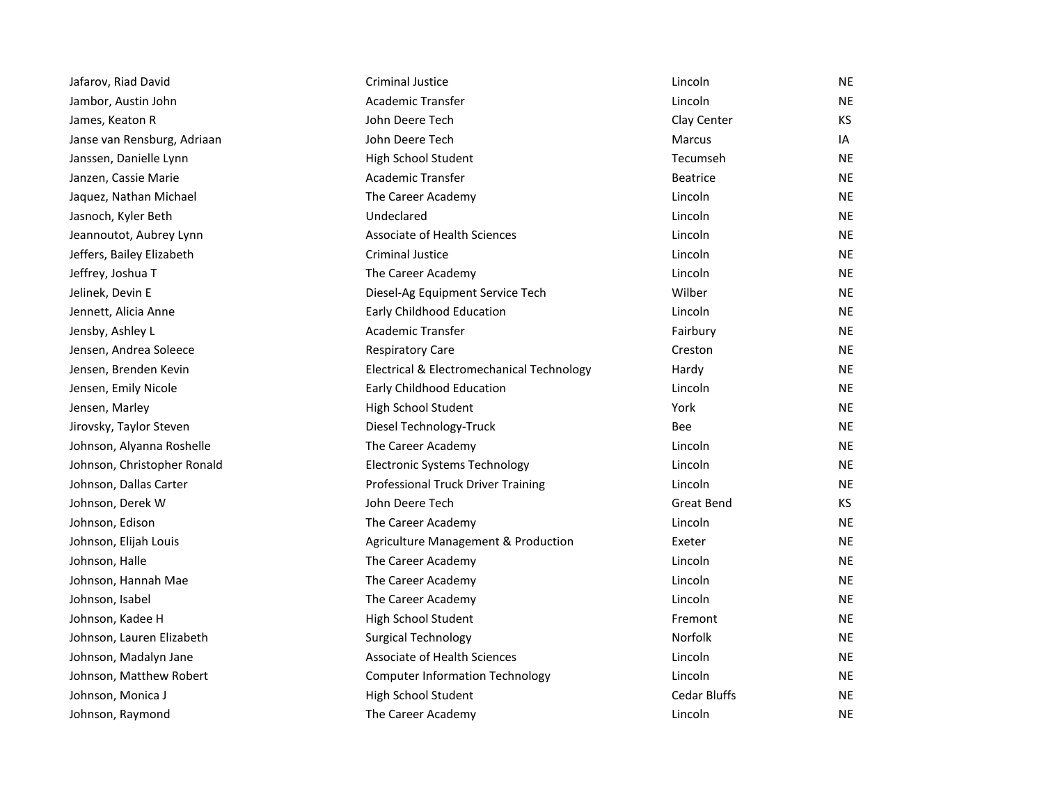| Jafarov, Riad David         | <b>Criminal Justice</b>                   | Lincoln             | <b>NE</b> |
|-----------------------------|-------------------------------------------|---------------------|-----------|
| Jambor, Austin John         | Academic Transfer                         | Lincoln             | <b>NE</b> |
| James, Keaton R             | John Deere Tech                           | Clay Center         | KS        |
| Janse van Rensburg, Adriaan | John Deere Tech                           | Marcus              | IA        |
| Janssen, Danielle Lynn      | High School Student                       | Tecumseh            | <b>NE</b> |
| Janzen, Cassie Marie        | Academic Transfer                         | <b>Beatrice</b>     | <b>NE</b> |
| Jaquez, Nathan Michael      | The Career Academy                        | Lincoln             | <b>NE</b> |
| Jasnoch, Kyler Beth         | Undeclared                                | Lincoln             | NE        |
| Jeannoutot, Aubrey Lynn     | <b>Associate of Health Sciences</b>       | Lincoln             | <b>NE</b> |
| Jeffers, Bailey Elizabeth   | <b>Criminal Justice</b>                   | Lincoln             | <b>NE</b> |
| Jeffrey, Joshua T           | The Career Academy                        | Lincoln             | <b>NE</b> |
| Jelinek, Devin E            | Diesel-Ag Equipment Service Tech          | Wilber              | NE.       |
| Jennett, Alicia Anne        | Early Childhood Education                 | Lincoln             | <b>NE</b> |
| Jensby, Ashley L            | Academic Transfer                         | Fairbury            | <b>NE</b> |
| Jensen, Andrea Soleece      | <b>Respiratory Care</b>                   | Creston             | <b>NE</b> |
| Jensen, Brenden Kevin       | Electrical & Electromechanical Technology | Hardy               | <b>NE</b> |
| Jensen, Emily Nicole        | Early Childhood Education                 | Lincoln             | <b>NE</b> |
| Jensen, Marley              | High School Student                       | York                | <b>NE</b> |
| Jirovsky, Taylor Steven     | Diesel Technology-Truck                   | Bee                 | <b>NE</b> |
| Johnson, Alyanna Roshelle   | The Career Academy                        | Lincoln             | NE        |
| Johnson, Christopher Ronald | <b>Electronic Systems Technology</b>      | Lincoln             | <b>NE</b> |
| Johnson, Dallas Carter      | Professional Truck Driver Training        | Lincoln             | <b>NE</b> |
| Johnson, Derek W            | John Deere Tech                           | <b>Great Bend</b>   | KS.       |
| Johnson, Edison             | The Career Academy                        | Lincoln             | <b>NE</b> |
| Johnson, Elijah Louis       | Agriculture Management & Production       | Exeter              | <b>NE</b> |
| Johnson, Halle              | The Career Academy                        | Lincoln             | <b>NE</b> |
| Johnson, Hannah Mae         | The Career Academy                        | Lincoln             | <b>NE</b> |
| Johnson, Isabel             | The Career Academy                        | Lincoln             | <b>NE</b> |
| Johnson, Kadee H            | High School Student                       | Fremont             | NE        |
| Johnson, Lauren Elizabeth   | <b>Surgical Technology</b>                | Norfolk             | <b>NE</b> |
| Johnson, Madalyn Jane       | <b>Associate of Health Sciences</b>       | Lincoln             | <b>NE</b> |
| Johnson, Matthew Robert     | <b>Computer Information Technology</b>    | Lincoln             | <b>NE</b> |
| Johnson, Monica J           | High School Student                       | <b>Cedar Bluffs</b> | <b>NE</b> |
| Johnson, Raymond            | The Career Academy                        | Lincoln             | <b>NE</b> |
|                             |                                           |                     |           |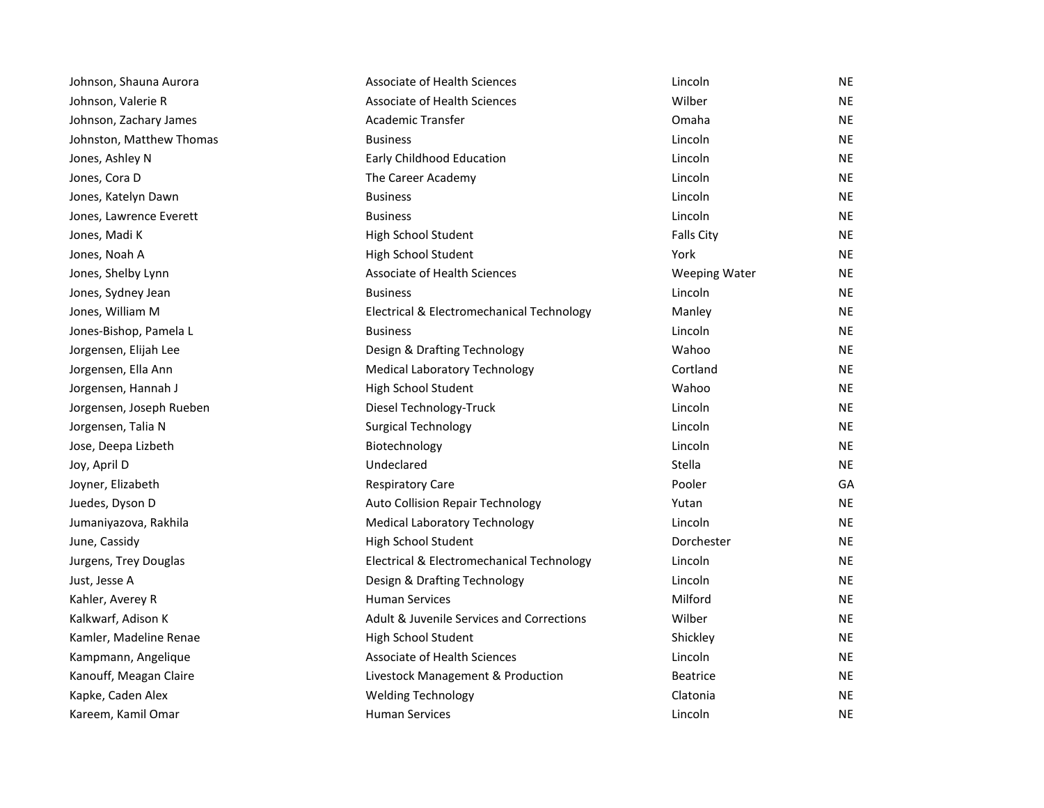| Johnson, Shauna Aurora   | Associate of Health Sciences              | Lincoln              | <b>NE</b> |
|--------------------------|-------------------------------------------|----------------------|-----------|
| Johnson, Valerie R       | <b>Associate of Health Sciences</b>       | Wilber               | <b>NE</b> |
| Johnson, Zachary James   | <b>Academic Transfer</b>                  | Omaha                | <b>NE</b> |
| Johnston, Matthew Thomas | <b>Business</b>                           | Lincoln              | <b>NE</b> |
| Jones, Ashley N          | Early Childhood Education                 | Lincoln              | <b>NE</b> |
| Jones, Cora D            | The Career Academy                        | Lincoln              | <b>NE</b> |
| Jones, Katelyn Dawn      | <b>Business</b>                           | Lincoln              | <b>NE</b> |
| Jones, Lawrence Everett  | <b>Business</b>                           | Lincoln              | <b>NE</b> |
| Jones, Madi K            | High School Student                       | <b>Falls City</b>    | <b>NE</b> |
| Jones, Noah A            | High School Student                       | York                 | <b>NE</b> |
| Jones, Shelby Lynn       | Associate of Health Sciences              | <b>Weeping Water</b> | <b>NE</b> |
| Jones, Sydney Jean       | <b>Business</b>                           | Lincoln              | NE        |
| Jones, William M         | Electrical & Electromechanical Technology | Manley               | <b>NE</b> |
| Jones-Bishop, Pamela L   | <b>Business</b>                           | Lincoln              | <b>NE</b> |
| Jorgensen, Elijah Lee    | Design & Drafting Technology              | Wahoo                | <b>NE</b> |
| Jorgensen, Ella Ann      | <b>Medical Laboratory Technology</b>      | Cortland             | <b>NE</b> |
| Jorgensen, Hannah J      | High School Student                       | Wahoo                | <b>NE</b> |
| Jorgensen, Joseph Rueben | Diesel Technology-Truck                   | Lincoln              | <b>NE</b> |
| Jorgensen, Talia N       | <b>Surgical Technology</b>                | Lincoln              | <b>NE</b> |
| Jose, Deepa Lizbeth      | Biotechnology                             | Lincoln              | <b>NE</b> |
| Joy, April D             | Undeclared                                | Stella               | <b>NE</b> |
| Joyner, Elizabeth        | <b>Respiratory Care</b>                   | Pooler               | GA        |
| Juedes, Dyson D          | Auto Collision Repair Technology          | Yutan                | <b>NE</b> |
| Jumaniyazova, Rakhila    | <b>Medical Laboratory Technology</b>      | Lincoln              | <b>NE</b> |
| June, Cassidy            | High School Student                       | Dorchester           | <b>NE</b> |
| Jurgens, Trey Douglas    | Electrical & Electromechanical Technology | Lincoln              | <b>NE</b> |
| Just, Jesse A            | Design & Drafting Technology              | Lincoln              | <b>NE</b> |
| Kahler, Averey R         | <b>Human Services</b>                     | Milford              | <b>NE</b> |
| Kalkwarf, Adison K       | Adult & Juvenile Services and Corrections | Wilber               | <b>NE</b> |
| Kamler, Madeline Renae   | High School Student                       | Shickley             | NE        |
| Kampmann, Angelique      | Associate of Health Sciences              | Lincoln              | <b>NE</b> |
| Kanouff, Meagan Claire   | Livestock Management & Production         | <b>Beatrice</b>      | <b>NE</b> |
| Kapke, Caden Alex        | <b>Welding Technology</b>                 | Clatonia             | <b>NE</b> |
| Kareem, Kamil Omar       | <b>Human Services</b>                     | Lincoln              | NE        |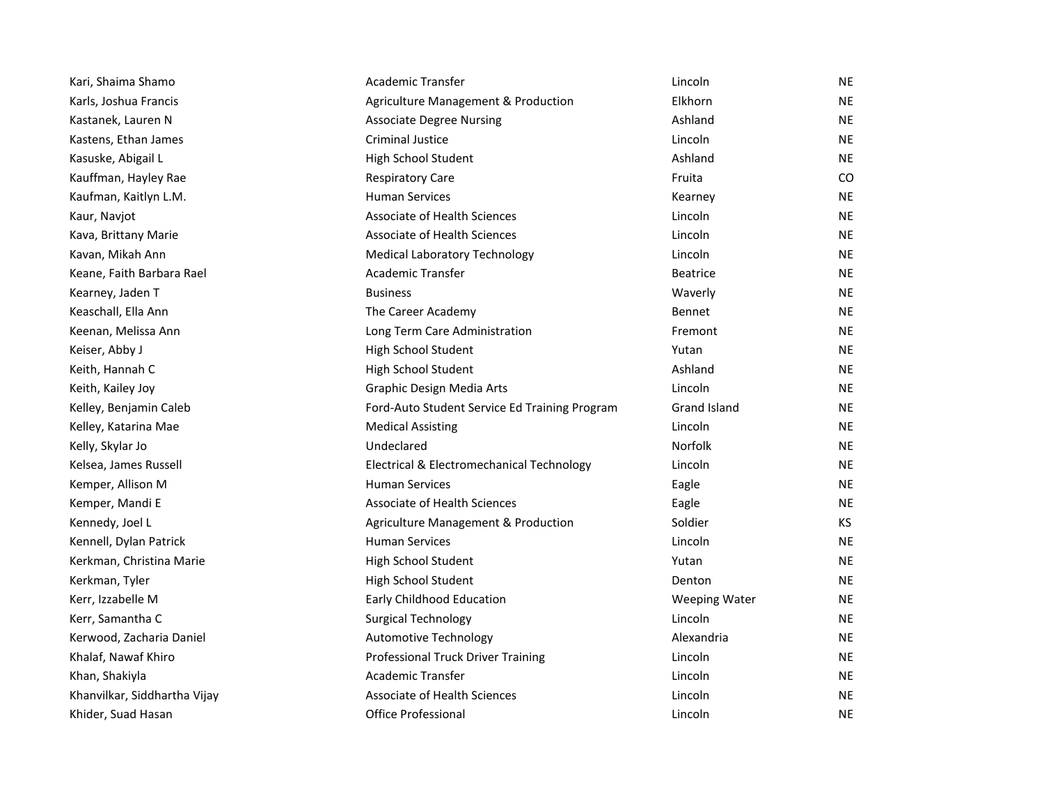| Kari, Shaima Shamo           | Academic Transfer                             | Lincoln              | <b>NE</b> |
|------------------------------|-----------------------------------------------|----------------------|-----------|
| Karls, Joshua Francis        | Agriculture Management & Production           | Elkhorn              | <b>NE</b> |
| Kastanek, Lauren N           | <b>Associate Degree Nursing</b>               | Ashland              | <b>NE</b> |
| Kastens, Ethan James         | <b>Criminal Justice</b>                       | Lincoln              | <b>NE</b> |
| Kasuske, Abigail L           | High School Student                           | Ashland              | <b>NE</b> |
| Kauffman, Hayley Rae         | <b>Respiratory Care</b>                       | Fruita               | CO.       |
| Kaufman, Kaitlyn L.M.        | <b>Human Services</b>                         | Kearney              | <b>NE</b> |
| Kaur, Navjot                 | <b>Associate of Health Sciences</b>           | Lincoln              | <b>NE</b> |
| Kava, Brittany Marie         | Associate of Health Sciences                  | Lincoln              | <b>NE</b> |
| Kavan, Mikah Ann             | <b>Medical Laboratory Technology</b>          | Lincoln              | <b>NE</b> |
| Keane, Faith Barbara Rael    | Academic Transfer                             | <b>Beatrice</b>      | <b>NE</b> |
| Kearney, Jaden T             | <b>Business</b>                               | Waverly              | <b>NE</b> |
| Keaschall, Ella Ann          | The Career Academy                            | <b>Bennet</b>        | <b>NE</b> |
| Keenan, Melissa Ann          | Long Term Care Administration                 | Fremont              | <b>NE</b> |
| Keiser, Abby J               | High School Student                           | Yutan                | <b>NE</b> |
| Keith, Hannah C              | High School Student                           | Ashland              | <b>NE</b> |
| Keith, Kailey Joy            | Graphic Design Media Arts                     | Lincoln              | <b>NE</b> |
| Kelley, Benjamin Caleb       | Ford-Auto Student Service Ed Training Program | Grand Island         | <b>NE</b> |
| Kelley, Katarina Mae         | <b>Medical Assisting</b>                      | Lincoln              | <b>NE</b> |
| Kelly, Skylar Jo             | Undeclared                                    | <b>Norfolk</b>       | <b>NE</b> |
| Kelsea, James Russell        | Electrical & Electromechanical Technology     | Lincoln              | NE        |
| Kemper, Allison M            | <b>Human Services</b>                         | Eagle                | <b>NE</b> |
| Kemper, Mandi E              | <b>Associate of Health Sciences</b>           | Eagle                | <b>NE</b> |
| Kennedy, Joel L              | Agriculture Management & Production           | Soldier              | KS.       |
| Kennell, Dylan Patrick       | <b>Human Services</b>                         | Lincoln              | <b>NE</b> |
| Kerkman, Christina Marie     | High School Student                           | Yutan                | <b>NE</b> |
| Kerkman, Tyler               | High School Student                           | Denton               | <b>NE</b> |
| Kerr, Izzabelle M            | Early Childhood Education                     | <b>Weeping Water</b> | <b>NE</b> |
| Kerr, Samantha C             | <b>Surgical Technology</b>                    | Lincoln              | <b>NE</b> |
| Kerwood, Zacharia Daniel     | <b>Automotive Technology</b>                  | Alexandria           | <b>NE</b> |
| Khalaf, Nawaf Khiro          | Professional Truck Driver Training            | Lincoln              | <b>NE</b> |
| Khan, Shakiyla               | Academic Transfer                             | Lincoln              | <b>NE</b> |
| Khanvilkar, Siddhartha Vijay | Associate of Health Sciences                  | Lincoln              | <b>NE</b> |
| Khider, Suad Hasan           | <b>Office Professional</b>                    | Lincoln              | <b>NE</b> |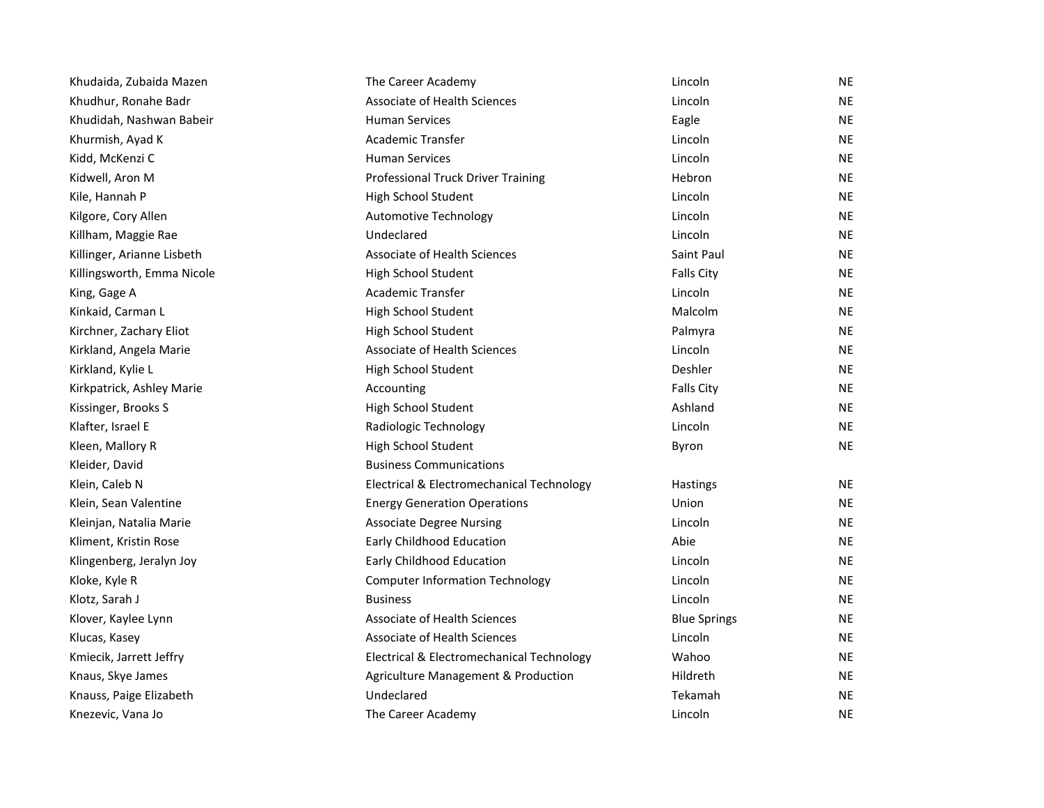| Khudaida, Zubaida Mazen    | The Career Academy                        | Lincoln             | <b>NE</b> |
|----------------------------|-------------------------------------------|---------------------|-----------|
| Khudhur, Ronahe Badr       | Associate of Health Sciences              | Lincoln             | <b>NE</b> |
| Khudidah, Nashwan Babeir   | <b>Human Services</b>                     | Eagle               | <b>NE</b> |
| Khurmish, Ayad K           | Academic Transfer                         | Lincoln             | <b>NE</b> |
| Kidd, McKenzi C            | <b>Human Services</b>                     | Lincoln             | <b>NE</b> |
| Kidwell, Aron M            | Professional Truck Driver Training        | Hebron              | <b>NE</b> |
| Kile, Hannah P             | High School Student                       | Lincoln             | <b>NE</b> |
| Kilgore, Cory Allen        | <b>Automotive Technology</b>              | Lincoln             | <b>NE</b> |
| Killham, Maggie Rae        | Undeclared                                | Lincoln             | <b>NE</b> |
| Killinger, Arianne Lisbeth | <b>Associate of Health Sciences</b>       | Saint Paul          | <b>NE</b> |
| Killingsworth, Emma Nicole | High School Student                       | <b>Falls City</b>   | <b>NE</b> |
| King, Gage A               | Academic Transfer                         | Lincoln             | <b>NE</b> |
| Kinkaid, Carman L          | High School Student                       | Malcolm             | NE        |
| Kirchner, Zachary Eliot    | High School Student                       | Palmyra             | <b>NE</b> |
| Kirkland, Angela Marie     | Associate of Health Sciences              | Lincoln             | <b>NE</b> |
| Kirkland, Kylie L          | High School Student                       | Deshler             | <b>NE</b> |
| Kirkpatrick, Ashley Marie  | Accounting                                | <b>Falls City</b>   | <b>NE</b> |
| Kissinger, Brooks S        | High School Student                       | Ashland             | NE        |
| Klafter, Israel E          | Radiologic Technology                     | Lincoln             | <b>NE</b> |
| Kleen, Mallory R           | High School Student                       | Byron               | <b>NE</b> |
| Kleider, David             | <b>Business Communications</b>            |                     |           |
| Klein, Caleb N             | Electrical & Electromechanical Technology | Hastings            | <b>NE</b> |
| Klein, Sean Valentine      | <b>Energy Generation Operations</b>       | Union               | <b>NE</b> |
| Kleinjan, Natalia Marie    | <b>Associate Degree Nursing</b>           | Lincoln             | <b>NE</b> |
| Kliment, Kristin Rose      | Early Childhood Education                 | Abie                | <b>NE</b> |
| Klingenberg, Jeralyn Joy   | Early Childhood Education                 | Lincoln             | <b>NE</b> |
| Kloke, Kyle R              | <b>Computer Information Technology</b>    | Lincoln             | <b>NE</b> |
| Klotz, Sarah J             | <b>Business</b>                           | Lincoln             | <b>NE</b> |
| Klover, Kaylee Lynn        | Associate of Health Sciences              | <b>Blue Springs</b> | <b>NE</b> |
| Klucas, Kasey              | Associate of Health Sciences              | Lincoln             | <b>NE</b> |
| Kmiecik, Jarrett Jeffry    | Electrical & Electromechanical Technology | Wahoo               | NE.       |
| Knaus, Skye James          | Agriculture Management & Production       | Hildreth            | <b>NE</b> |
| Knauss, Paige Elizabeth    | Undeclared                                | Tekamah             | <b>NE</b> |
| Knezevic, Vana Jo          | The Career Academy                        | Lincoln             | <b>NE</b> |
|                            |                                           |                     |           |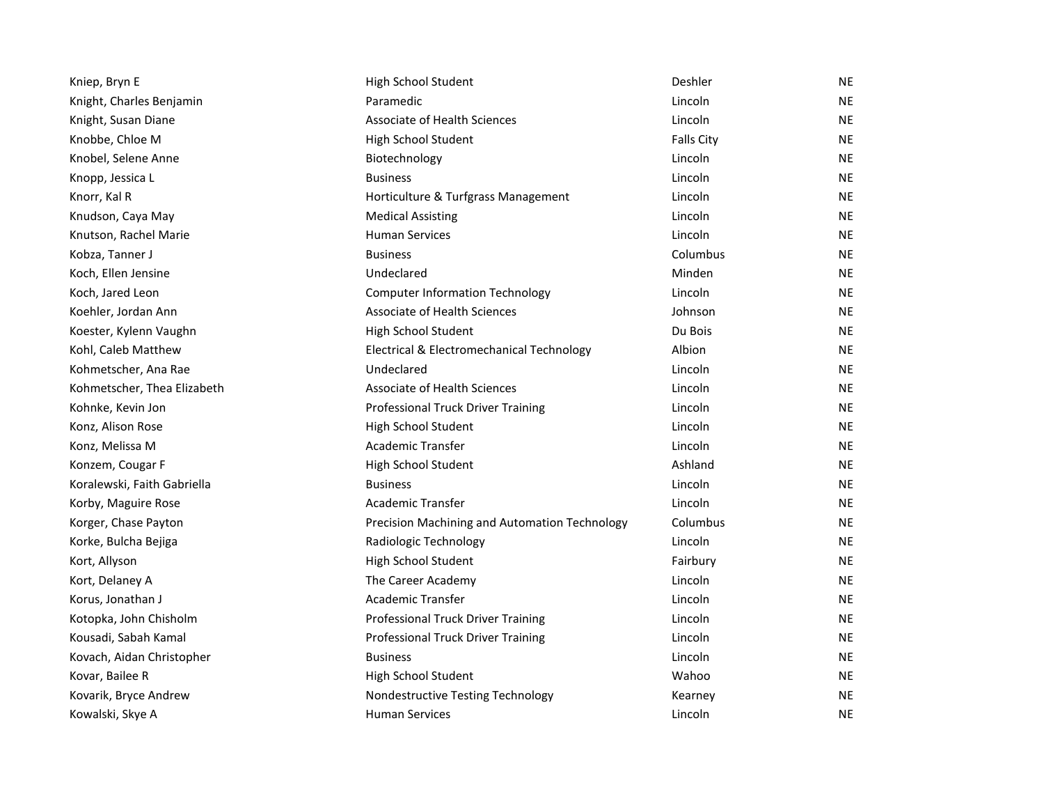| Kniep, Bryn E               | High School Student                           | Deshler    | <b>NE</b> |
|-----------------------------|-----------------------------------------------|------------|-----------|
| Knight, Charles Benjamin    | Paramedic                                     | Lincoln    | <b>NE</b> |
| Knight, Susan Diane         | Associate of Health Sciences                  | Lincoln    | <b>NE</b> |
| Knobbe, Chloe M             | High School Student                           | Falls City | <b>NE</b> |
| Knobel, Selene Anne         | Biotechnology                                 | Lincoln    | <b>NE</b> |
| Knopp, Jessica L            | <b>Business</b>                               | Lincoln    | <b>NE</b> |
| Knorr, Kal R                | Horticulture & Turfgrass Management           | Lincoln    | <b>NE</b> |
| Knudson, Caya May           | <b>Medical Assisting</b>                      | Lincoln    | <b>NE</b> |
| Knutson, Rachel Marie       | <b>Human Services</b>                         | Lincoln    | <b>NE</b> |
| Kobza, Tanner J             | <b>Business</b>                               | Columbus   | <b>NE</b> |
| Koch, Ellen Jensine         | Undeclared                                    | Minden     | <b>NE</b> |
| Koch, Jared Leon            | <b>Computer Information Technology</b>        | Lincoln    | <b>NE</b> |
| Koehler, Jordan Ann         | <b>Associate of Health Sciences</b>           | Johnson    | <b>NE</b> |
| Koester, Kylenn Vaughn      | High School Student                           | Du Bois    | <b>NE</b> |
| Kohl, Caleb Matthew         | Electrical & Electromechanical Technology     | Albion     | <b>NE</b> |
| Kohmetscher, Ana Rae        | Undeclared                                    | Lincoln    | <b>NE</b> |
| Kohmetscher, Thea Elizabeth | Associate of Health Sciences                  | Lincoln    | <b>NE</b> |
| Kohnke, Kevin Jon           | Professional Truck Driver Training            | Lincoln    | <b>NE</b> |
| Konz, Alison Rose           | High School Student                           | Lincoln    | <b>NE</b> |
| Konz, Melissa M             | <b>Academic Transfer</b>                      | Lincoln    | <b>NE</b> |
| Konzem, Cougar F            | High School Student                           | Ashland    | <b>NE</b> |
| Koralewski, Faith Gabriella | <b>Business</b>                               | Lincoln    | <b>NE</b> |
| Korby, Maguire Rose         | Academic Transfer                             | Lincoln    | <b>NE</b> |
| Korger, Chase Payton        | Precision Machining and Automation Technology | Columbus   | <b>NE</b> |
| Korke, Bulcha Bejiga        | Radiologic Technology                         | Lincoln    | <b>NE</b> |
| Kort, Allyson               | High School Student                           | Fairbury   | <b>NE</b> |
| Kort, Delaney A             | The Career Academy                            | Lincoln    | <b>NE</b> |
| Korus, Jonathan J           | Academic Transfer                             | Lincoln    | <b>NE</b> |
| Kotopka, John Chisholm      | Professional Truck Driver Training            | Lincoln    | <b>NE</b> |
| Kousadi, Sabah Kamal        | Professional Truck Driver Training            | Lincoln    | <b>NE</b> |
| Kovach, Aidan Christopher   | <b>Business</b>                               | Lincoln    | <b>NE</b> |
| Kovar, Bailee R             | High School Student                           | Wahoo      | <b>NE</b> |
| Kovarik, Bryce Andrew       | Nondestructive Testing Technology             | Kearney    | <b>NE</b> |
| Kowalski, Skye A            | <b>Human Services</b>                         | Lincoln    | <b>NE</b> |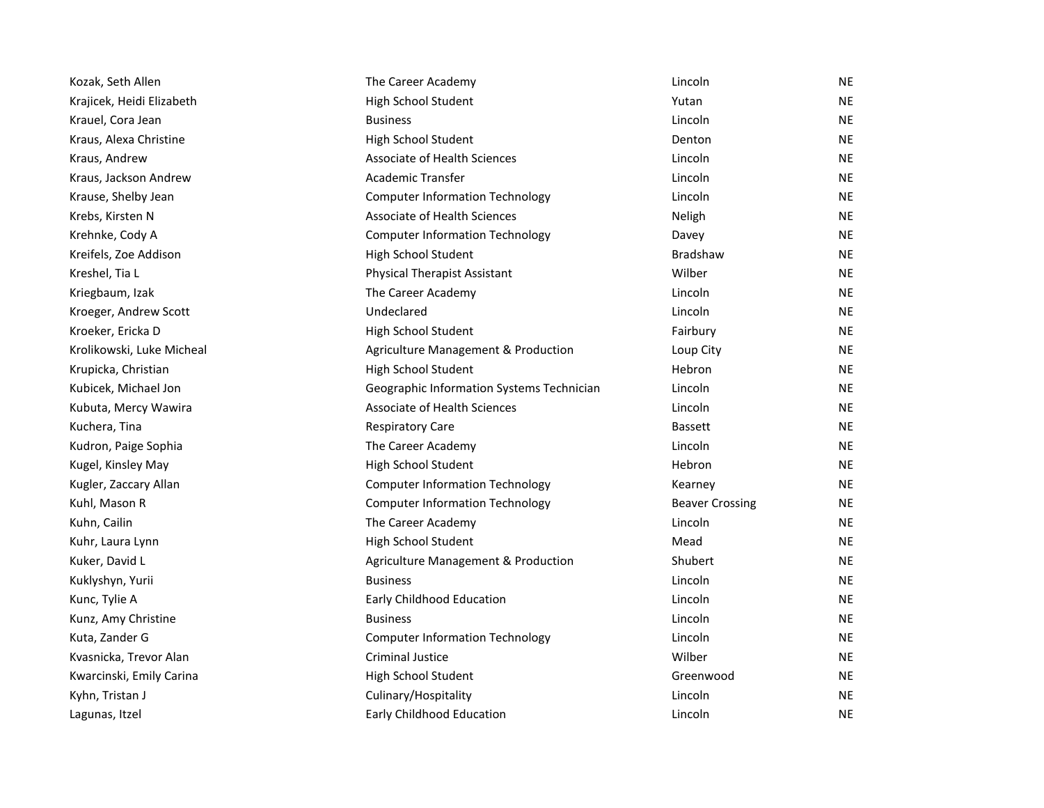| Kozak, Seth Allen         | The Career Academy                        | Lincoln                | ΝE |
|---------------------------|-------------------------------------------|------------------------|----|
| Krajicek, Heidi Elizabeth | High School Student                       | Yutan                  | NE |
| Krauel, Cora Jean         | <b>Business</b>                           | Lincoln                | ΝE |
| Kraus, Alexa Christine    | High School Student                       | Denton                 | NE |
| Kraus, Andrew             | <b>Associate of Health Sciences</b>       | Lincoln                | NE |
| Kraus, Jackson Andrew     | Academic Transfer                         | Lincoln                | ΝE |
| Krause, Shelby Jean       | <b>Computer Information Technology</b>    | Lincoln                | NE |
| Krebs, Kirsten N          | <b>Associate of Health Sciences</b>       | Neligh                 | NE |
| Krehnke, Cody A           | <b>Computer Information Technology</b>    | Davey                  | NE |
| Kreifels, Zoe Addison     | High School Student                       | <b>Bradshaw</b>        | ΝE |
| Kreshel, Tia L            | <b>Physical Therapist Assistant</b>       | Wilber                 | NE |
| Kriegbaum, Izak           | The Career Academy                        | Lincoln                | NE |
| Kroeger, Andrew Scott     | Undeclared                                | Lincoln                | ΝE |
| Kroeker, Ericka D         | High School Student                       | Fairbury               | NE |
| Krolikowski, Luke Micheal | Agriculture Management & Production       | Loup City              | NE |
| Krupicka, Christian       | High School Student                       | Hebron                 | ΝE |
| Kubicek, Michael Jon      | Geographic Information Systems Technician | Lincoln                | NE |
| Kubuta, Mercy Wawira      | <b>Associate of Health Sciences</b>       | Lincoln                | NE |
| Kuchera, Tina             | <b>Respiratory Care</b>                   | <b>Bassett</b>         | ΝE |
| Kudron, Paige Sophia      | The Career Academy                        | Lincoln                | NE |
| Kugel, Kinsley May        | High School Student                       | Hebron                 | NE |
| Kugler, Zaccary Allan     | <b>Computer Information Technology</b>    | Kearney                | ΝE |
| Kuhl, Mason R             | <b>Computer Information Technology</b>    | <b>Beaver Crossing</b> | ΝE |
| Kuhn, Cailin              | The Career Academy                        | Lincoln                | ΝE |
| Kuhr, Laura Lynn          | High School Student                       | Mead                   | NE |
| Kuker, David L            | Agriculture Management & Production       | Shubert                | ΝE |
| Kuklyshyn, Yurii          | <b>Business</b>                           | Lincoln                | NE |
| Kunc, Tylie A             | Early Childhood Education                 | Lincoln                | ΝE |
| Kunz, Amy Christine       | <b>Business</b>                           | Lincoln                | ΝE |
| Kuta, Zander G            | <b>Computer Information Technology</b>    | Lincoln                | NE |
| Kvasnicka, Trevor Alan    | Criminal Justice                          | Wilber                 | NE |
| Kwarcinski, Emily Carina  | High School Student                       | Greenwood              | ΝE |
| Kyhn, Tristan J           | Culinary/Hospitality                      | Lincoln                | NE |
| Lagunas, Itzel            | Early Childhood Education                 | Lincoln                | NE |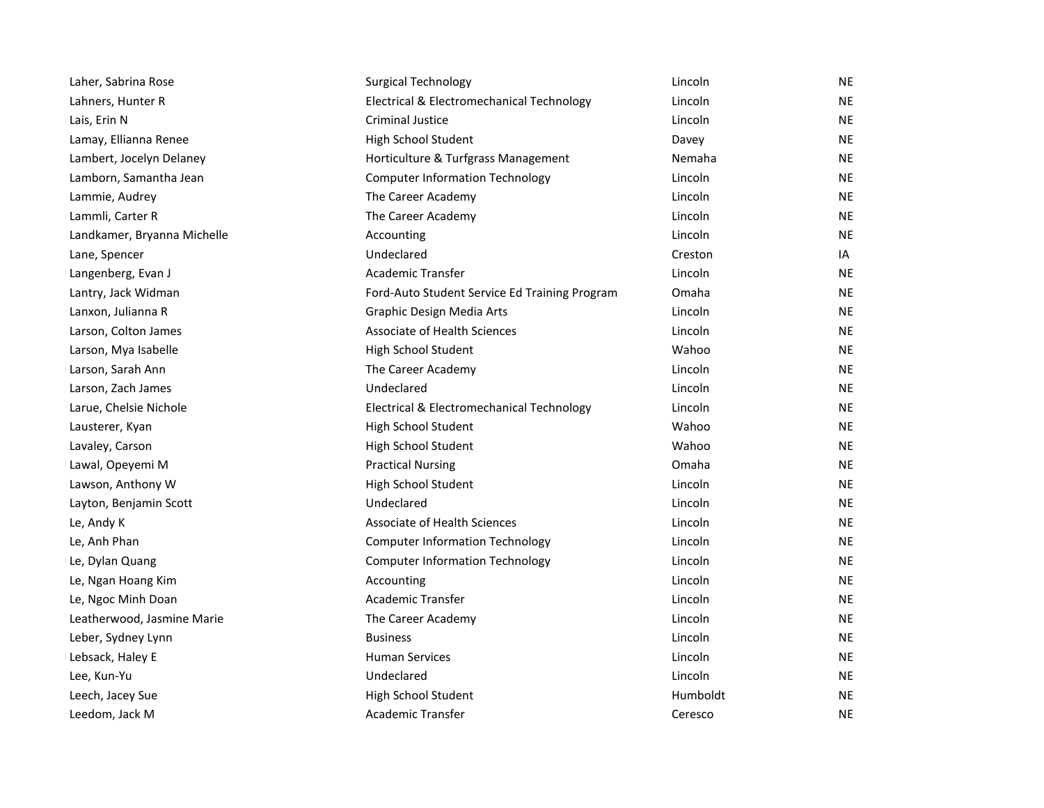| Laher, Sabrina Rose         | <b>Surgical Technology</b>                    | Lincoln  | <b>NE</b> |
|-----------------------------|-----------------------------------------------|----------|-----------|
| Lahners, Hunter R           | Electrical & Electromechanical Technology     | Lincoln  | <b>NE</b> |
| Lais, Erin N                | <b>Criminal Justice</b>                       | Lincoln  | <b>NE</b> |
| Lamay, Ellianna Renee       | High School Student                           | Davey    | <b>NE</b> |
| Lambert, Jocelyn Delaney    | Horticulture & Turfgrass Management           | Nemaha   | <b>NE</b> |
| Lamborn, Samantha Jean      | <b>Computer Information Technology</b>        | Lincoln  | <b>NE</b> |
| Lammie, Audrey              | The Career Academy                            | Lincoln  | <b>NE</b> |
| Lammli, Carter R            | The Career Academy                            | Lincoln  | <b>NE</b> |
| Landkamer, Bryanna Michelle | Accounting                                    | Lincoln  | <b>NE</b> |
| Lane, Spencer               | Undeclared                                    | Creston  | IA        |
| Langenberg, Evan J          | Academic Transfer                             | Lincoln  | NE        |
| Lantry, Jack Widman         | Ford-Auto Student Service Ed Training Program | Omaha    | <b>NE</b> |
| Lanxon, Julianna R          | Graphic Design Media Arts                     | Lincoln  | <b>NE</b> |
| Larson, Colton James        | <b>Associate of Health Sciences</b>           | Lincoln  | <b>NE</b> |
| Larson, Mya Isabelle        | High School Student                           | Wahoo    | <b>NE</b> |
| Larson, Sarah Ann           | The Career Academy                            | Lincoln  | NE        |
| Larson, Zach James          | Undeclared                                    | Lincoln  | <b>NE</b> |
| Larue, Chelsie Nichole      | Electrical & Electromechanical Technology     | Lincoln  | <b>NE</b> |
| Lausterer, Kyan             | High School Student                           | Wahoo    | <b>NE</b> |
| Lavaley, Carson             | High School Student                           | Wahoo    | <b>NE</b> |
| Lawal, Opeyemi M            | <b>Practical Nursing</b>                      | Omaha    | <b>NE</b> |
| Lawson, Anthony W           | High School Student                           | Lincoln  | <b>NE</b> |
| Layton, Benjamin Scott      | Undeclared                                    | Lincoln  | <b>NE</b> |
| Le, Andy K                  | <b>Associate of Health Sciences</b>           | Lincoln  | <b>NE</b> |
| Le, Anh Phan                | <b>Computer Information Technology</b>        | Lincoln  | <b>NE</b> |
| Le, Dylan Quang             | <b>Computer Information Technology</b>        | Lincoln  | <b>NE</b> |
| Le, Ngan Hoang Kim          | Accounting                                    | Lincoln  | <b>NE</b> |
| Le, Ngoc Minh Doan          | Academic Transfer                             | Lincoln  | <b>NE</b> |
| Leatherwood, Jasmine Marie  | The Career Academy                            | Lincoln  | NE.       |
| Leber, Sydney Lynn          | <b>Business</b>                               | Lincoln  | NE        |
| Lebsack, Haley E            | <b>Human Services</b>                         | Lincoln  | <b>NE</b> |
| Lee, Kun-Yu                 | Undeclared                                    | Lincoln  | <b>NE</b> |
| Leech, Jacey Sue            | High School Student                           | Humboldt | <b>NE</b> |
| Leedom, Jack M              | <b>Academic Transfer</b>                      | Ceresco  | <b>NE</b> |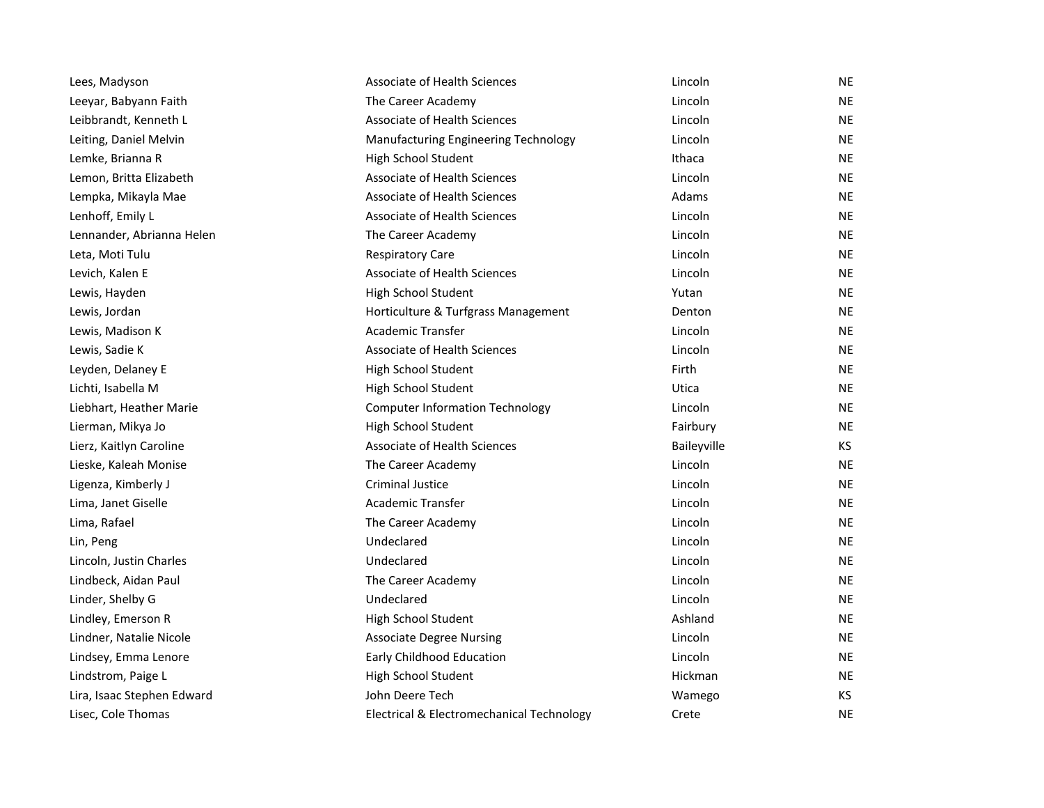| Lees, Madyson              | Associate of Health Sciences              | Lincoln     | <b>NE</b> |
|----------------------------|-------------------------------------------|-------------|-----------|
| Leeyar, Babyann Faith      | The Career Academy                        | Lincoln     | <b>NE</b> |
| Leibbrandt, Kenneth L      | Associate of Health Sciences              | Lincoln     | <b>NE</b> |
| Leiting, Daniel Melvin     | Manufacturing Engineering Technology      | Lincoln     | <b>NE</b> |
| Lemke, Brianna R           | High School Student                       | Ithaca      | <b>NE</b> |
| Lemon, Britta Elizabeth    | <b>Associate of Health Sciences</b>       | Lincoln     | <b>NE</b> |
| Lempka, Mikayla Mae        | Associate of Health Sciences              | Adams       | <b>NE</b> |
| Lenhoff, Emily L           | Associate of Health Sciences              | Lincoln     | <b>NE</b> |
| Lennander, Abrianna Helen  | The Career Academy                        | Lincoln     | <b>NE</b> |
| Leta, Moti Tulu            | <b>Respiratory Care</b>                   | Lincoln     | <b>NE</b> |
| Levich, Kalen E            | Associate of Health Sciences              | Lincoln     | <b>NE</b> |
| Lewis, Hayden              | High School Student                       | Yutan       | <b>NE</b> |
| Lewis, Jordan              | Horticulture & Turfgrass Management       | Denton      | <b>NE</b> |
| Lewis, Madison K           | <b>Academic Transfer</b>                  | Lincoln     | <b>NE</b> |
| Lewis, Sadie K             | <b>Associate of Health Sciences</b>       | Lincoln     | NE.       |
| Leyden, Delaney E          | High School Student                       | Firth       | <b>NE</b> |
| Lichti, Isabella M         | High School Student                       | Utica       | <b>NE</b> |
| Liebhart, Heather Marie    | <b>Computer Information Technology</b>    | Lincoln     | <b>NE</b> |
| Lierman, Mikya Jo          | High School Student                       | Fairbury    | <b>NE</b> |
| Lierz, Kaitlyn Caroline    | Associate of Health Sciences              | Baileyville | KS.       |
| Lieske, Kaleah Monise      | The Career Academy                        | Lincoln     | <b>NE</b> |
| Ligenza, Kimberly J        | <b>Criminal Justice</b>                   | Lincoln     | <b>NE</b> |
| Lima, Janet Giselle        | Academic Transfer                         | Lincoln     | <b>NE</b> |
| Lima, Rafael               | The Career Academy                        | Lincoln     | <b>NE</b> |
| Lin, Peng                  | Undeclared                                | Lincoln     | <b>NE</b> |
| Lincoln, Justin Charles    | Undeclared                                | Lincoln     | <b>NE</b> |
| Lindbeck, Aidan Paul       | The Career Academy                        | Lincoln     | <b>NE</b> |
| Linder, Shelby G           | Undeclared                                | Lincoln     | <b>NE</b> |
| Lindley, Emerson R         | High School Student                       | Ashland     | NE.       |
| Lindner, Natalie Nicole    | <b>Associate Degree Nursing</b>           | Lincoln     | <b>NE</b> |
| Lindsey, Emma Lenore       | Early Childhood Education                 | Lincoln     | NE.       |
| Lindstrom, Paige L         | High School Student                       | Hickman     | <b>NE</b> |
| Lira, Isaac Stephen Edward | John Deere Tech                           | Wamego      | KS        |
| Lisec, Cole Thomas         | Electrical & Electromechanical Technology | Crete       | <b>NE</b> |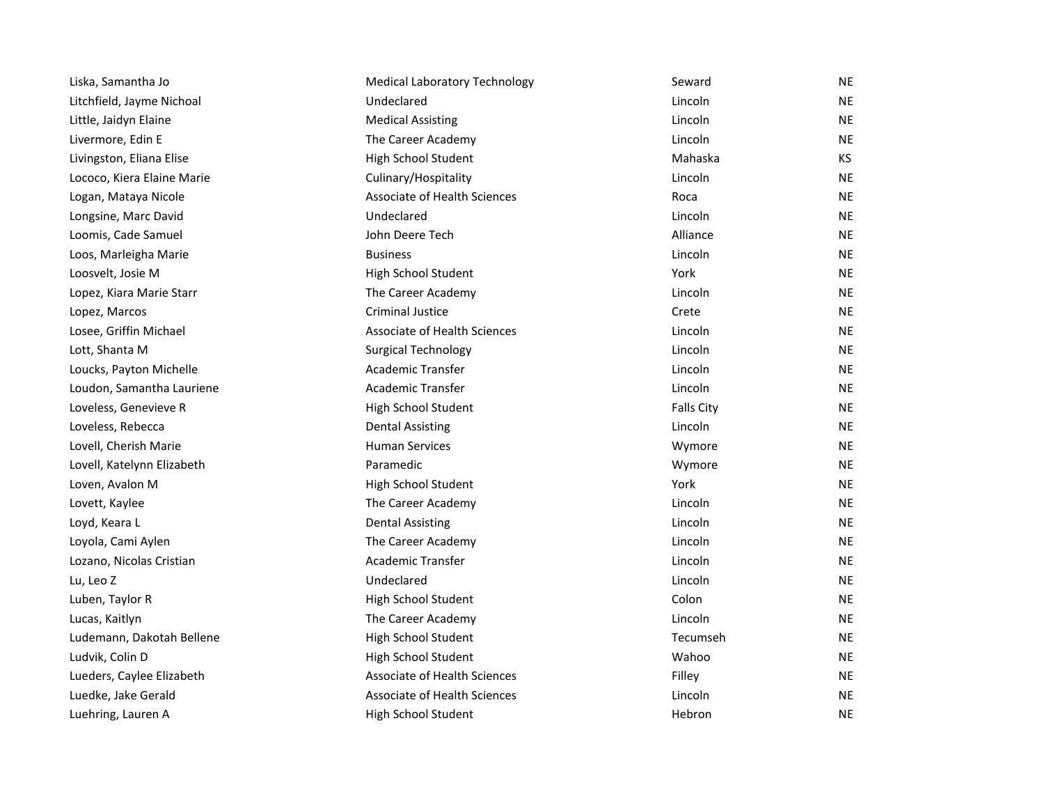| Liska, Samantha Jo         | <b>Medical Laboratory Technology</b> | Seward            | <b>NE</b> |
|----------------------------|--------------------------------------|-------------------|-----------|
| Litchfield, Jayme Nichoal  | Undeclared                           | Lincoln           | <b>NE</b> |
| Little, Jaidyn Elaine      | <b>Medical Assisting</b>             | Lincoln           | <b>NE</b> |
| Livermore, Edin E          | The Career Academy                   | Lincoln           | <b>NE</b> |
| Livingston, Eliana Elise   | High School Student                  | Mahaska           | KS.       |
| Lococo, Kiera Elaine Marie | Culinary/Hospitality                 | Lincoln           | <b>NE</b> |
| Logan, Mataya Nicole       | <b>Associate of Health Sciences</b>  | Roca              | <b>NE</b> |
| Longsine, Marc David       | Undeclared                           | Lincoln           | <b>NE</b> |
| Loomis, Cade Samuel        | John Deere Tech                      | Alliance          | <b>NE</b> |
| Loos, Marleigha Marie      | <b>Business</b>                      | Lincoln           | <b>NE</b> |
| Loosvelt, Josie M          | High School Student                  | York              | <b>NE</b> |
| Lopez, Kiara Marie Starr   | The Career Academy                   | Lincoln           | <b>NE</b> |
| Lopez, Marcos              | <b>Criminal Justice</b>              | Crete             | <b>NE</b> |
| Losee, Griffin Michael     | Associate of Health Sciences         | Lincoln           | <b>NE</b> |
| Lott, Shanta M             | <b>Surgical Technology</b>           | Lincoln           | <b>NE</b> |
| Loucks, Payton Michelle    | <b>Academic Transfer</b>             | Lincoln           | <b>NE</b> |
| Loudon, Samantha Lauriene  | <b>Academic Transfer</b>             | Lincoln           | <b>NE</b> |
| Loveless, Genevieve R      | High School Student                  | <b>Falls City</b> | <b>NE</b> |
| Loveless, Rebecca          | <b>Dental Assisting</b>              | Lincoln           | <b>NE</b> |
| Lovell, Cherish Marie      | <b>Human Services</b>                | Wymore            | <b>NE</b> |
| Lovell, Katelynn Elizabeth | Paramedic                            | Wymore            | <b>NE</b> |
| Loven, Avalon M            | High School Student                  | York              | <b>NE</b> |
| Lovett, Kaylee             | The Career Academy                   | Lincoln           | <b>NE</b> |
| Loyd, Keara L              | <b>Dental Assisting</b>              | Lincoln           | <b>NE</b> |
| Loyola, Cami Aylen         | The Career Academy                   | Lincoln           | <b>NE</b> |
| Lozano, Nicolas Cristian   | <b>Academic Transfer</b>             | Lincoln           | <b>NE</b> |
| Lu, Leo Z                  | Undeclared                           | Lincoln           | <b>NE</b> |
| Luben, Taylor R            | High School Student                  | Colon             | <b>NE</b> |
| Lucas, Kaitlyn             | The Career Academy                   | Lincoln           | <b>NE</b> |
| Ludemann, Dakotah Bellene  | High School Student                  | Tecumseh          | <b>NE</b> |
| Ludvik, Colin D            | High School Student                  | Wahoo             | <b>NE</b> |
| Lueders, Caylee Elizabeth  | Associate of Health Sciences         | Filley            | <b>NE</b> |
| Luedke, Jake Gerald        | Associate of Health Sciences         | Lincoln           | <b>NE</b> |
| Luehring, Lauren A         | High School Student                  | Hebron            | <b>NE</b> |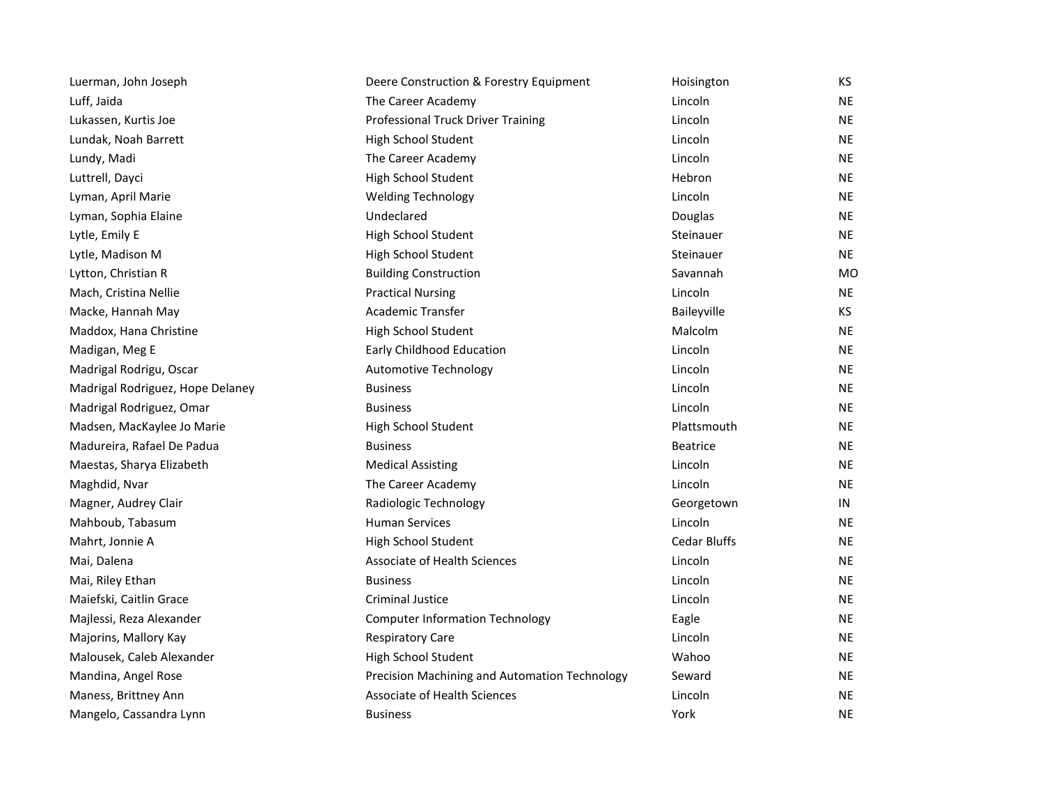| Luerman, John Joseph             | Deere Construction & Forestry Equipment       | Hoisington          | ΚS        |
|----------------------------------|-----------------------------------------------|---------------------|-----------|
| Luff, Jaida                      | The Career Academy                            | Lincoln             | NE.       |
| Lukassen, Kurtis Joe             | Professional Truck Driver Training            | Lincoln             | NE        |
| Lundak, Noah Barrett             | High School Student                           | Lincoln             | <b>NE</b> |
| Lundy, Madi                      | The Career Academy                            | Lincoln             | NE        |
| Luttrell, Dayci                  | High School Student                           | Hebron              | ΝE        |
| Lyman, April Marie               | <b>Welding Technology</b>                     | Lincoln             | ΝE        |
| Lyman, Sophia Elaine             | Undeclared                                    | Douglas             | ΝE        |
| Lytle, Emily E                   | High School Student                           | Steinauer           | <b>NE</b> |
| Lytle, Madison M                 | High School Student                           | Steinauer           | NE        |
| Lytton, Christian R              | <b>Building Construction</b>                  | Savannah            | МO        |
| Mach, Cristina Nellie            | <b>Practical Nursing</b>                      | Lincoln             | NE.       |
| Macke, Hannah May                | Academic Transfer                             | Baileyville         | ΚS        |
| Maddox, Hana Christine           | High School Student                           | Malcolm             | <b>NE</b> |
| Madigan, Meg E                   | Early Childhood Education                     | Lincoln             | NE        |
| Madrigal Rodrigu, Oscar          | Automotive Technology                         | Lincoln             | NE        |
| Madrigal Rodriguez, Hope Delaney | <b>Business</b>                               | Lincoln             | ΝE        |
| Madrigal Rodriguez, Omar         | <b>Business</b>                               | Lincoln             | <b>NE</b> |
| Madsen, MacKaylee Jo Marie       | High School Student                           | Plattsmouth         | NE        |
| Madureira, Rafael De Padua       | <b>Business</b>                               | <b>Beatrice</b>     | NE        |
| Maestas, Sharya Elizabeth        | <b>Medical Assisting</b>                      | Lincoln             | ΝE        |
| Maghdid, Nvar                    | The Career Academy                            | Lincoln             | NE        |
| Magner, Audrey Clair             | Radiologic Technology                         | Georgetown          | IN        |
| Mahboub, Tabasum                 | <b>Human Services</b>                         | Lincoln             | NE        |
| Mahrt, Jonnie A                  | High School Student                           | <b>Cedar Bluffs</b> | ΝE        |
| Mai, Dalena                      | <b>Associate of Health Sciences</b>           | Lincoln             | NE        |
| Mai, Riley Ethan                 | <b>Business</b>                               | Lincoln             | NE        |
| Maiefski, Caitlin Grace          | <b>Criminal Justice</b>                       | Lincoln             | NE.       |
| Majlessi, Reza Alexander         | <b>Computer Information Technology</b>        | Eagle               | NE        |
| Majorins, Mallory Kay            | <b>Respiratory Care</b>                       | Lincoln             | ΝE        |
| Malousek, Caleb Alexander        | High School Student                           | Wahoo               | NE        |
| Mandina, Angel Rose              | Precision Machining and Automation Technology | Seward              | ΝE        |
| Maness, Brittney Ann             | <b>Associate of Health Sciences</b>           | Lincoln             | NE.       |
| Mangelo, Cassandra Lynn          | <b>Business</b>                               | York                | <b>NE</b> |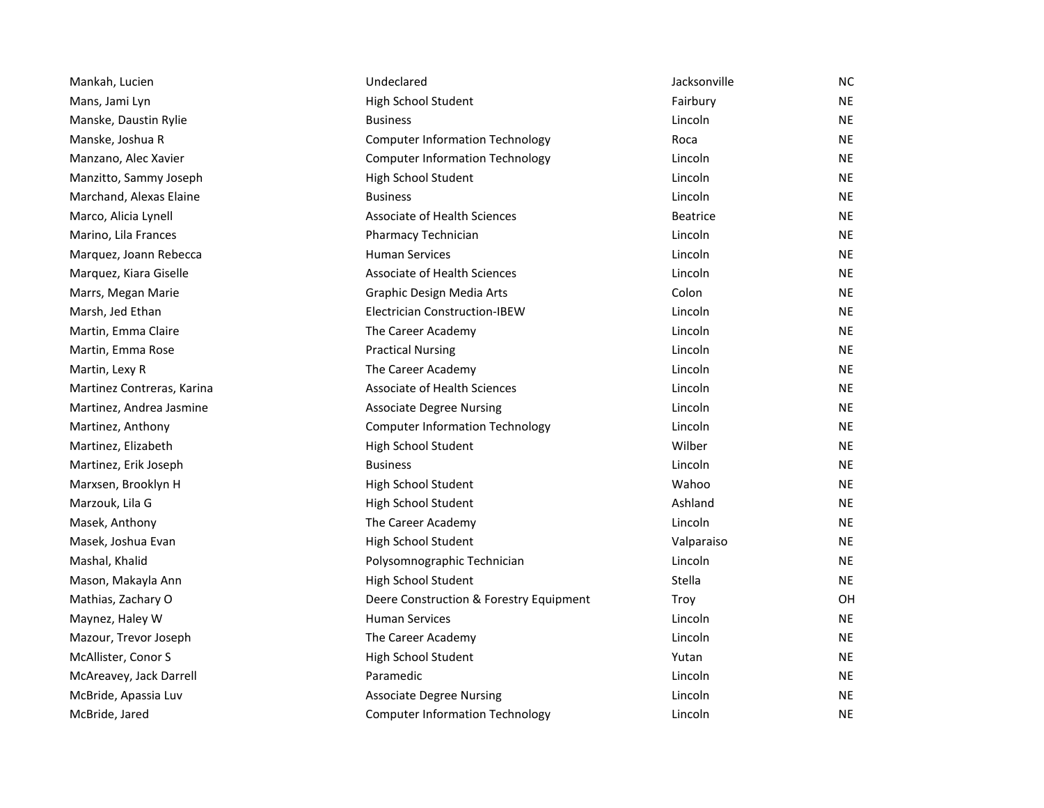| Mankah, Lucien             | Undeclared                              | Jacksonville    | NC.       |
|----------------------------|-----------------------------------------|-----------------|-----------|
| Mans, Jami Lyn             | High School Student                     | Fairbury        | NE        |
| Manske, Daustin Rylie      | <b>Business</b>                         | Lincoln         | NE        |
| Manske, Joshua R           | <b>Computer Information Technology</b>  | Roca            | ΝE        |
| Manzano, Alec Xavier       | <b>Computer Information Technology</b>  | Lincoln         | NE        |
| Manzitto, Sammy Joseph     | High School Student                     | Lincoln         | NE        |
| Marchand, Alexas Elaine    | <b>Business</b>                         | Lincoln         | NE        |
| Marco, Alicia Lynell       | <b>Associate of Health Sciences</b>     | <b>Beatrice</b> | NE        |
| Marino, Lila Frances       | Pharmacy Technician                     | Lincoln         | NE        |
| Marquez, Joann Rebecca     | <b>Human Services</b>                   | Lincoln         | NE        |
| Marquez, Kiara Giselle     | <b>Associate of Health Sciences</b>     | Lincoln         | NE        |
| Marrs, Megan Marie         | Graphic Design Media Arts               | Colon           | NE        |
| Marsh, Jed Ethan           | <b>Electrician Construction-IBEW</b>    | Lincoln         | NE        |
| Martin, Emma Claire        | The Career Academy                      | Lincoln         | ΝE        |
| Martin, Emma Rose          | <b>Practical Nursing</b>                | Lincoln         | ΝE        |
| Martin, Lexy R             | The Career Academy                      | Lincoln         | NE        |
| Martinez Contreras, Karina | <b>Associate of Health Sciences</b>     | Lincoln         | NE        |
| Martinez, Andrea Jasmine   | <b>Associate Degree Nursing</b>         | Lincoln         | ΝE        |
| Martinez, Anthony          | <b>Computer Information Technology</b>  | Lincoln         | ΝE        |
| Martinez, Elizabeth        | High School Student                     | Wilber          | NE        |
| Martinez, Erik Joseph      | <b>Business</b>                         | Lincoln         | NE        |
| Marxsen, Brooklyn H        | High School Student                     | Wahoo           | ΝE        |
| Marzouk, Lila G            | High School Student                     | Ashland         | NE        |
| Masek, Anthony             | The Career Academy                      | Lincoln         | NE        |
| Masek, Joshua Evan         | High School Student                     | Valparaiso      | ΝE        |
| Mashal, Khalid             | Polysomnographic Technician             | Lincoln         | ΝE        |
| Mason, Makayla Ann         | High School Student                     | Stella          | NE        |
| Mathias, Zachary O         | Deere Construction & Forestry Equipment | Troy            | 0H        |
| Maynez, Haley W            | <b>Human Services</b>                   | Lincoln         | ΝE        |
| Mazour, Trevor Joseph      | The Career Academy                      | Lincoln         | ΝE        |
| McAllister, Conor S        | High School Student                     | Yutan           | NE        |
| McAreavey, Jack Darrell    | Paramedic                               | Lincoln         | NE        |
| McBride, Apassia Luv       | <b>Associate Degree Nursing</b>         | Lincoln         | ΝE        |
| McBride, Jared             | <b>Computer Information Technology</b>  | Lincoln         | <b>NE</b> |
|                            |                                         |                 |           |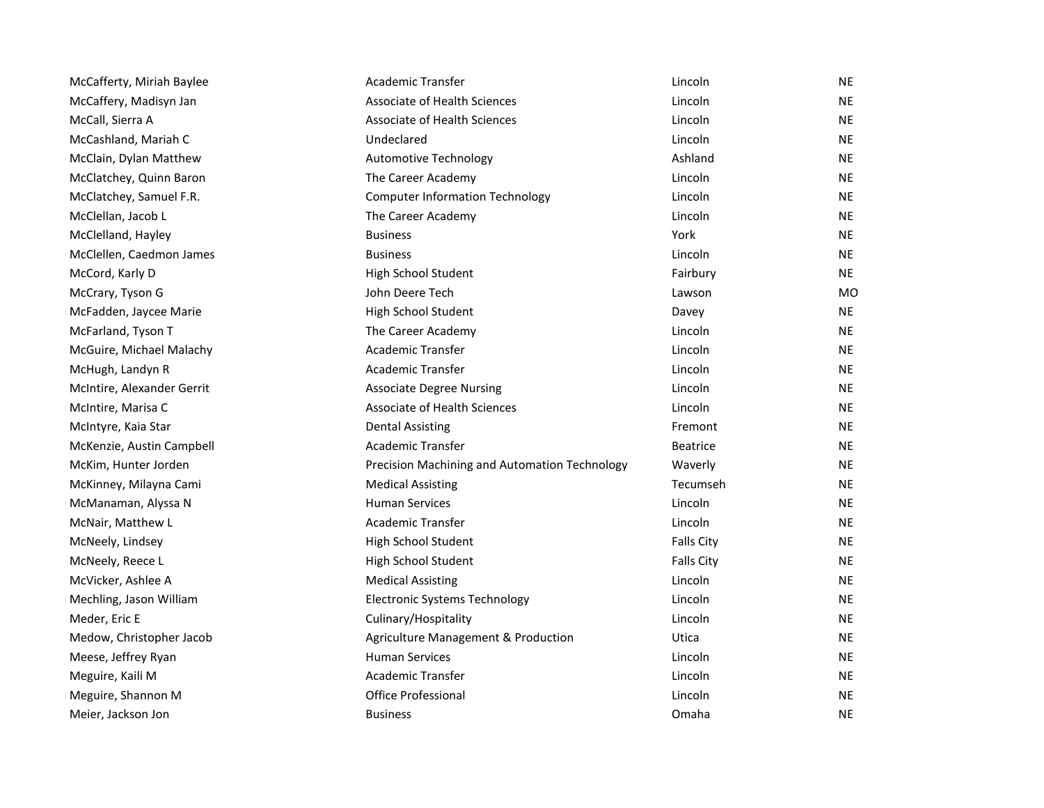| McCafferty, Miriah Baylee  | Academic Transfer                             | Lincoln           | <b>NE</b> |
|----------------------------|-----------------------------------------------|-------------------|-----------|
| McCaffery, Madisyn Jan     | Associate of Health Sciences                  | Lincoln           | <b>NE</b> |
| McCall, Sierra A           | Associate of Health Sciences                  | Lincoln           | <b>NE</b> |
| McCashland, Mariah C       | Undeclared                                    | Lincoln           | <b>NE</b> |
| McClain, Dylan Matthew     | <b>Automotive Technology</b>                  | Ashland           | <b>NE</b> |
| McClatchey, Quinn Baron    | The Career Academy                            | Lincoln           | <b>NE</b> |
| McClatchey, Samuel F.R.    | <b>Computer Information Technology</b>        | Lincoln           | <b>NE</b> |
| McClellan, Jacob L         | The Career Academy                            | Lincoln           | <b>NE</b> |
| McClelland, Hayley         | <b>Business</b>                               | York              | <b>NE</b> |
| McClellen, Caedmon James   | <b>Business</b>                               | Lincoln           | <b>NE</b> |
| McCord, Karly D            | High School Student                           | Fairbury          | <b>NE</b> |
| McCrary, Tyson G           | John Deere Tech                               | Lawson            | MO        |
| McFadden, Jaycee Marie     | High School Student                           | Davey             | <b>NE</b> |
| McFarland, Tyson T         | The Career Academy                            | Lincoln           | <b>NE</b> |
| McGuire, Michael Malachy   | Academic Transfer                             | Lincoln           | <b>NE</b> |
| McHugh, Landyn R           | <b>Academic Transfer</b>                      | Lincoln           | <b>NE</b> |
| McIntire, Alexander Gerrit | <b>Associate Degree Nursing</b>               | Lincoln           | <b>NE</b> |
| McIntire, Marisa C         | Associate of Health Sciences                  | Lincoln           | <b>NE</b> |
| McIntyre, Kaia Star        | <b>Dental Assisting</b>                       | Fremont           | <b>NE</b> |
| McKenzie, Austin Campbell  | Academic Transfer                             | <b>Beatrice</b>   | <b>NE</b> |
| McKim, Hunter Jorden       | Precision Machining and Automation Technology | Waverly           | <b>NE</b> |
| McKinney, Milayna Cami     | <b>Medical Assisting</b>                      | Tecumseh          | <b>NE</b> |
| McManaman, Alyssa N        | <b>Human Services</b>                         | Lincoln           | <b>NE</b> |
| McNair, Matthew L          | Academic Transfer                             | Lincoln           | <b>NE</b> |
| McNeely, Lindsey           | High School Student                           | <b>Falls City</b> | <b>NE</b> |
| McNeely, Reece L           | High School Student                           | <b>Falls City</b> | <b>NE</b> |
| McVicker, Ashlee A         | <b>Medical Assisting</b>                      | Lincoln           | <b>NE</b> |
| Mechling, Jason William    | <b>Electronic Systems Technology</b>          | Lincoln           | <b>NE</b> |
| Meder, Eric E              | Culinary/Hospitality                          | Lincoln           | <b>NE</b> |
| Medow, Christopher Jacob   | Agriculture Management & Production           | Utica             | <b>NE</b> |
| Meese, Jeffrey Ryan        | <b>Human Services</b>                         | Lincoln           | <b>NE</b> |
| Meguire, Kaili M           | Academic Transfer                             | Lincoln           | <b>NE</b> |
| Meguire, Shannon M         | Office Professional                           | Lincoln           | <b>NE</b> |
| Meier, Jackson Jon         | <b>Business</b>                               | Omaha             | <b>NE</b> |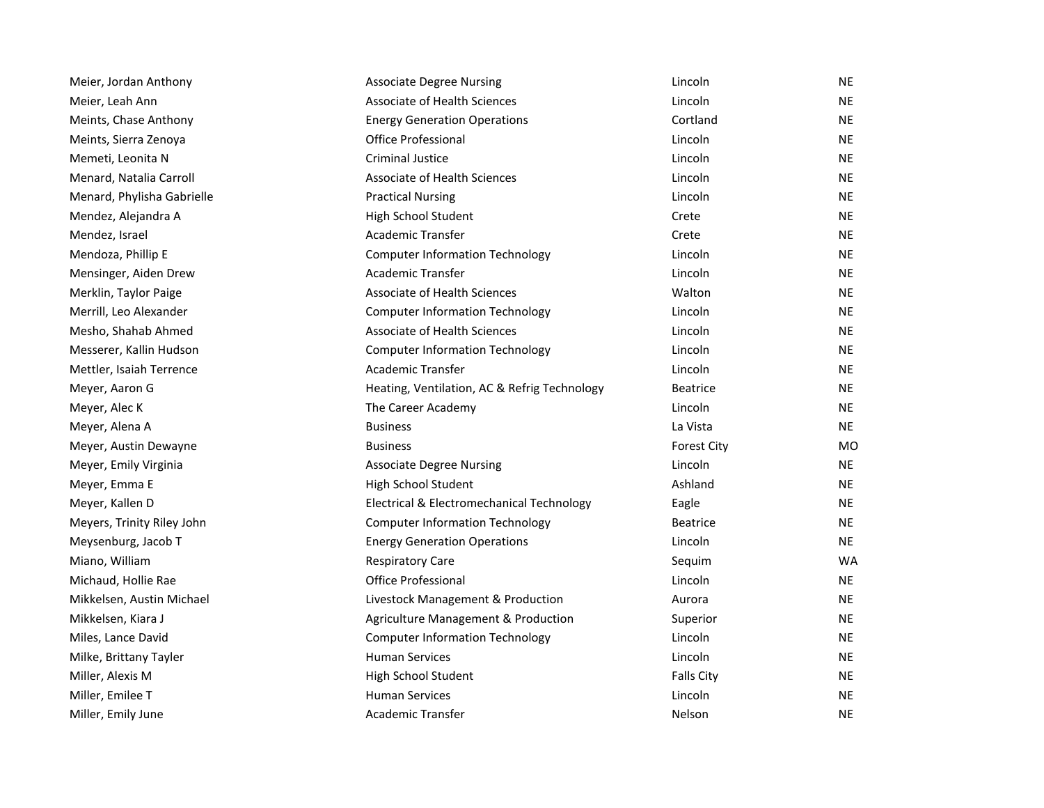| Meier, Jordan Anthony      | <b>Associate Degree Nursing</b>              | Lincoln            | <b>NE</b>      |
|----------------------------|----------------------------------------------|--------------------|----------------|
| Meier, Leah Ann            | Associate of Health Sciences                 | Lincoln            | <b>NE</b>      |
| Meints, Chase Anthony      | <b>Energy Generation Operations</b>          | Cortland           | <b>NE</b>      |
| Meints, Sierra Zenoya      | <b>Office Professional</b>                   | Lincoln            | <b>NE</b>      |
| Memeti, Leonita N          | Criminal Justice                             | Lincoln            | NE             |
| Menard, Natalia Carroll    | Associate of Health Sciences                 | Lincoln            | NE.            |
| Menard, Phylisha Gabrielle | <b>Practical Nursing</b>                     | Lincoln            | <b>NE</b>      |
| Mendez, Alejandra A        | High School Student                          | Crete              | <b>NE</b>      |
| Mendez, Israel             | <b>Academic Transfer</b>                     | Crete              | <b>NE</b>      |
| Mendoza, Phillip E         | <b>Computer Information Technology</b>       | Lincoln            | <b>NE</b>      |
| Mensinger, Aiden Drew      | Academic Transfer                            | Lincoln            | NE.            |
| Merklin, Taylor Paige      | Associate of Health Sciences                 | Walton             | <b>NE</b>      |
| Merrill, Leo Alexander     | <b>Computer Information Technology</b>       | Lincoln            | NE             |
| Mesho, Shahab Ahmed        | Associate of Health Sciences                 | Lincoln            | NE.            |
| Messerer, Kallin Hudson    | <b>Computer Information Technology</b>       | Lincoln            | <b>NE</b>      |
| Mettler, Isaiah Terrence   | Academic Transfer                            | Lincoln            | NE             |
| Meyer, Aaron G             | Heating, Ventilation, AC & Refrig Technology | <b>Beatrice</b>    | <b>NE</b>      |
| Meyer, Alec K              | The Career Academy                           | Lincoln            | NE             |
| Meyer, Alena A             | <b>Business</b>                              | La Vista           | <b>NE</b>      |
| Meyer, Austin Dewayne      | <b>Business</b>                              | <b>Forest City</b> | M <sub>O</sub> |
| Meyer, Emily Virginia      | <b>Associate Degree Nursing</b>              | Lincoln            | NE             |
| Meyer, Emma E              | High School Student                          | Ashland            | NE.            |
| Meyer, Kallen D            | Electrical & Electromechanical Technology    | Eagle              | NE             |
| Meyers, Trinity Riley John | <b>Computer Information Technology</b>       | <b>Beatrice</b>    | <b>NE</b>      |
| Meysenburg, Jacob T        | <b>Energy Generation Operations</b>          | Lincoln            | <b>NE</b>      |
| Miano, William             | <b>Respiratory Care</b>                      | Sequim             | WA             |
| Michaud, Hollie Rae        | <b>Office Professional</b>                   | Lincoln            | NE.            |
| Mikkelsen, Austin Michael  | Livestock Management & Production            | Aurora             | <b>NE</b>      |
| Mikkelsen, Kiara J         | Agriculture Management & Production          | Superior           | <b>NE</b>      |
| Miles, Lance David         | <b>Computer Information Technology</b>       | Lincoln            | <b>NE</b>      |
| Milke, Brittany Tayler     | <b>Human Services</b>                        | Lincoln            | <b>NE</b>      |
| Miller, Alexis M           | High School Student                          | <b>Falls City</b>  | ΝE             |
| Miller, Emilee T           | <b>Human Services</b>                        | Lincoln            | <b>NE</b>      |
| Miller, Emily June         | Academic Transfer                            | Nelson             | <b>NE</b>      |
|                            |                                              |                    |                |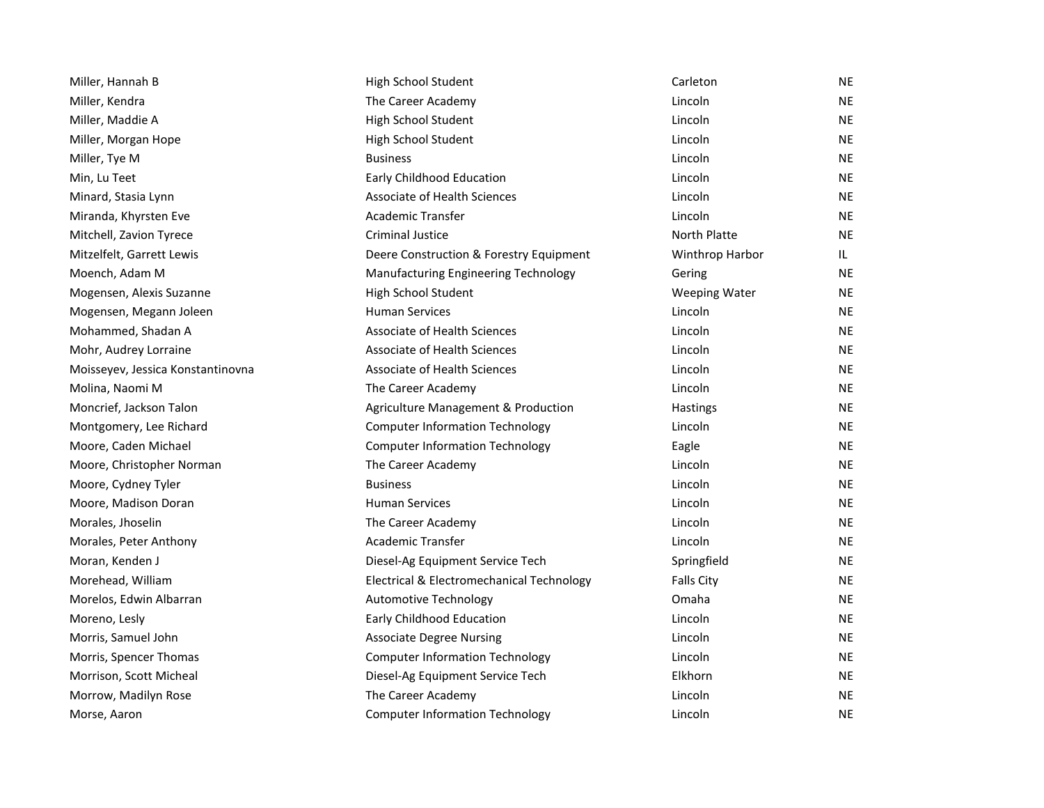| Miller, Hannah B                  | High School Student                       | Carleton             | <b>NE</b> |
|-----------------------------------|-------------------------------------------|----------------------|-----------|
| Miller, Kendra                    | The Career Academy                        | Lincoln              | <b>NE</b> |
| Miller, Maddie A                  | High School Student                       | Lincoln              | <b>NE</b> |
| Miller, Morgan Hope               | High School Student                       | Lincoln              | <b>NE</b> |
| Miller, Tye M                     | <b>Business</b>                           | Lincoln              | <b>NE</b> |
| Min, Lu Teet                      | Early Childhood Education                 | Lincoln              | <b>NE</b> |
| Minard, Stasia Lynn               | Associate of Health Sciences              | Lincoln              | <b>NE</b> |
| Miranda, Khyrsten Eve             | <b>Academic Transfer</b>                  | Lincoln              | <b>NE</b> |
| Mitchell, Zavion Tyrece           | <b>Criminal Justice</b>                   | North Platte         | <b>NE</b> |
| Mitzelfelt, Garrett Lewis         | Deere Construction & Forestry Equipment   | Winthrop Harbor      | IL.       |
| Moench, Adam M                    | Manufacturing Engineering Technology      | Gering               | <b>NE</b> |
| Mogensen, Alexis Suzanne          | High School Student                       | <b>Weeping Water</b> | <b>NE</b> |
| Mogensen, Megann Joleen           | <b>Human Services</b>                     | Lincoln              | <b>NE</b> |
| Mohammed, Shadan A                | Associate of Health Sciences              | Lincoln              | <b>NE</b> |
| Mohr, Audrey Lorraine             | Associate of Health Sciences              | Lincoln              | <b>NE</b> |
| Moisseyev, Jessica Konstantinovna | Associate of Health Sciences              | Lincoln              | <b>NE</b> |
| Molina, Naomi M                   | The Career Academy                        | Lincoln              | <b>NE</b> |
| Moncrief, Jackson Talon           | Agriculture Management & Production       | Hastings             | <b>NE</b> |
| Montgomery, Lee Richard           | <b>Computer Information Technology</b>    | Lincoln              | <b>NE</b> |
| Moore, Caden Michael              | <b>Computer Information Technology</b>    | Eagle                | <b>NE</b> |
| Moore, Christopher Norman         | The Career Academy                        | Lincoln              | NE        |
| Moore, Cydney Tyler               | <b>Business</b>                           | Lincoln              | <b>NE</b> |
| Moore, Madison Doran              | <b>Human Services</b>                     | Lincoln              | <b>NE</b> |
| Morales, Jhoselin                 | The Career Academy                        | Lincoln              | <b>NE</b> |
| Morales, Peter Anthony            | Academic Transfer                         | Lincoln              | <b>NE</b> |
| Moran, Kenden J                   | Diesel-Ag Equipment Service Tech          | Springfield          | <b>NE</b> |
| Morehead, William                 | Electrical & Electromechanical Technology | <b>Falls City</b>    | <b>NE</b> |
| Morelos, Edwin Albarran           | Automotive Technology                     | Omaha                | NE        |
| Moreno, Lesly                     | Early Childhood Education                 | Lincoln              | NE.       |
| Morris, Samuel John               | <b>Associate Degree Nursing</b>           | Lincoln              | <b>NE</b> |
| Morris, Spencer Thomas            | <b>Computer Information Technology</b>    | Lincoln              | <b>NE</b> |
| Morrison, Scott Micheal           | Diesel-Ag Equipment Service Tech          | Elkhorn              | <b>NE</b> |
| Morrow, Madilyn Rose              | The Career Academy                        | Lincoln              | <b>NE</b> |
| Morse, Aaron                      | <b>Computer Information Technology</b>    | Lincoln              | <b>NE</b> |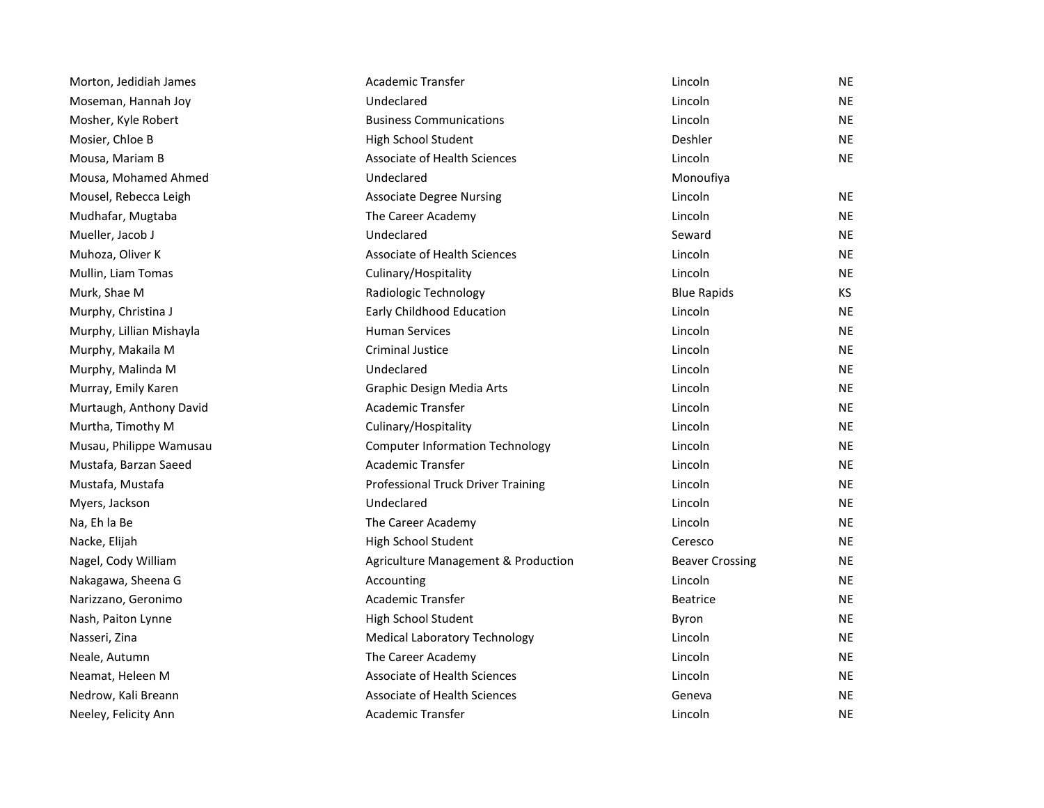| Morton, Jedidiah James   | Academic Transfer                      | Lincoln                | <b>NE</b> |
|--------------------------|----------------------------------------|------------------------|-----------|
| Moseman, Hannah Joy      | Undeclared                             | Lincoln                | NE        |
| Mosher, Kyle Robert      | <b>Business Communications</b>         | Lincoln                | <b>NE</b> |
| Mosier, Chloe B          | High School Student                    | Deshler                | <b>NE</b> |
| Mousa, Mariam B          | Associate of Health Sciences           | Lincoln                | <b>NE</b> |
| Mousa, Mohamed Ahmed     | Undeclared                             | Monoufiya              |           |
| Mousel, Rebecca Leigh    | <b>Associate Degree Nursing</b>        | Lincoln                | <b>NE</b> |
| Mudhafar, Mugtaba        | The Career Academy                     | Lincoln                | <b>NE</b> |
| Mueller, Jacob J         | Undeclared                             | Seward                 | <b>NE</b> |
| Muhoza, Oliver K         | Associate of Health Sciences           | Lincoln                | <b>NE</b> |
| Mullin, Liam Tomas       | Culinary/Hospitality                   | Lincoln                | <b>NE</b> |
| Murk, Shae M             | Radiologic Technology                  | <b>Blue Rapids</b>     | KS        |
| Murphy, Christina J      | Early Childhood Education              | Lincoln                | <b>NE</b> |
| Murphy, Lillian Mishayla | <b>Human Services</b>                  | Lincoln                | <b>NE</b> |
| Murphy, Makaila M        | <b>Criminal Justice</b>                | Lincoln                | <b>NE</b> |
| Murphy, Malinda M        | Undeclared                             | Lincoln                | <b>NE</b> |
| Murray, Emily Karen      | Graphic Design Media Arts              | Lincoln                | <b>NE</b> |
| Murtaugh, Anthony David  | <b>Academic Transfer</b>               | Lincoln                | <b>NE</b> |
| Murtha, Timothy M        | Culinary/Hospitality                   | Lincoln                | <b>NE</b> |
| Musau, Philippe Wamusau  | <b>Computer Information Technology</b> | Lincoln                | <b>NE</b> |
| Mustafa, Barzan Saeed    | Academic Transfer                      | Lincoln                | <b>NE</b> |
| Mustafa, Mustafa         | Professional Truck Driver Training     | Lincoln                | <b>NE</b> |
| Myers, Jackson           | Undeclared                             | Lincoln                | <b>NE</b> |
| Na, Eh la Be             | The Career Academy                     | Lincoln                | <b>NE</b> |
| Nacke, Elijah            | High School Student                    | Ceresco                | <b>NE</b> |
| Nagel, Cody William      | Agriculture Management & Production    | <b>Beaver Crossing</b> | <b>NE</b> |
| Nakagawa, Sheena G       | Accounting                             | Lincoln                | <b>NE</b> |
| Narizzano, Geronimo      | <b>Academic Transfer</b>               | <b>Beatrice</b>        | <b>NE</b> |
| Nash, Paiton Lynne       | High School Student                    | Byron                  | <b>NE</b> |
| Nasseri, Zina            | <b>Medical Laboratory Technology</b>   | Lincoln                | <b>NE</b> |
| Neale, Autumn            | The Career Academy                     | Lincoln                | <b>NE</b> |
| Neamat, Heleen M         | <b>Associate of Health Sciences</b>    | Lincoln                | <b>NE</b> |
| Nedrow, Kali Breann      | Associate of Health Sciences           | Geneva                 | <b>NE</b> |
| Neeley, Felicity Ann     | <b>Academic Transfer</b>               | Lincoln                | <b>NE</b> |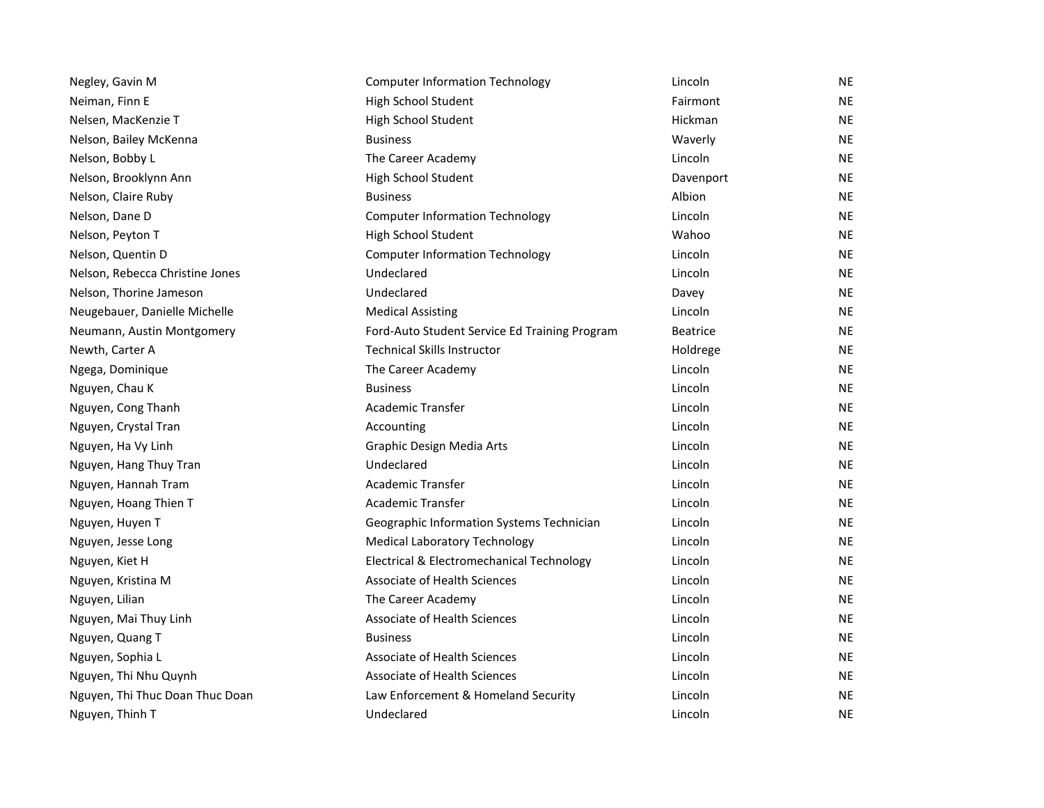| Negley, Gavin M                 | <b>Computer Information Technology</b>        | Lincoln         | <b>NE</b> |
|---------------------------------|-----------------------------------------------|-----------------|-----------|
| Neiman, Finn E                  | High School Student                           | Fairmont        | <b>NE</b> |
| Nelsen, MacKenzie T             | High School Student                           | Hickman         | <b>NE</b> |
| Nelson, Bailey McKenna          | <b>Business</b>                               | Waverly         | <b>NE</b> |
| Nelson, Bobby L                 | The Career Academy                            | Lincoln         | <b>NE</b> |
| Nelson, Brooklynn Ann           | High School Student                           | Davenport       | <b>NE</b> |
| Nelson, Claire Ruby             | <b>Business</b>                               | Albion          | <b>NE</b> |
| Nelson, Dane D                  | <b>Computer Information Technology</b>        | Lincoln         | <b>NE</b> |
| Nelson, Peyton T                | High School Student                           | Wahoo           | <b>NE</b> |
| Nelson, Quentin D               | <b>Computer Information Technology</b>        | Lincoln         | <b>NE</b> |
| Nelson, Rebecca Christine Jones | Undeclared                                    | Lincoln         | <b>NE</b> |
| Nelson, Thorine Jameson         | Undeclared                                    | Davey           | <b>NE</b> |
| Neugebauer, Danielle Michelle   | <b>Medical Assisting</b>                      | Lincoln         | <b>NE</b> |
| Neumann, Austin Montgomery      | Ford-Auto Student Service Ed Training Program | <b>Beatrice</b> | <b>NE</b> |
| Newth, Carter A                 | <b>Technical Skills Instructor</b>            | Holdrege        | <b>NE</b> |
| Ngega, Dominique                | The Career Academy                            | Lincoln         | <b>NE</b> |
| Nguyen, Chau K                  | <b>Business</b>                               | Lincoln         | <b>NE</b> |
| Nguyen, Cong Thanh              | Academic Transfer                             | Lincoln         | <b>NE</b> |
| Nguyen, Crystal Tran            | Accounting                                    | Lincoln         | NE.       |
| Nguyen, Ha Vy Linh              | Graphic Design Media Arts                     | Lincoln         | <b>NE</b> |
| Nguyen, Hang Thuy Tran          | Undeclared                                    | Lincoln         | <b>NE</b> |
| Nguyen, Hannah Tram             | <b>Academic Transfer</b>                      | Lincoln         | NE.       |
| Nguyen, Hoang Thien T           | <b>Academic Transfer</b>                      | Lincoln         | <b>NE</b> |
| Nguyen, Huyen T                 | Geographic Information Systems Technician     | Lincoln         | <b>NE</b> |
| Nguyen, Jesse Long              | <b>Medical Laboratory Technology</b>          | Lincoln         | <b>NE</b> |
| Nguyen, Kiet H                  | Electrical & Electromechanical Technology     | Lincoln         | <b>NE</b> |
| Nguyen, Kristina M              | Associate of Health Sciences                  | Lincoln         | <b>NE</b> |
| Nguyen, Lilian                  | The Career Academy                            | Lincoln         | <b>NE</b> |
| Nguyen, Mai Thuy Linh           | Associate of Health Sciences                  | Lincoln         | NE.       |
| Nguyen, Quang T                 | <b>Business</b>                               | Lincoln         | <b>NE</b> |
| Nguyen, Sophia L                | Associate of Health Sciences                  | Lincoln         | <b>NE</b> |
| Nguyen, Thi Nhu Quynh           | Associate of Health Sciences                  | Lincoln         | <b>NE</b> |
| Nguyen, Thi Thuc Doan Thuc Doan | Law Enforcement & Homeland Security           | Lincoln         | <b>NE</b> |
| Nguyen, Thinh T                 | Undeclared                                    | Lincoln         | <b>NE</b> |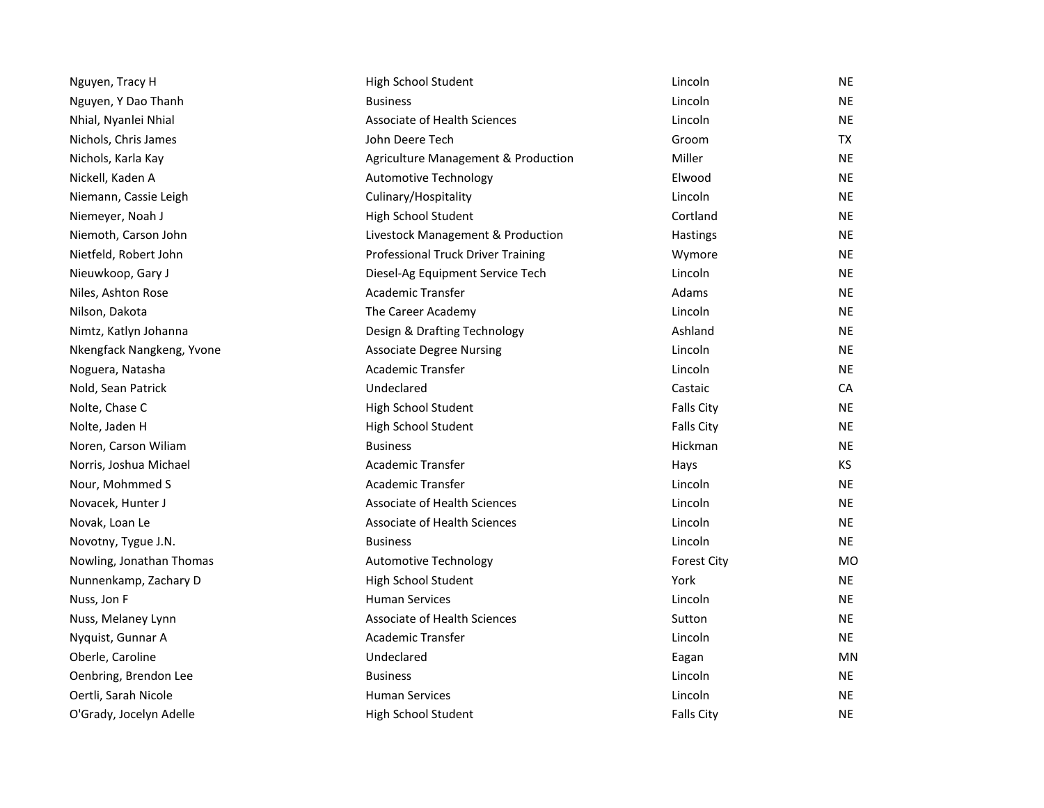| Nguyen, Tracy H           | High School Student                 | Lincoln            | <b>NE</b> |
|---------------------------|-------------------------------------|--------------------|-----------|
| Nguyen, Y Dao Thanh       | <b>Business</b>                     | Lincoln            | <b>NE</b> |
| Nhial, Nyanlei Nhial      | Associate of Health Sciences        | Lincoln            | <b>NE</b> |
| Nichols, Chris James      | John Deere Tech                     | Groom              | <b>TX</b> |
| Nichols, Karla Kay        | Agriculture Management & Production | Miller             | <b>NE</b> |
| Nickell, Kaden A          | <b>Automotive Technology</b>        | Elwood             | <b>NE</b> |
| Niemann, Cassie Leigh     | Culinary/Hospitality                | Lincoln            | <b>NE</b> |
| Niemeyer, Noah J          | High School Student                 | Cortland           | <b>NE</b> |
| Niemoth, Carson John      | Livestock Management & Production   | Hastings           | <b>NE</b> |
| Nietfeld, Robert John     | Professional Truck Driver Training  | Wymore             | <b>NE</b> |
| Nieuwkoop, Gary J         | Diesel-Ag Equipment Service Tech    | Lincoln            | <b>NE</b> |
| Niles, Ashton Rose        | Academic Transfer                   | Adams              | <b>NE</b> |
| Nilson, Dakota            | The Career Academy                  | Lincoln            | <b>NE</b> |
| Nimtz, Katlyn Johanna     | Design & Drafting Technology        | Ashland            | <b>NE</b> |
| Nkengfack Nangkeng, Yvone | <b>Associate Degree Nursing</b>     | Lincoln            | <b>NE</b> |
| Noguera, Natasha          | Academic Transfer                   | Lincoln            | <b>NE</b> |
| Nold, Sean Patrick        | Undeclared                          | Castaic            | CA        |
| Nolte, Chase C            | High School Student                 | <b>Falls City</b>  | <b>NE</b> |
| Nolte, Jaden H            | High School Student                 | <b>Falls City</b>  | <b>NE</b> |
| Noren, Carson Wiliam      | <b>Business</b>                     | Hickman            | <b>NE</b> |
| Norris, Joshua Michael    | Academic Transfer                   | Hays               | KS        |
| Nour, Mohmmed S           | Academic Transfer                   | Lincoln            | <b>NE</b> |
| Novacek, Hunter J         | Associate of Health Sciences        | Lincoln            | <b>NE</b> |
| Novak, Loan Le            | Associate of Health Sciences        | Lincoln            | <b>NE</b> |
| Novotny, Tygue J.N.       | <b>Business</b>                     | Lincoln            | <b>NE</b> |
| Nowling, Jonathan Thomas  | <b>Automotive Technology</b>        | <b>Forest City</b> | <b>MO</b> |
| Nunnenkamp, Zachary D     | High School Student                 | York               | <b>NE</b> |
| Nuss, Jon F               | <b>Human Services</b>               | Lincoln            | <b>NE</b> |
| Nuss, Melaney Lynn        | Associate of Health Sciences        | Sutton             | <b>NE</b> |
| Nyquist, Gunnar A         | <b>Academic Transfer</b>            | Lincoln            | <b>NE</b> |
| Oberle, Caroline          | Undeclared                          | Eagan              | MN        |
| Oenbring, Brendon Lee     | <b>Business</b>                     | Lincoln            | <b>NE</b> |
| Oertli, Sarah Nicole      | <b>Human Services</b>               | Lincoln            | <b>NE</b> |
| O'Grady, Jocelyn Adelle   | High School Student                 | <b>Falls City</b>  | <b>NE</b> |
|                           |                                     |                    |           |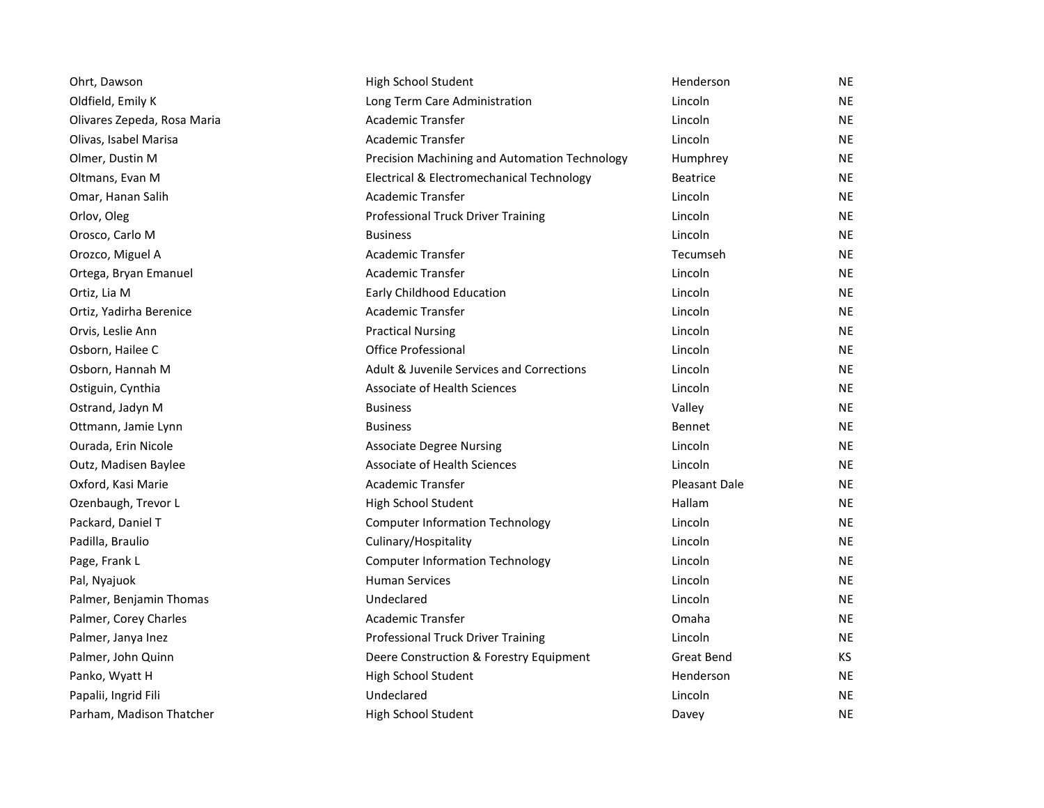| Ohrt, Dawson                | High School Student                           | Henderson            | <b>NE</b> |
|-----------------------------|-----------------------------------------------|----------------------|-----------|
| Oldfield, Emily K           | Long Term Care Administration                 | Lincoln              | <b>NE</b> |
| Olivares Zepeda, Rosa Maria | <b>Academic Transfer</b>                      | Lincoln              | <b>NE</b> |
| Olivas, Isabel Marisa       | Academic Transfer                             | Lincoln              | <b>NE</b> |
| Olmer, Dustin M             | Precision Machining and Automation Technology | Humphrey             | <b>NE</b> |
| Oltmans, Evan M             | Electrical & Electromechanical Technology     | <b>Beatrice</b>      | <b>NE</b> |
| Omar, Hanan Salih           | Academic Transfer                             | Lincoln              | <b>NE</b> |
| Orlov, Oleg                 | Professional Truck Driver Training            | Lincoln              | <b>NE</b> |
| Orosco, Carlo M             | <b>Business</b>                               | Lincoln              | <b>NE</b> |
| Orozco, Miguel A            | Academic Transfer                             | Tecumseh             | <b>NE</b> |
| Ortega, Bryan Emanuel       | <b>Academic Transfer</b>                      | Lincoln              | <b>NE</b> |
| Ortiz, Lia M                | <b>Early Childhood Education</b>              | Lincoln              | <b>NE</b> |
| Ortiz, Yadirha Berenice     | Academic Transfer                             | Lincoln              | <b>NE</b> |
| Orvis, Leslie Ann           | <b>Practical Nursing</b>                      | Lincoln              | <b>NE</b> |
| Osborn, Hailee C            | <b>Office Professional</b>                    | Lincoln              | <b>NE</b> |
| Osborn, Hannah M            | Adult & Juvenile Services and Corrections     | Lincoln              | <b>NE</b> |
| Ostiguin, Cynthia           | Associate of Health Sciences                  | Lincoln              | <b>NE</b> |
| Ostrand, Jadyn M            | <b>Business</b>                               | Valley               | <b>NE</b> |
| Ottmann, Jamie Lynn         | <b>Business</b>                               | <b>Bennet</b>        | <b>NE</b> |
| Ourada, Erin Nicole         | <b>Associate Degree Nursing</b>               | Lincoln              | <b>NE</b> |
| Outz, Madisen Baylee        | <b>Associate of Health Sciences</b>           | Lincoln              | <b>NE</b> |
| Oxford, Kasi Marie          | <b>Academic Transfer</b>                      | <b>Pleasant Dale</b> | <b>NE</b> |
| Ozenbaugh, Trevor L         | High School Student                           | Hallam               | <b>NE</b> |
| Packard, Daniel T           | <b>Computer Information Technology</b>        | Lincoln              | <b>NE</b> |
| Padilla, Braulio            | Culinary/Hospitality                          | Lincoln              | <b>NE</b> |
| Page, Frank L               | <b>Computer Information Technology</b>        | Lincoln              | <b>NE</b> |
| Pal, Nyajuok                | <b>Human Services</b>                         | Lincoln              | <b>NE</b> |
| Palmer, Benjamin Thomas     | Undeclared                                    | Lincoln              | <b>NE</b> |
| Palmer, Corey Charles       | <b>Academic Transfer</b>                      | Omaha                | <b>NE</b> |
| Palmer, Janya Inez          | <b>Professional Truck Driver Training</b>     | Lincoln              | <b>NE</b> |
| Palmer, John Quinn          | Deere Construction & Forestry Equipment       | Great Bend           | KS        |
| Panko, Wyatt H              | High School Student                           | Henderson            | <b>NE</b> |
| Papalii, Ingrid Fili        | Undeclared                                    | Lincoln              | <b>NE</b> |
| Parham, Madison Thatcher    | High School Student                           | Davey                | <b>NE</b> |
|                             |                                               |                      |           |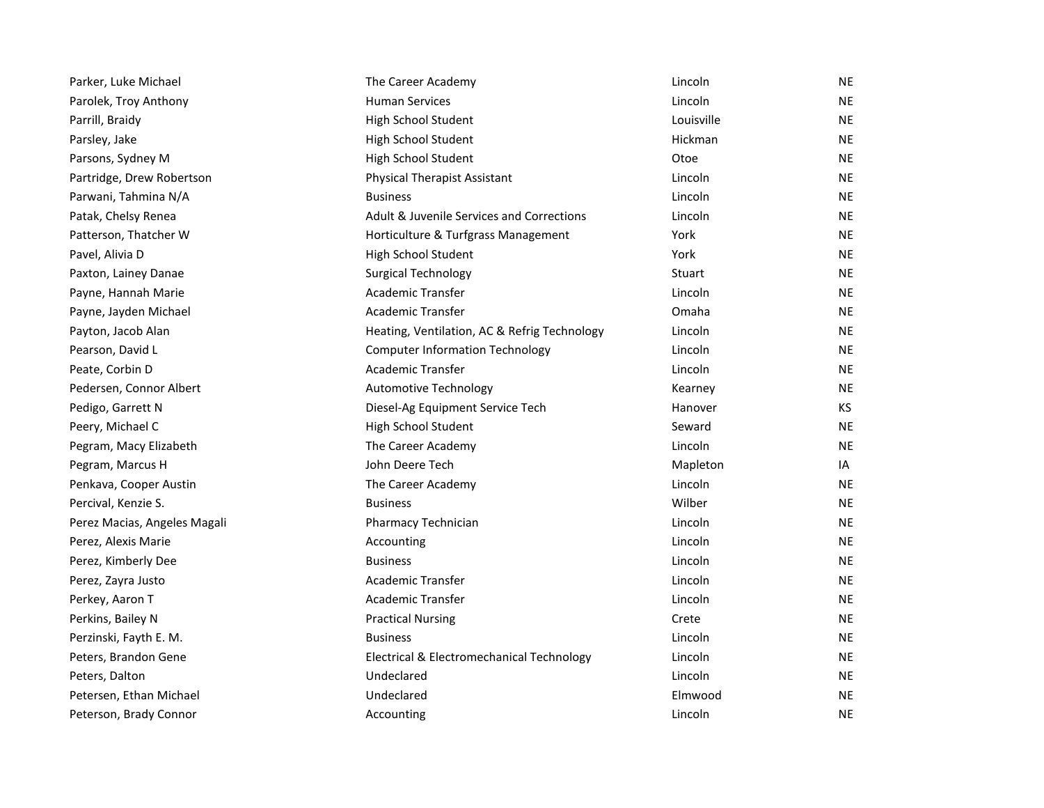| Parker, Luke Michael         | The Career Academy                           | Lincoln    | <b>NE</b> |
|------------------------------|----------------------------------------------|------------|-----------|
| Parolek, Troy Anthony        | <b>Human Services</b>                        | Lincoln    | <b>NE</b> |
| Parrill, Braidy              | High School Student                          | Louisville | NE.       |
| Parsley, Jake                | High School Student                          | Hickman    | <b>NE</b> |
| Parsons, Sydney M            | High School Student                          | Otoe       | <b>NE</b> |
| Partridge, Drew Robertson    | <b>Physical Therapist Assistant</b>          | Lincoln    | NE.       |
| Parwani, Tahmina N/A         | <b>Business</b>                              | Lincoln    | <b>NE</b> |
| Patak, Chelsy Renea          | Adult & Juvenile Services and Corrections    | Lincoln    | <b>NE</b> |
| Patterson, Thatcher W        | Horticulture & Turfgrass Management          | York       | NE.       |
| Pavel, Alivia D              | High School Student                          | York       | <b>NE</b> |
| Paxton, Lainey Danae         | <b>Surgical Technology</b>                   | Stuart     | NE.       |
| Payne, Hannah Marie          | Academic Transfer                            | Lincoln    | NE.       |
| Payne, Jayden Michael        | <b>Academic Transfer</b>                     | Omaha      | <b>NE</b> |
| Payton, Jacob Alan           | Heating, Ventilation, AC & Refrig Technology | Lincoln    | <b>NE</b> |
| Pearson, David L             | <b>Computer Information Technology</b>       | Lincoln    | NE.       |
| Peate, Corbin D              | <b>Academic Transfer</b>                     | Lincoln    | <b>NE</b> |
| Pedersen, Connor Albert      | <b>Automotive Technology</b>                 | Kearney    | NE.       |
| Pedigo, Garrett N            | Diesel-Ag Equipment Service Tech             | Hanover    | KS.       |
| Peery, Michael C             | High School Student                          | Seward     | <b>NE</b> |
| Pegram, Macy Elizabeth       | The Career Academy                           | Lincoln    | <b>NE</b> |
| Pegram, Marcus H             | John Deere Tech                              | Mapleton   | IA        |
| Penkava, Cooper Austin       | The Career Academy                           | Lincoln    | <b>NE</b> |
| Percival, Kenzie S.          | <b>Business</b>                              | Wilber     | NE.       |
| Perez Macias, Angeles Magali | Pharmacy Technician                          | Lincoln    | NE.       |
| Perez, Alexis Marie          | Accounting                                   | Lincoln    | <b>NE</b> |
| Perez, Kimberly Dee          | <b>Business</b>                              | Lincoln    | <b>NE</b> |
| Perez, Zayra Justo           | <b>Academic Transfer</b>                     | Lincoln    | <b>NE</b> |
| Perkey, Aaron T              | Academic Transfer                            | Lincoln    | NE.       |
| Perkins, Bailey N            | <b>Practical Nursing</b>                     | Crete      | NE.       |
| Perzinski, Fayth E. M.       | <b>Business</b>                              | Lincoln    | <b>NE</b> |
| Peters, Brandon Gene         | Electrical & Electromechanical Technology    | Lincoln    | NE.       |
| Peters, Dalton               | Undeclared                                   | Lincoln    | NE.       |
| Petersen, Ethan Michael      | Undeclared                                   | Elmwood    | <b>NE</b> |
| Peterson, Brady Connor       | Accounting                                   | Lincoln    | <b>NE</b> |
|                              |                                              |            |           |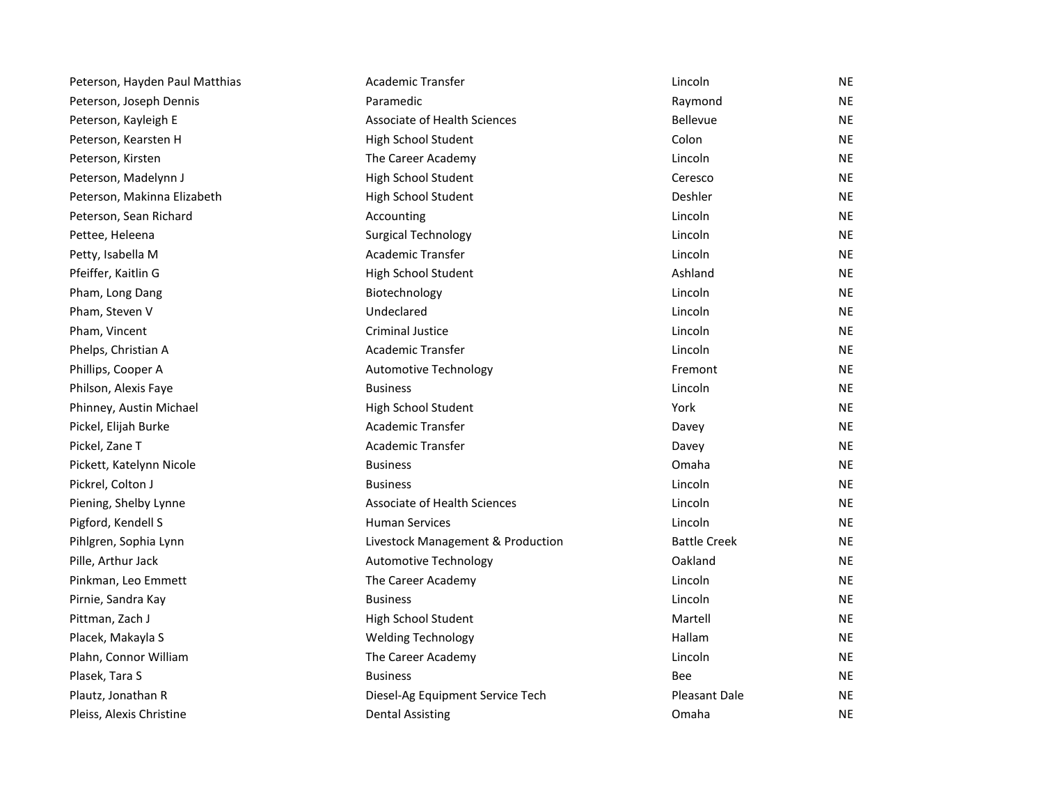| Peterson, Hayden Paul Matthias | Academic Transfer                 | Lincoln             | NE        |
|--------------------------------|-----------------------------------|---------------------|-----------|
| Peterson, Joseph Dennis        | Paramedic                         | Raymond             | NE        |
| Peterson, Kayleigh E           | Associate of Health Sciences      | Bellevue            | <b>NE</b> |
| Peterson, Kearsten H           | High School Student               | Colon               | <b>NE</b> |
| Peterson, Kirsten              | The Career Academy                | Lincoln             | <b>NE</b> |
| Peterson, Madelynn J           | High School Student               | Ceresco             | <b>NE</b> |
| Peterson, Makinna Elizabeth    | High School Student               | Deshler             | <b>NE</b> |
| Peterson, Sean Richard         | Accounting                        | Lincoln             | <b>NE</b> |
| Pettee, Heleena                | <b>Surgical Technology</b>        | Lincoln             | <b>NE</b> |
| Petty, Isabella M              | Academic Transfer                 | Lincoln             | <b>NE</b> |
| Pfeiffer, Kaitlin G            | High School Student               | Ashland             | <b>NE</b> |
| Pham, Long Dang                | Biotechnology                     | Lincoln             | <b>NE</b> |
| Pham, Steven V                 | Undeclared                        | Lincoln             | <b>NE</b> |
| Pham, Vincent                  | <b>Criminal Justice</b>           | Lincoln             | <b>NE</b> |
| Phelps, Christian A            | <b>Academic Transfer</b>          | Lincoln             | <b>NE</b> |
| Phillips, Cooper A             | Automotive Technology             | Fremont             | <b>NE</b> |
| Philson, Alexis Faye           | <b>Business</b>                   | Lincoln             | <b>NE</b> |
| Phinney, Austin Michael        | High School Student               | York                | <b>NE</b> |
| Pickel, Elijah Burke           | Academic Transfer                 | Davey               | <b>NE</b> |
| Pickel, Zane T                 | <b>Academic Transfer</b>          | Davey               | <b>NE</b> |
| Pickett, Katelynn Nicole       | <b>Business</b>                   | Omaha               | <b>NE</b> |
| Pickrel, Colton J              | <b>Business</b>                   | Lincoln             | <b>NE</b> |
| Piening, Shelby Lynne          | Associate of Health Sciences      | Lincoln             | <b>NE</b> |
| Pigford, Kendell S             | <b>Human Services</b>             | Lincoln             | <b>NE</b> |
| Pihlgren, Sophia Lynn          | Livestock Management & Production | <b>Battle Creek</b> | <b>NE</b> |
| Pille, Arthur Jack             | <b>Automotive Technology</b>      | Oakland             | <b>NE</b> |
| Pinkman, Leo Emmett            | The Career Academy                | Lincoln             | <b>NE</b> |
| Pirnie, Sandra Kay             | <b>Business</b>                   | Lincoln             | <b>NE</b> |
| Pittman, Zach J                | High School Student               | Martell             | <b>NE</b> |
| Placek, Makayla S              | <b>Welding Technology</b>         | Hallam              | <b>NE</b> |
| Plahn, Connor William          | The Career Academy                | Lincoln             | <b>NE</b> |
| Plasek, Tara S                 | <b>Business</b>                   | Bee                 | <b>NE</b> |
| Plautz, Jonathan R             | Diesel-Ag Equipment Service Tech  | Pleasant Dale       | <b>NE</b> |
| Pleiss, Alexis Christine       | <b>Dental Assisting</b>           | Omaha               | <b>NE</b> |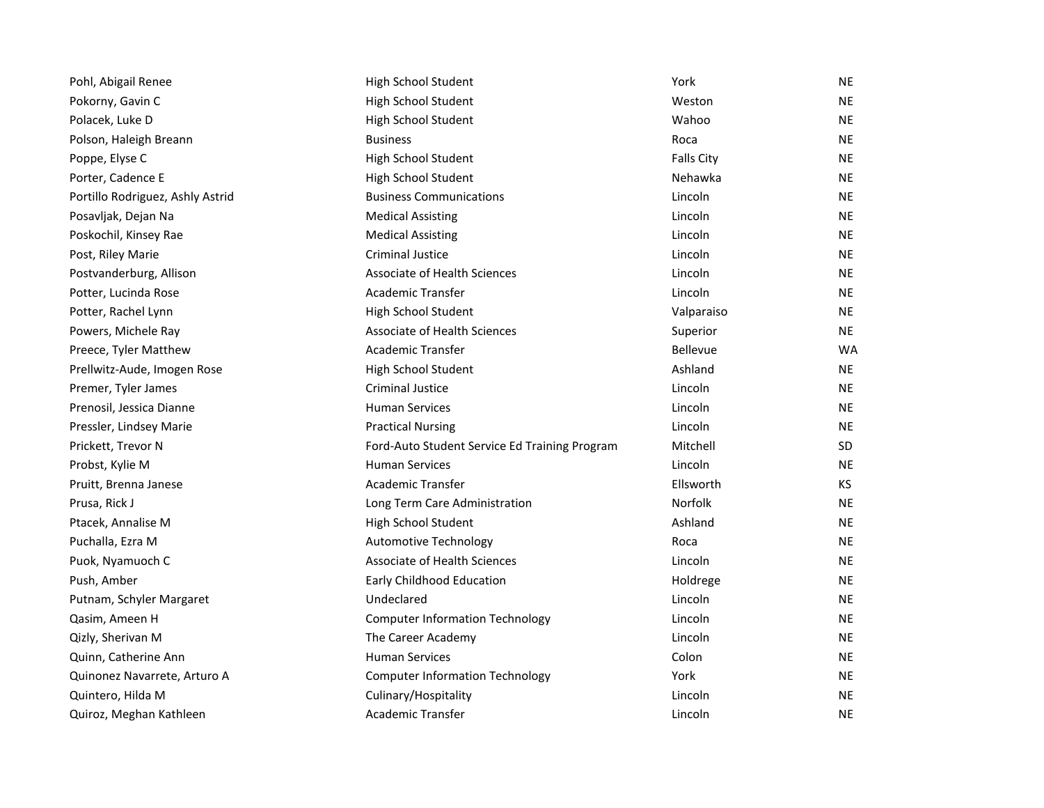| Pohl, Abigail Renee              | High School Student                           | York              | NE        |
|----------------------------------|-----------------------------------------------|-------------------|-----------|
| Pokorny, Gavin C                 | High School Student                           | Weston            | NE        |
| Polacek, Luke D                  | High School Student                           | Wahoo             | ΝE        |
| Polson, Haleigh Breann           | <b>Business</b>                               | Roca              | <b>NE</b> |
| Poppe, Elyse C                   | High School Student                           | <b>Falls City</b> | ΝE        |
| Porter, Cadence E                | High School Student                           | Nehawka           | NE        |
| Portillo Rodriguez, Ashly Astrid | <b>Business Communications</b>                | Lincoln           | NE        |
| Posavljak, Dejan Na              | <b>Medical Assisting</b>                      | Lincoln           | ΝE        |
| Poskochil, Kinsey Rae            | <b>Medical Assisting</b>                      | Lincoln           | NE        |
| Post, Riley Marie                | <b>Criminal Justice</b>                       | Lincoln           | NE        |
| Postvanderburg, Allison          | <b>Associate of Health Sciences</b>           | Lincoln           | ΝE        |
| Potter, Lucinda Rose             | Academic Transfer                             | Lincoln           | NE        |
| Potter, Rachel Lynn              | High School Student                           | Valparaiso        | NE        |
| Powers, Michele Ray              | Associate of Health Sciences                  | Superior          | NE        |
| Preece, Tyler Matthew            | <b>Academic Transfer</b>                      | <b>Bellevue</b>   | <b>WA</b> |
| Prellwitz-Aude, Imogen Rose      | High School Student                           | Ashland           | NE        |
| Premer, Tyler James              | Criminal Justice                              | Lincoln           | NE.       |
| Prenosil, Jessica Dianne         | <b>Human Services</b>                         | Lincoln           | NE        |
| Pressler, Lindsey Marie          | <b>Practical Nursing</b>                      | Lincoln           | ΝE        |
| Prickett, Trevor N               | Ford-Auto Student Service Ed Training Program | Mitchell          | SD        |
| Probst, Kylie M                  | <b>Human Services</b>                         | Lincoln           | <b>NE</b> |
| Pruitt, Brenna Janese            | <b>Academic Transfer</b>                      | Ellsworth         | KS.       |
| Prusa, Rick J                    | Long Term Care Administration                 | Norfolk           | NE        |
| Ptacek, Annalise M               | High School Student                           | Ashland           | NE        |
| Puchalla, Ezra M                 | <b>Automotive Technology</b>                  | Roca              | NE        |
| Puok, Nyamuoch C                 | <b>Associate of Health Sciences</b>           | Lincoln           | ΝE        |
| Push, Amber                      | Early Childhood Education                     | Holdrege          | NE        |
| Putnam, Schyler Margaret         | Undeclared                                    | Lincoln           | NE        |
| Qasim, Ameen H                   | <b>Computer Information Technology</b>        | Lincoln           | ΝE        |
| Qizly, Sherivan M                | The Career Academy                            | Lincoln           | ΝE        |
| Quinn, Catherine Ann             | <b>Human Services</b>                         | Colon             | NE.       |
| Quinonez Navarrete, Arturo A     | <b>Computer Information Technology</b>        | York              | ΝE        |
| Quintero, Hilda M                | Culinary/Hospitality                          | Lincoln           | NE        |
| Quiroz, Meghan Kathleen          | Academic Transfer                             | Lincoln           | NE        |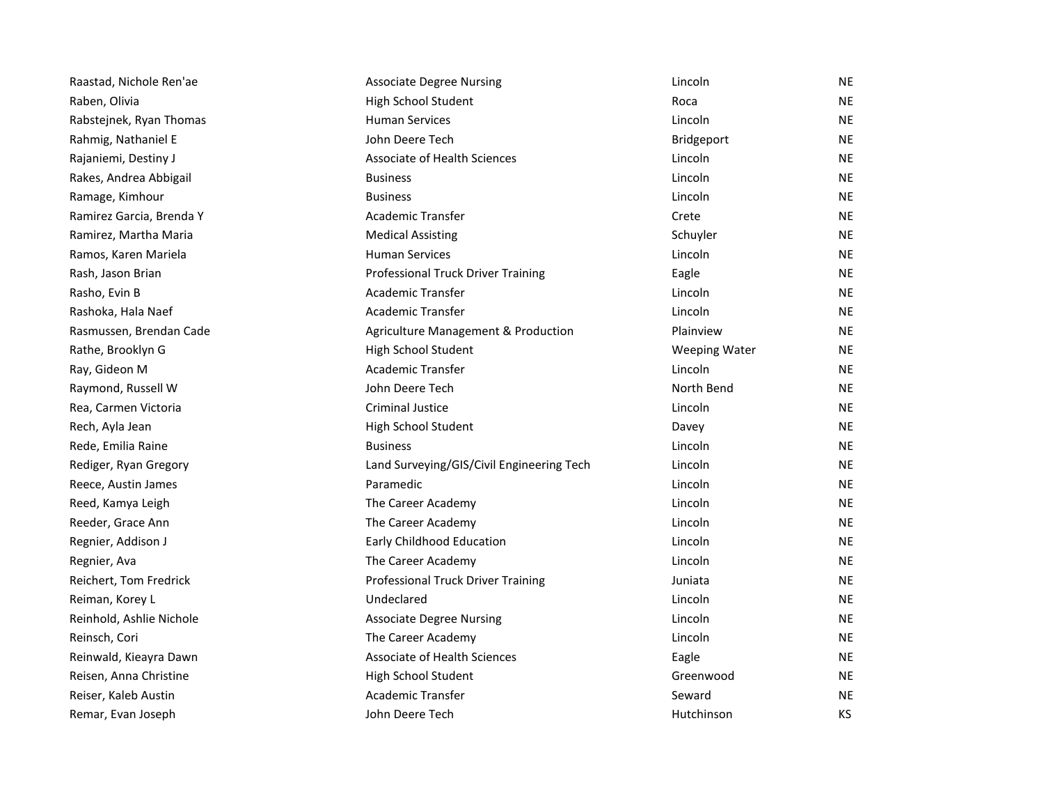| Raastad, Nichole Ren'ae  | <b>Associate Degree Nursing</b>           | Lincoln              | <b>NE</b> |
|--------------------------|-------------------------------------------|----------------------|-----------|
| Raben, Olivia            | High School Student                       | Roca                 | <b>NE</b> |
| Rabstejnek, Ryan Thomas  | <b>Human Services</b>                     | Lincoln              | <b>NE</b> |
| Rahmig, Nathaniel E      | John Deere Tech                           | Bridgeport           | <b>NE</b> |
| Rajaniemi, Destiny J     | Associate of Health Sciences              | Lincoln              | <b>NE</b> |
| Rakes, Andrea Abbigail   | <b>Business</b>                           | Lincoln              | <b>NE</b> |
| Ramage, Kimhour          | <b>Business</b>                           | Lincoln              | <b>NE</b> |
| Ramirez Garcia, Brenda Y | <b>Academic Transfer</b>                  | Crete                | <b>NE</b> |
| Ramirez, Martha Maria    | <b>Medical Assisting</b>                  | Schuyler             | <b>NE</b> |
| Ramos, Karen Mariela     | <b>Human Services</b>                     | Lincoln              | <b>NE</b> |
| Rash, Jason Brian        | Professional Truck Driver Training        | Eagle                | <b>NE</b> |
| Rasho, Evin B            | <b>Academic Transfer</b>                  | Lincoln              | <b>NE</b> |
| Rashoka, Hala Naef       | <b>Academic Transfer</b>                  | Lincoln              | <b>NE</b> |
| Rasmussen, Brendan Cade  | Agriculture Management & Production       | Plainview            | <b>NE</b> |
| Rathe, Brooklyn G        | High School Student                       | <b>Weeping Water</b> | <b>NE</b> |
| Ray, Gideon M            | <b>Academic Transfer</b>                  | Lincoln              | <b>NE</b> |
| Raymond, Russell W       | John Deere Tech                           | North Bend           | <b>NE</b> |
| Rea, Carmen Victoria     | <b>Criminal Justice</b>                   | Lincoln              | <b>NE</b> |
| Rech, Ayla Jean          | High School Student                       | Davey                | <b>NE</b> |
| Rede, Emilia Raine       | <b>Business</b>                           | Lincoln              | <b>NE</b> |
| Rediger, Ryan Gregory    | Land Surveying/GIS/Civil Engineering Tech | Lincoln              | <b>NE</b> |
| Reece, Austin James      | Paramedic                                 | Lincoln              | <b>NE</b> |
| Reed, Kamya Leigh        | The Career Academy                        | Lincoln              | <b>NE</b> |
| Reeder, Grace Ann        | The Career Academy                        | Lincoln              | <b>NE</b> |
| Regnier, Addison J       | Early Childhood Education                 | Lincoln              | <b>NE</b> |
| Regnier, Ava             | The Career Academy                        | Lincoln              | <b>NE</b> |
| Reichert, Tom Fredrick   | Professional Truck Driver Training        | Juniata              | <b>NE</b> |
| Reiman, Korey L          | Undeclared                                | Lincoln              | <b>NE</b> |
| Reinhold, Ashlie Nichole | <b>Associate Degree Nursing</b>           | Lincoln              | <b>NE</b> |
| Reinsch, Cori            | The Career Academy                        | Lincoln              | <b>NE</b> |
| Reinwald, Kieayra Dawn   | Associate of Health Sciences              | Eagle                | <b>NE</b> |
| Reisen, Anna Christine   | High School Student                       | Greenwood            | <b>NE</b> |
| Reiser, Kaleb Austin     | Academic Transfer                         | Seward               | <b>NE</b> |
| Remar, Evan Joseph       | John Deere Tech                           | Hutchinson           | <b>KS</b> |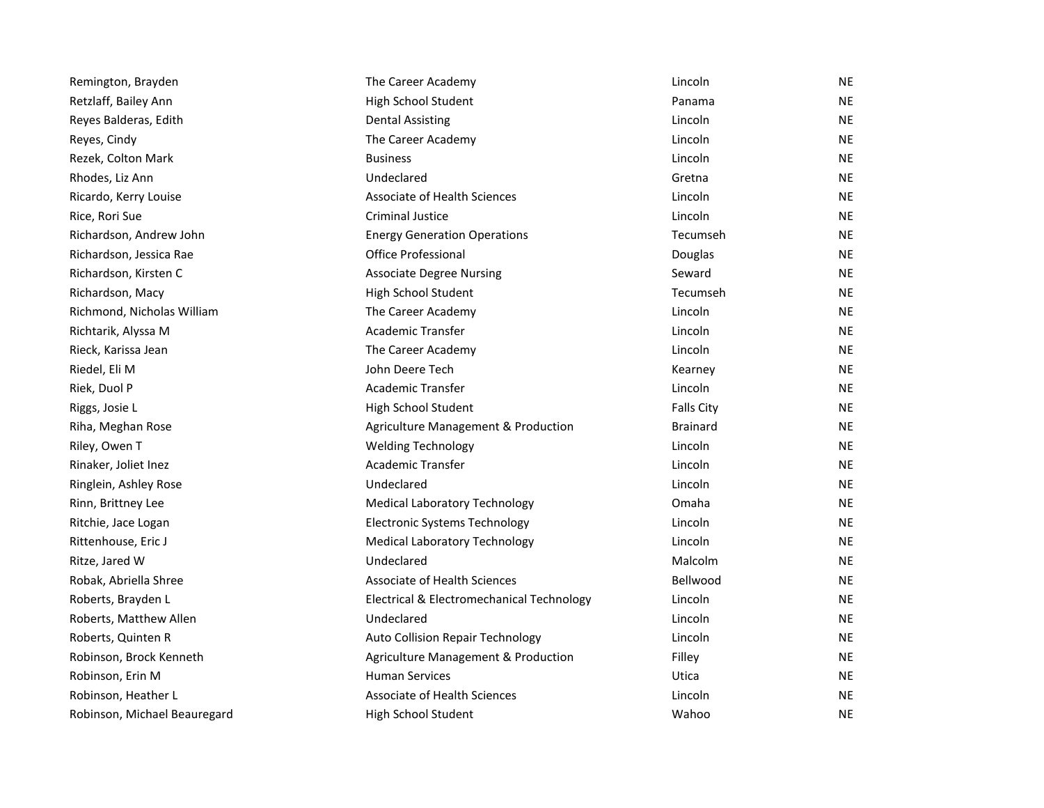| Remington, Brayden           | The Career Academy                        | Lincoln           | <b>NE</b> |
|------------------------------|-------------------------------------------|-------------------|-----------|
| Retzlaff, Bailey Ann         | High School Student                       | Panama            | <b>NE</b> |
| Reyes Balderas, Edith        | <b>Dental Assisting</b>                   | Lincoln           | <b>NE</b> |
| Reyes, Cindy                 | The Career Academy                        | Lincoln           | <b>NE</b> |
| Rezek, Colton Mark           | <b>Business</b>                           | Lincoln           | <b>NE</b> |
| Rhodes, Liz Ann              | Undeclared                                | Gretna            | <b>NE</b> |
| Ricardo, Kerry Louise        | <b>Associate of Health Sciences</b>       | Lincoln           | <b>NE</b> |
| Rice, Rori Sue               | <b>Criminal Justice</b>                   | Lincoln           | <b>NE</b> |
| Richardson, Andrew John      | <b>Energy Generation Operations</b>       | Tecumseh          | <b>NE</b> |
| Richardson, Jessica Rae      | Office Professional                       | Douglas           | <b>NE</b> |
| Richardson, Kirsten C        | <b>Associate Degree Nursing</b>           | Seward            | <b>NE</b> |
| Richardson, Macy             | High School Student                       | Tecumseh          | <b>NE</b> |
| Richmond, Nicholas William   | The Career Academy                        | Lincoln           | <b>NE</b> |
| Richtarik, Alyssa M          | <b>Academic Transfer</b>                  | Lincoln           | <b>NE</b> |
| Rieck, Karissa Jean          | The Career Academy                        | Lincoln           | <b>NE</b> |
| Riedel, Eli M                | John Deere Tech                           | Kearney           | <b>NE</b> |
| Riek, Duol P                 | <b>Academic Transfer</b>                  | Lincoln           | <b>NE</b> |
| Riggs, Josie L               | High School Student                       | <b>Falls City</b> | <b>NE</b> |
| Riha, Meghan Rose            | Agriculture Management & Production       | <b>Brainard</b>   | <b>NE</b> |
| Riley, Owen T                | <b>Welding Technology</b>                 | Lincoln           | <b>NE</b> |
| Rinaker, Joliet Inez         | Academic Transfer                         | Lincoln           | <b>NE</b> |
| Ringlein, Ashley Rose        | Undeclared                                | Lincoln           | <b>NE</b> |
| Rinn, Brittney Lee           | <b>Medical Laboratory Technology</b>      | Omaha             | <b>NE</b> |
| Ritchie, Jace Logan          | <b>Electronic Systems Technology</b>      | Lincoln           | <b>NE</b> |
| Rittenhouse, Eric J          | <b>Medical Laboratory Technology</b>      | Lincoln           | <b>NE</b> |
| Ritze, Jared W               | Undeclared                                | Malcolm           | <b>NE</b> |
| Robak, Abriella Shree        | <b>Associate of Health Sciences</b>       | Bellwood          | <b>NE</b> |
| Roberts, Brayden L           | Electrical & Electromechanical Technology | Lincoln           | <b>NE</b> |
| Roberts, Matthew Allen       | Undeclared                                | Lincoln           | <b>NE</b> |
| Roberts, Quinten R           | Auto Collision Repair Technology          | Lincoln           | <b>NE</b> |
| Robinson, Brock Kenneth      | Agriculture Management & Production       | Filley            | <b>NE</b> |
| Robinson, Erin M             | <b>Human Services</b>                     | Utica             | <b>NE</b> |
| Robinson, Heather L          | <b>Associate of Health Sciences</b>       | Lincoln           | <b>NE</b> |
| Robinson, Michael Beauregard | High School Student                       | Wahoo             | <b>NE</b> |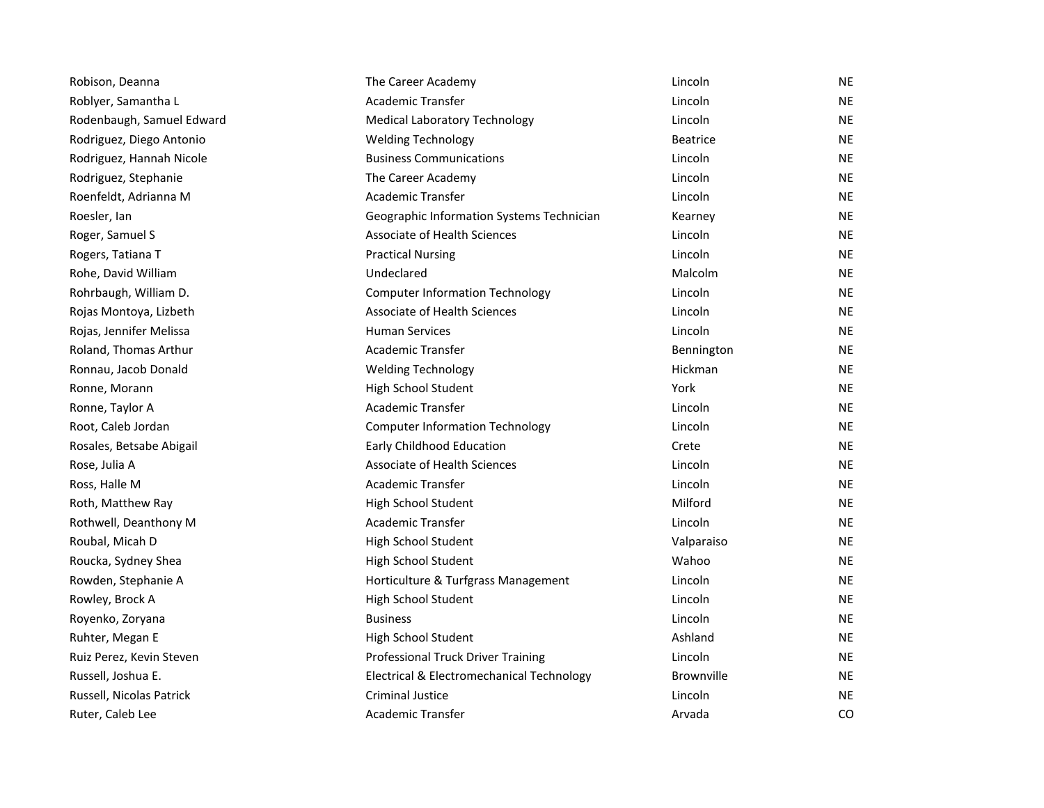| Robison, Deanna           | The Career Academy                        | Lincoln           | <b>NE</b> |
|---------------------------|-------------------------------------------|-------------------|-----------|
| Roblyer, Samantha L       | Academic Transfer                         | Lincoln           | <b>NE</b> |
| Rodenbaugh, Samuel Edward | <b>Medical Laboratory Technology</b>      | Lincoln           | <b>NE</b> |
| Rodriguez, Diego Antonio  | <b>Welding Technology</b>                 | <b>Beatrice</b>   | <b>NE</b> |
| Rodriguez, Hannah Nicole  | <b>Business Communications</b>            | Lincoln           | <b>NE</b> |
| Rodriguez, Stephanie      | The Career Academy                        | Lincoln           | <b>NE</b> |
| Roenfeldt, Adrianna M     | Academic Transfer                         | Lincoln           | <b>NE</b> |
| Roesler, Ian              | Geographic Information Systems Technician | Kearney           | <b>NE</b> |
| Roger, Samuel S           | <b>Associate of Health Sciences</b>       | Lincoln           | <b>NE</b> |
| Rogers, Tatiana T         | <b>Practical Nursing</b>                  | Lincoln           | <b>NE</b> |
| Rohe, David William       | Undeclared                                | Malcolm           | <b>NE</b> |
| Rohrbaugh, William D.     | <b>Computer Information Technology</b>    | Lincoln           | <b>NE</b> |
| Rojas Montoya, Lizbeth    | <b>Associate of Health Sciences</b>       | Lincoln           | <b>NE</b> |
| Rojas, Jennifer Melissa   | <b>Human Services</b>                     | Lincoln           | <b>NE</b> |
| Roland, Thomas Arthur     | <b>Academic Transfer</b>                  | Bennington        | <b>NE</b> |
| Ronnau, Jacob Donald      | <b>Welding Technology</b>                 | Hickman           | <b>NE</b> |
| Ronne, Morann             | High School Student                       | York              | <b>NE</b> |
| Ronne, Taylor A           | <b>Academic Transfer</b>                  | Lincoln           | <b>NE</b> |
| Root, Caleb Jordan        | <b>Computer Information Technology</b>    | Lincoln           | <b>NE</b> |
| Rosales, Betsabe Abigail  | Early Childhood Education                 | Crete             | <b>NE</b> |
| Rose, Julia A             | <b>Associate of Health Sciences</b>       | Lincoln           | <b>NE</b> |
| Ross, Halle M             | <b>Academic Transfer</b>                  | Lincoln           | <b>NE</b> |
| Roth, Matthew Ray         | High School Student                       | Milford           | <b>NE</b> |
| Rothwell, Deanthony M     | <b>Academic Transfer</b>                  | Lincoln           | <b>NE</b> |
| Roubal, Micah D           | High School Student                       | Valparaiso        | <b>NE</b> |
| Roucka, Sydney Shea       | High School Student                       | Wahoo             | <b>NE</b> |
| Rowden, Stephanie A       | Horticulture & Turfgrass Management       | Lincoln           | <b>NE</b> |
| Rowley, Brock A           | High School Student                       | Lincoln           | <b>NE</b> |
| Royenko, Zoryana          | <b>Business</b>                           | Lincoln           | <b>NE</b> |
| Ruhter, Megan E           | High School Student                       | Ashland           | <b>NE</b> |
| Ruiz Perez, Kevin Steven  | Professional Truck Driver Training        | Lincoln           | <b>NE</b> |
| Russell, Joshua E.        | Electrical & Electromechanical Technology | <b>Brownville</b> | <b>NE</b> |
| Russell, Nicolas Patrick  | <b>Criminal Justice</b>                   | Lincoln           | <b>NE</b> |
| Ruter, Caleb Lee          | Academic Transfer                         | Arvada            | CO.       |
|                           |                                           |                   |           |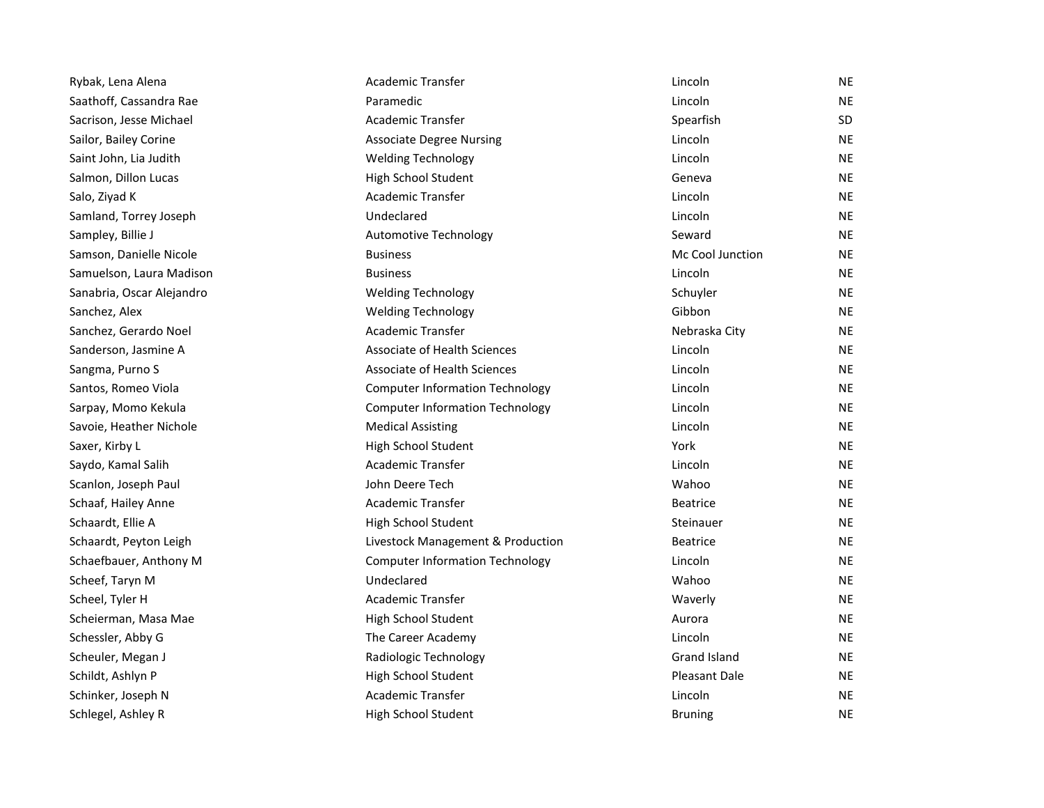| Rybak, Lena Alena         | Academic Transfer                      | Lincoln             | NE        |
|---------------------------|----------------------------------------|---------------------|-----------|
| Saathoff, Cassandra Rae   | Paramedic                              | Lincoln             | <b>NE</b> |
| Sacrison, Jesse Michael   | Academic Transfer                      | Spearfish           | <b>SD</b> |
| Sailor, Bailey Corine     | <b>Associate Degree Nursing</b>        | Lincoln             | <b>NE</b> |
| Saint John, Lia Judith    | <b>Welding Technology</b>              | Lincoln             | <b>NE</b> |
| Salmon, Dillon Lucas      | High School Student                    | Geneva              | <b>NE</b> |
| Salo, Ziyad K             | Academic Transfer                      | Lincoln             | <b>NE</b> |
| Samland, Torrey Joseph    | Undeclared                             | Lincoln             | <b>NE</b> |
| Sampley, Billie J         | Automotive Technology                  | Seward              | <b>NE</b> |
| Samson, Danielle Nicole   | <b>Business</b>                        | Mc Cool Junction    | <b>NE</b> |
| Samuelson, Laura Madison  | <b>Business</b>                        | Lincoln             | NE.       |
| Sanabria, Oscar Alejandro | <b>Welding Technology</b>              | Schuyler            | <b>NE</b> |
| Sanchez, Alex             | <b>Welding Technology</b>              | Gibbon              | <b>NE</b> |
| Sanchez, Gerardo Noel     | <b>Academic Transfer</b>               | Nebraska City       | <b>NE</b> |
| Sanderson, Jasmine A      | Associate of Health Sciences           | Lincoln             | <b>NE</b> |
| Sangma, Purno S           | Associate of Health Sciences           | Lincoln             | <b>NE</b> |
| Santos, Romeo Viola       | <b>Computer Information Technology</b> | Lincoln             | <b>NE</b> |
| Sarpay, Momo Kekula       | <b>Computer Information Technology</b> | Lincoln             | <b>NE</b> |
| Savoie, Heather Nichole   | <b>Medical Assisting</b>               | Lincoln             | <b>NE</b> |
| Saxer, Kirby L            | High School Student                    | York                | <b>NE</b> |
| Saydo, Kamal Salih        | <b>Academic Transfer</b>               | Lincoln             | <b>NE</b> |
| Scanlon, Joseph Paul      | John Deere Tech                        | Wahoo               | <b>NE</b> |
| Schaaf, Hailey Anne       | Academic Transfer                      | <b>Beatrice</b>     | <b>NE</b> |
| Schaardt, Ellie A         | High School Student                    | Steinauer           | <b>NE</b> |
| Schaardt, Peyton Leigh    | Livestock Management & Production      | <b>Beatrice</b>     | <b>NE</b> |
| Schaefbauer, Anthony M    | <b>Computer Information Technology</b> | Lincoln             | NE.       |
| Scheef, Taryn M           | Undeclared                             | Wahoo               | <b>NE</b> |
| Scheel, Tyler H           | Academic Transfer                      | Waverly             | <b>NE</b> |
| Scheierman, Masa Mae      | High School Student                    | Aurora              | <b>NE</b> |
| Schessler, Abby G         | The Career Academy                     | Lincoln             | <b>NE</b> |
| Scheuler, Megan J         | Radiologic Technology                  | <b>Grand Island</b> | <b>NE</b> |
| Schildt, Ashlyn P         | High School Student                    | Pleasant Dale       | <b>NE</b> |
| Schinker, Joseph N        | Academic Transfer                      | Lincoln             | NE.       |
| Schlegel, Ashley R        | High School Student                    | <b>Bruning</b>      | <b>NE</b> |
|                           |                                        |                     |           |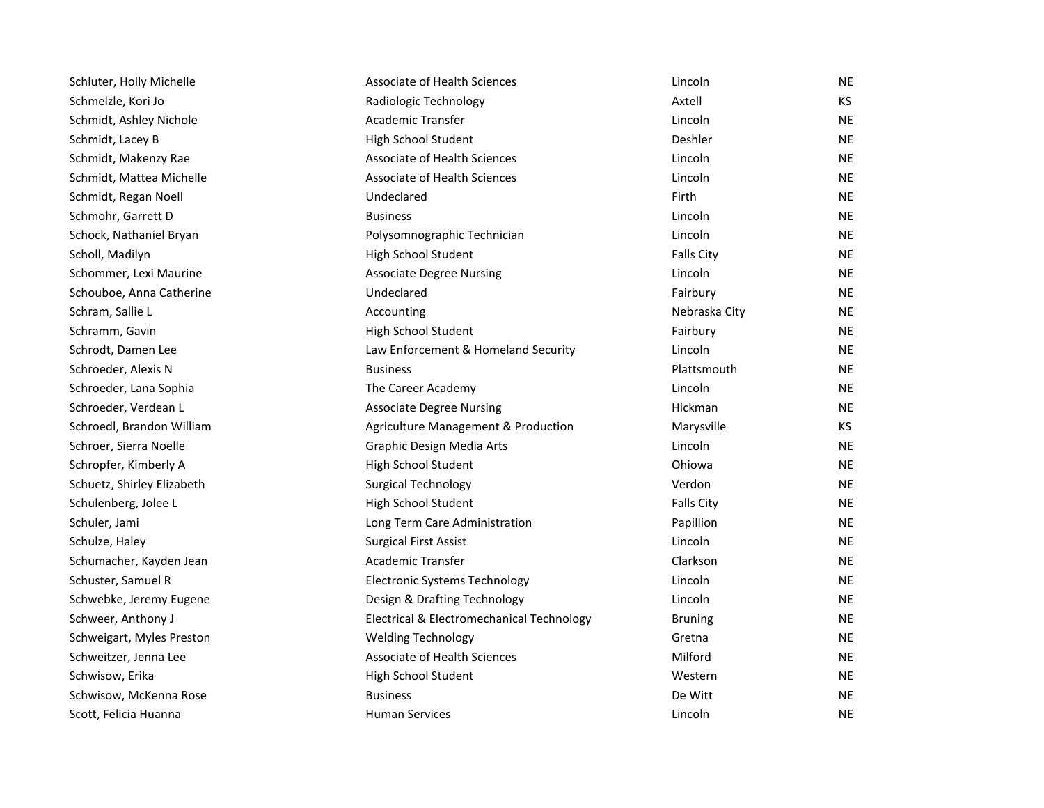| Schluter, Holly Michelle   | Associate of Health Sciences              | Lincoln           | <b>NE</b> |
|----------------------------|-------------------------------------------|-------------------|-----------|
| Schmelzle, Kori Jo         | Radiologic Technology                     | Axtell            | КS        |
| Schmidt, Ashley Nichole    | <b>Academic Transfer</b>                  | Lincoln           | <b>NE</b> |
| Schmidt, Lacey B           | High School Student                       | Deshler           | <b>NE</b> |
| Schmidt, Makenzy Rae       | Associate of Health Sciences              | Lincoln           | <b>NE</b> |
| Schmidt, Mattea Michelle   | Associate of Health Sciences              | Lincoln           | <b>NE</b> |
| Schmidt, Regan Noell       | Undeclared                                | Firth             | <b>NE</b> |
| Schmohr, Garrett D         | <b>Business</b>                           | Lincoln           | <b>NE</b> |
| Schock, Nathaniel Bryan    | Polysomnographic Technician               | Lincoln           | <b>NE</b> |
| Scholl, Madilyn            | High School Student                       | Falls City        | <b>NE</b> |
| Schommer, Lexi Maurine     | <b>Associate Degree Nursing</b>           | Lincoln           | <b>NE</b> |
| Schouboe, Anna Catherine   | Undeclared                                | Fairbury          | <b>NE</b> |
| Schram, Sallie L           | Accounting                                | Nebraska City     | NE        |
| Schramm, Gavin             | High School Student                       | Fairbury          | <b>NE</b> |
| Schrodt, Damen Lee         | Law Enforcement & Homeland Security       | Lincoln           | <b>NE</b> |
| Schroeder, Alexis N        | <b>Business</b>                           | Plattsmouth       | <b>NE</b> |
| Schroeder, Lana Sophia     | The Career Academy                        | Lincoln           | <b>NE</b> |
| Schroeder, Verdean L       | <b>Associate Degree Nursing</b>           | Hickman           | <b>NE</b> |
| Schroedl, Brandon William  | Agriculture Management & Production       | Marysville        | KS.       |
| Schroer, Sierra Noelle     | Graphic Design Media Arts                 | Lincoln           | <b>NE</b> |
| Schropfer, Kimberly A      | High School Student                       | Ohiowa            | NE        |
| Schuetz, Shirley Elizabeth | <b>Surgical Technology</b>                | Verdon            | <b>NE</b> |
| Schulenberg, Jolee L       | High School Student                       | <b>Falls City</b> | <b>NE</b> |
| Schuler, Jami              | Long Term Care Administration             | Papillion         | <b>NE</b> |
| Schulze, Haley             | <b>Surgical First Assist</b>              | Lincoln           | <b>NE</b> |
| Schumacher, Kayden Jean    | Academic Transfer                         | Clarkson          | <b>NE</b> |
| Schuster, Samuel R         | <b>Electronic Systems Technology</b>      | Lincoln           | <b>NE</b> |
| Schwebke, Jeremy Eugene    | Design & Drafting Technology              | Lincoln           | NE        |
| Schweer, Anthony J         | Electrical & Electromechanical Technology | <b>Bruning</b>    | NE.       |
| Schweigart, Myles Preston  | <b>Welding Technology</b>                 | Gretna            | <b>NE</b> |
| Schweitzer, Jenna Lee      | <b>Associate of Health Sciences</b>       | Milford           | <b>NE</b> |
| Schwisow, Erika            | High School Student                       | Western           | <b>NE</b> |
| Schwisow, McKenna Rose     | <b>Business</b>                           | De Witt           | <b>NE</b> |
| Scott, Felicia Huanna      | <b>Human Services</b>                     | Lincoln           | <b>NE</b> |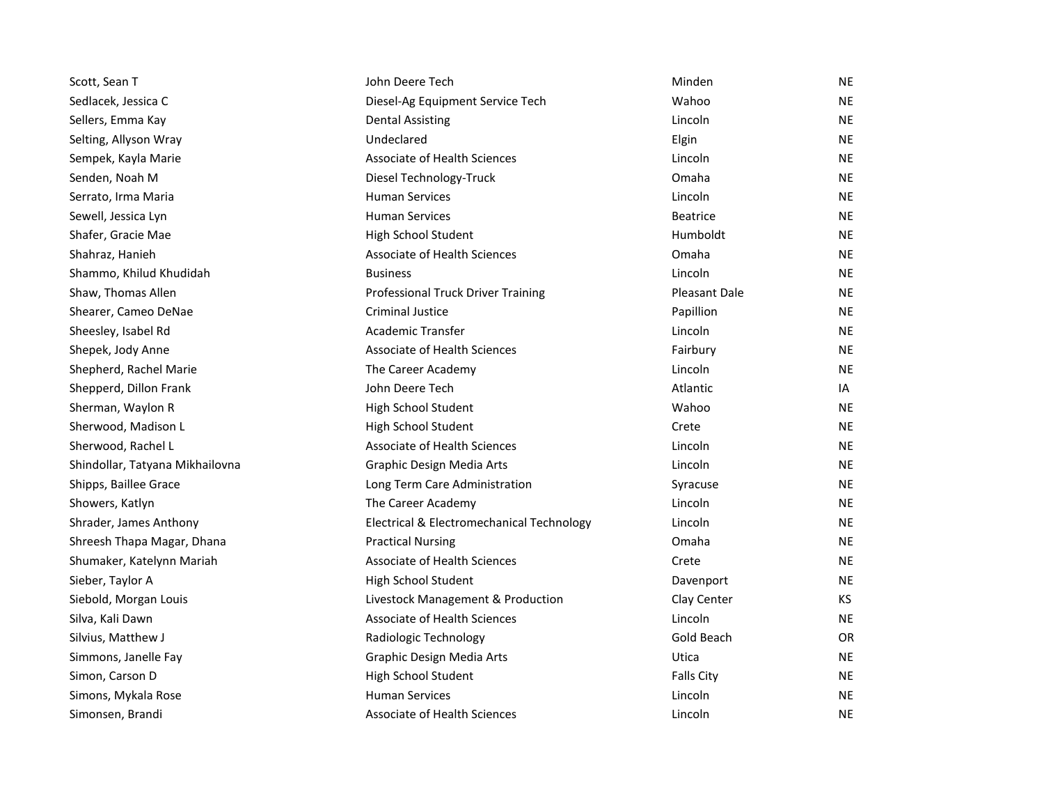| Scott, Sean T                   | John Deere Tech                           | Minden               | <b>NE</b> |
|---------------------------------|-------------------------------------------|----------------------|-----------|
| Sedlacek, Jessica C             | Diesel-Ag Equipment Service Tech          | Wahoo                | <b>NE</b> |
| Sellers, Emma Kay               | Dental Assisting                          | Lincoln              | <b>NE</b> |
| Selting, Allyson Wray           | Undeclared                                | Elgin                | <b>NE</b> |
| Sempek, Kayla Marie             | <b>Associate of Health Sciences</b>       | Lincoln              | <b>NE</b> |
| Senden, Noah M                  | Diesel Technology-Truck                   | Omaha                | <b>NE</b> |
| Serrato, Irma Maria             | <b>Human Services</b>                     | Lincoln              | <b>NE</b> |
| Sewell, Jessica Lyn             | <b>Human Services</b>                     | <b>Beatrice</b>      | <b>NE</b> |
| Shafer, Gracie Mae              | High School Student                       | Humboldt             | <b>NE</b> |
| Shahraz, Hanieh                 | <b>Associate of Health Sciences</b>       | Omaha                | <b>NE</b> |
| Shammo, Khilud Khudidah         | <b>Business</b>                           | Lincoln              | <b>NE</b> |
| Shaw, Thomas Allen              | Professional Truck Driver Training        | <b>Pleasant Dale</b> | <b>NE</b> |
| Shearer, Cameo DeNae            | <b>Criminal Justice</b>                   | Papillion            | <b>NE</b> |
| Sheesley, Isabel Rd             | <b>Academic Transfer</b>                  | Lincoln              | <b>NE</b> |
| Shepek, Jody Anne               | <b>Associate of Health Sciences</b>       | Fairbury             | <b>NE</b> |
| Shepherd, Rachel Marie          | The Career Academy                        | Lincoln              | <b>NE</b> |
| Shepperd, Dillon Frank          | John Deere Tech                           | Atlantic             | IA        |
| Sherman, Waylon R               | High School Student                       | Wahoo                | <b>NE</b> |
| Sherwood, Madison L             | High School Student                       | Crete                | <b>NE</b> |
| Sherwood, Rachel L              | <b>Associate of Health Sciences</b>       | Lincoln              | <b>NE</b> |
| Shindollar, Tatyana Mikhailovna | Graphic Design Media Arts                 | Lincoln              | <b>NE</b> |
| Shipps, Baillee Grace           | Long Term Care Administration             | Syracuse             | <b>NE</b> |
| Showers, Katlyn                 | The Career Academy                        | Lincoln              | <b>NE</b> |
| Shrader, James Anthony          | Electrical & Electromechanical Technology | Lincoln              | <b>NE</b> |
| Shreesh Thapa Magar, Dhana      | <b>Practical Nursing</b>                  | Omaha                | <b>NE</b> |
| Shumaker, Katelynn Mariah       | <b>Associate of Health Sciences</b>       | Crete                | <b>NE</b> |
| Sieber, Taylor A                | High School Student                       | Davenport            | <b>NE</b> |
| Siebold, Morgan Louis           | Livestock Management & Production         | Clay Center          | KS.       |
| Silva, Kali Dawn                | <b>Associate of Health Sciences</b>       | Lincoln              | <b>NE</b> |
| Silvius, Matthew J              | Radiologic Technology                     | Gold Beach           | <b>OR</b> |
| Simmons, Janelle Fay            | Graphic Design Media Arts                 | Utica                | <b>NE</b> |
| Simon, Carson D                 | High School Student                       | <b>Falls City</b>    | <b>NE</b> |
| Simons, Mykala Rose             | <b>Human Services</b>                     | Lincoln              | <b>NE</b> |
| Simonsen, Brandi                | <b>Associate of Health Sciences</b>       | Lincoln              | <b>NE</b> |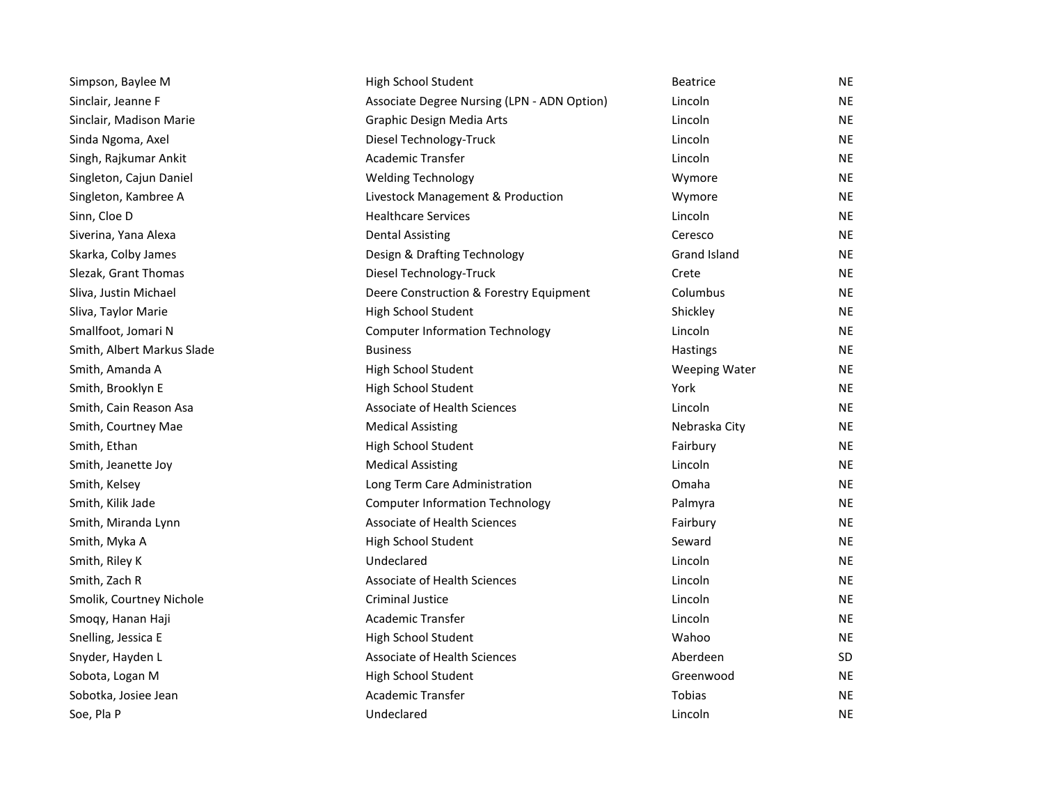| Simpson, Baylee M          | High School Student                         | <b>Beatrice</b>      | ΝE        |
|----------------------------|---------------------------------------------|----------------------|-----------|
| Sinclair, Jeanne F         | Associate Degree Nursing (LPN - ADN Option) | Lincoln              | <b>NE</b> |
| Sinclair, Madison Marie    | Graphic Design Media Arts                   | Lincoln              | <b>NE</b> |
| Sinda Ngoma, Axel          | Diesel Technology-Truck                     | Lincoln              | <b>NE</b> |
| Singh, Rajkumar Ankit      | Academic Transfer                           | Lincoln              | <b>NE</b> |
| Singleton, Cajun Daniel    | <b>Welding Technology</b>                   | Wymore               | <b>NE</b> |
| Singleton, Kambree A       | Livestock Management & Production           | Wymore               | <b>NE</b> |
| Sinn, Cloe D               | <b>Healthcare Services</b>                  | Lincoln              | <b>NE</b> |
| Siverina, Yana Alexa       | <b>Dental Assisting</b>                     | Ceresco              | <b>NE</b> |
| Skarka, Colby James        | Design & Drafting Technology                | Grand Island         | NE        |
| Slezak, Grant Thomas       | Diesel Technology-Truck                     | Crete                | <b>NE</b> |
| Sliva, Justin Michael      | Deere Construction & Forestry Equipment     | Columbus             | <b>NE</b> |
| Sliva, Taylor Marie        | High School Student                         | Shickley             | <b>NE</b> |
| Smallfoot, Jomari N        | <b>Computer Information Technology</b>      | Lincoln              | <b>NE</b> |
| Smith, Albert Markus Slade | <b>Business</b>                             | Hastings             | NE.       |
| Smith, Amanda A            | High School Student                         | <b>Weeping Water</b> | <b>NE</b> |
| Smith, Brooklyn E          | High School Student                         | York                 | <b>NE</b> |
| Smith, Cain Reason Asa     | Associate of Health Sciences                | Lincoln              | <b>NE</b> |
| Smith, Courtney Mae        | <b>Medical Assisting</b>                    | Nebraska City        | <b>NE</b> |
| Smith, Ethan               | High School Student                         | Fairbury             | <b>NE</b> |
| Smith, Jeanette Joy        | <b>Medical Assisting</b>                    | Lincoln              | <b>NE</b> |
| Smith, Kelsey              | Long Term Care Administration               | Omaha                | <b>NE</b> |
| Smith, Kilik Jade          | <b>Computer Information Technology</b>      | Palmyra              | ΝE        |
| Smith, Miranda Lynn        | <b>Associate of Health Sciences</b>         | Fairbury             | NE        |
| Smith, Myka A              | High School Student                         | Seward               | <b>NE</b> |
| Smith, Riley K             | Undeclared                                  | Lincoln              | NE        |
| Smith, Zach R              | Associate of Health Sciences                | Lincoln              | <b>NE</b> |
| Smolik, Courtney Nichole   | <b>Criminal Justice</b>                     | Lincoln              | <b>NE</b> |
| Smoqy, Hanan Haji          | Academic Transfer                           | Lincoln              | NE        |
| Snelling, Jessica E        | High School Student                         | Wahoo                | NE        |
| Snyder, Hayden L           | Associate of Health Sciences                | Aberdeen             | SD.       |
| Sobota, Logan M            | High School Student                         | Greenwood            | <b>NE</b> |
| Sobotka, Josiee Jean       | Academic Transfer                           | Tobias               | <b>NE</b> |
| Soe, Pla P                 | Undeclared                                  | Lincoln              | <b>NE</b> |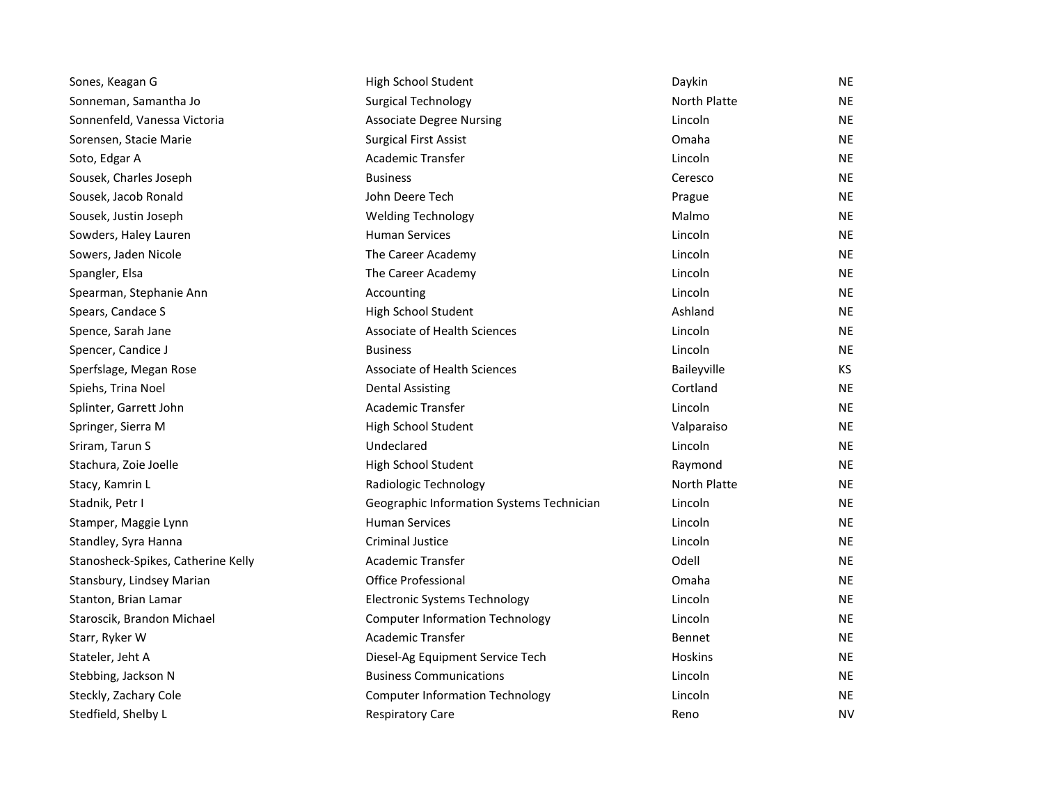| Sones, Keagan G                    | High School Student                       | Daykin       | <b>NE</b> |
|------------------------------------|-------------------------------------------|--------------|-----------|
| Sonneman, Samantha Jo              | <b>Surgical Technology</b>                | North Platte | <b>NE</b> |
| Sonnenfeld, Vanessa Victoria       | <b>Associate Degree Nursing</b>           | Lincoln      | <b>NE</b> |
| Sorensen, Stacie Marie             | <b>Surgical First Assist</b>              | Omaha        | <b>NE</b> |
| Soto, Edgar A                      | <b>Academic Transfer</b>                  | Lincoln      | <b>NE</b> |
| Sousek, Charles Joseph             | <b>Business</b>                           | Ceresco      | <b>NE</b> |
| Sousek, Jacob Ronald               | John Deere Tech                           | Prague       | <b>NE</b> |
| Sousek, Justin Joseph              | <b>Welding Technology</b>                 | Malmo        | <b>NE</b> |
| Sowders, Haley Lauren              | <b>Human Services</b>                     | Lincoln      | <b>NE</b> |
| Sowers, Jaden Nicole               | The Career Academy                        | Lincoln      | <b>NE</b> |
| Spangler, Elsa                     | The Career Academy                        | Lincoln      | <b>NE</b> |
| Spearman, Stephanie Ann            | Accounting                                | Lincoln      | <b>NE</b> |
| Spears, Candace S                  | High School Student                       | Ashland      | <b>NE</b> |
| Spence, Sarah Jane                 | <b>Associate of Health Sciences</b>       | Lincoln      | <b>NE</b> |
| Spencer, Candice J                 | <b>Business</b>                           | Lincoln      | <b>NE</b> |
| Sperfslage, Megan Rose             | Associate of Health Sciences              | Baileyville  | KS.       |
| Spiehs, Trina Noel                 | <b>Dental Assisting</b>                   | Cortland     | <b>NE</b> |
| Splinter, Garrett John             | <b>Academic Transfer</b>                  | Lincoln      | <b>NE</b> |
| Springer, Sierra M                 | High School Student                       | Valparaiso   | <b>NE</b> |
| Sriram, Tarun S                    | Undeclared                                | Lincoln      | <b>NE</b> |
| Stachura, Zoie Joelle              | High School Student                       | Raymond      | <b>NE</b> |
| Stacy, Kamrin L                    | Radiologic Technology                     | North Platte | <b>NE</b> |
| Stadnik, Petr I                    | Geographic Information Systems Technician | Lincoln      | <b>NE</b> |
| Stamper, Maggie Lynn               | <b>Human Services</b>                     | Lincoln      | <b>NE</b> |
| Standley, Syra Hanna               | <b>Criminal Justice</b>                   | Lincoln      | <b>NE</b> |
| Stanosheck-Spikes, Catherine Kelly | Academic Transfer                         | Odell        | <b>NE</b> |
| Stansbury, Lindsey Marian          | <b>Office Professional</b>                | Omaha        | <b>NE</b> |
| Stanton, Brian Lamar               | <b>Electronic Systems Technology</b>      | Lincoln      | <b>NE</b> |
| Staroscik, Brandon Michael         | <b>Computer Information Technology</b>    | Lincoln      | <b>NE</b> |
| Starr, Ryker W                     | Academic Transfer                         | Bennet       | <b>NE</b> |
| Stateler, Jeht A                   | Diesel-Ag Equipment Service Tech          | Hoskins      | NE.       |
| Stebbing, Jackson N                | <b>Business Communications</b>            | Lincoln      | <b>NE</b> |
| Steckly, Zachary Cole              | <b>Computer Information Technology</b>    | Lincoln      | <b>NE</b> |
| Stedfield, Shelby L                | <b>Respiratory Care</b>                   | Reno         | <b>NV</b> |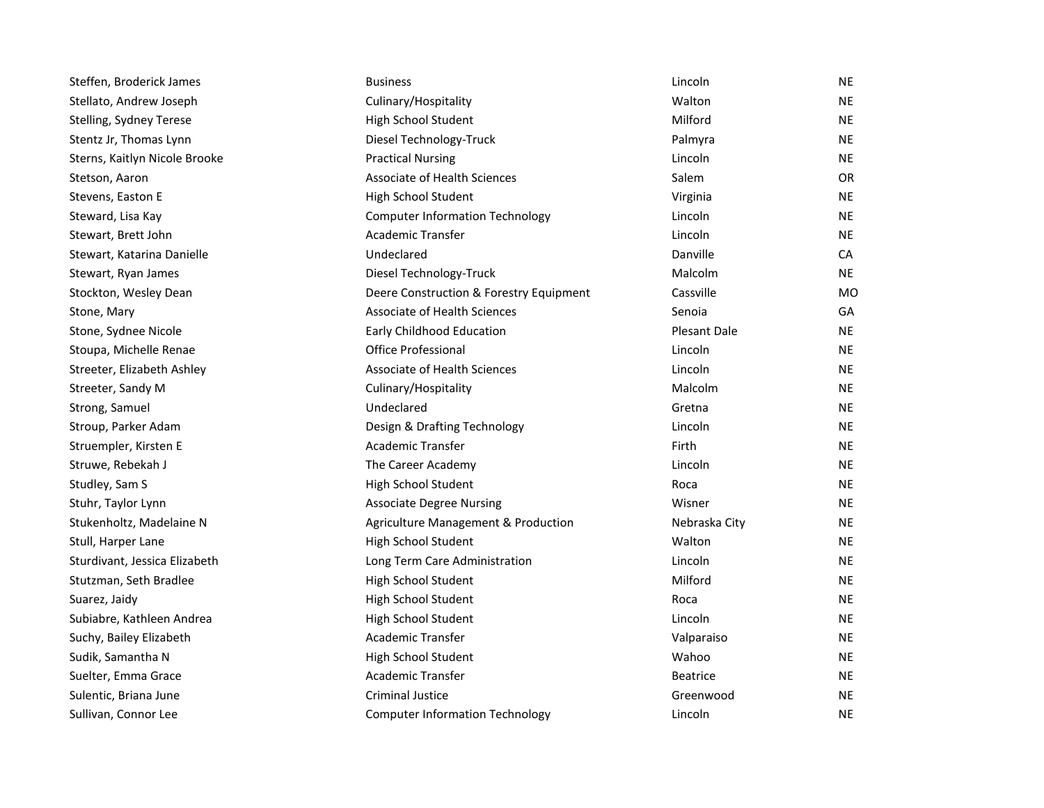| Steffen, Broderick James      | <b>Business</b>                         | Lincoln             | ΝE        |
|-------------------------------|-----------------------------------------|---------------------|-----------|
| Stellato, Andrew Joseph       | Culinary/Hospitality                    | Walton              | <b>NE</b> |
| Stelling, Sydney Terese       | High School Student                     | Milford             | <b>NE</b> |
| Stentz Jr, Thomas Lynn        | Diesel Technology-Truck                 | Palmyra             | <b>NE</b> |
| Sterns, Kaitlyn Nicole Brooke | <b>Practical Nursing</b>                | Lincoln             | <b>NE</b> |
| Stetson, Aaron                | <b>Associate of Health Sciences</b>     | Salem               | <b>OR</b> |
| Stevens, Easton E             | High School Student                     | Virginia            | NE        |
| Steward, Lisa Kay             | <b>Computer Information Technology</b>  | Lincoln             | <b>NE</b> |
| Stewart, Brett John           | Academic Transfer                       | Lincoln             | <b>NE</b> |
| Stewart, Katarina Danielle    | Undeclared                              | Danville            | <b>CA</b> |
| Stewart, Ryan James           | Diesel Technology-Truck                 | Malcolm             | <b>NE</b> |
| Stockton, Wesley Dean         | Deere Construction & Forestry Equipment | Cassville           | <b>MO</b> |
| Stone, Mary                   | <b>Associate of Health Sciences</b>     | Senoia              | GA        |
| Stone, Sydnee Nicole          | Early Childhood Education               | <b>Plesant Dale</b> | <b>NE</b> |
| Stoupa, Michelle Renae        | <b>Office Professional</b>              | Lincoln             | <b>NE</b> |
| Streeter, Elizabeth Ashley    | Associate of Health Sciences            | Lincoln             | <b>NE</b> |
| Streeter, Sandy M             | Culinary/Hospitality                    | Malcolm             | <b>NE</b> |
| Strong, Samuel                | Undeclared                              | Gretna              | <b>NE</b> |
| Stroup, Parker Adam           | Design & Drafting Technology            | Lincoln             | <b>NE</b> |
| Struempler, Kirsten E         | <b>Academic Transfer</b>                | Firth               | NE.       |
| Struwe, Rebekah J             | The Career Academy                      | Lincoln             | <b>NE</b> |
| Studley, Sam S                | High School Student                     | Roca                | NE        |
| Stuhr, Taylor Lynn            | <b>Associate Degree Nursing</b>         | Wisner              | <b>NE</b> |
| Stukenholtz, Madelaine N      | Agriculture Management & Production     | Nebraska City       | <b>NE</b> |
| Stull, Harper Lane            | High School Student                     | Walton              | <b>NE</b> |
| Sturdivant, Jessica Elizabeth | Long Term Care Administration           | Lincoln             | <b>NE</b> |
| Stutzman, Seth Bradlee        | High School Student                     | Milford             | <b>NE</b> |
| Suarez, Jaidy                 | High School Student                     | Roca                | <b>NE</b> |
| Subiabre, Kathleen Andrea     | High School Student                     | Lincoln             | <b>NE</b> |
| Suchy, Bailey Elizabeth       | <b>Academic Transfer</b>                | Valparaiso          | <b>NE</b> |
| Sudik, Samantha N             | High School Student                     | Wahoo               | NE.       |
| Suelter, Emma Grace           | <b>Academic Transfer</b>                | <b>Beatrice</b>     | <b>NE</b> |
| Sulentic, Briana June         | <b>Criminal Justice</b>                 | Greenwood           | <b>NE</b> |
| Sullivan, Connor Lee          | <b>Computer Information Technology</b>  | Lincoln             | <b>NE</b> |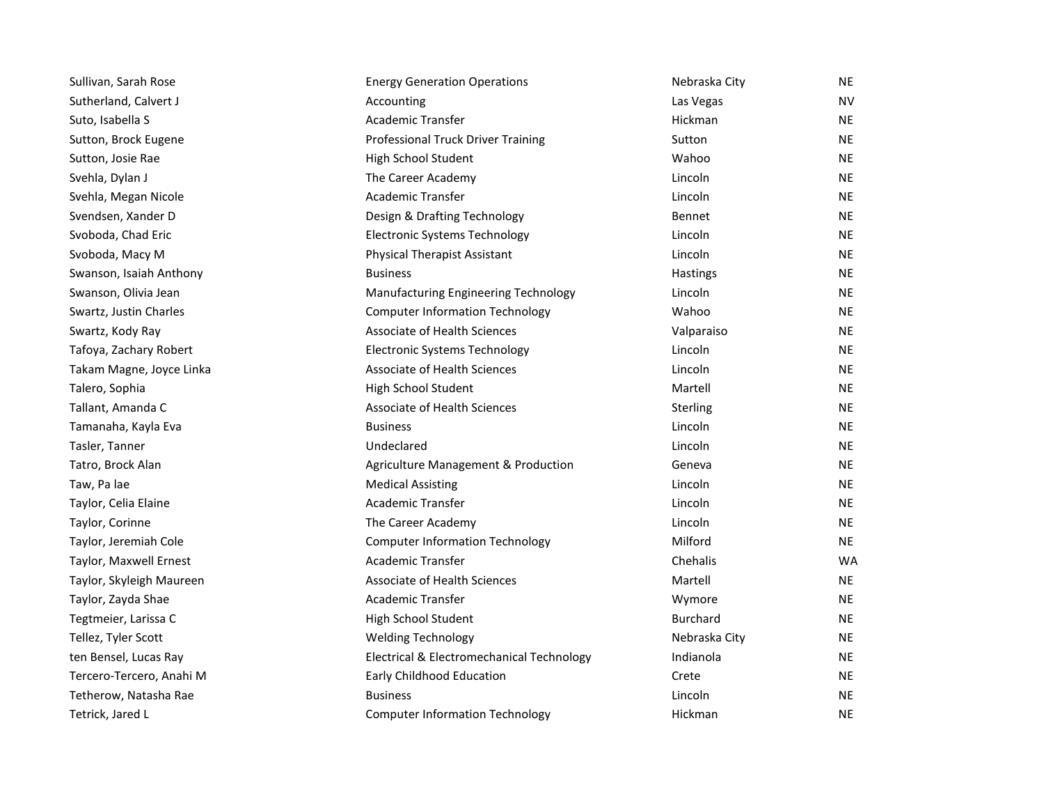| Sullivan, Sarah Rose     | <b>Energy Generation Operations</b>       | Nebraska City   | NE        |
|--------------------------|-------------------------------------------|-----------------|-----------|
| Sutherland, Calvert J    | Accounting                                | Las Vegas       | NV.       |
| Suto, Isabella S         | Academic Transfer                         | Hickman         | <b>NE</b> |
| Sutton, Brock Eugene     | <b>Professional Truck Driver Training</b> | Sutton          | <b>NE</b> |
| Sutton, Josie Rae        | High School Student                       | Wahoo           | <b>NE</b> |
| Svehla, Dylan J          | The Career Academy                        | Lincoln         | <b>NE</b> |
| Svehla, Megan Nicole     | <b>Academic Transfer</b>                  | Lincoln         | <b>NE</b> |
| Svendsen, Xander D       | Design & Drafting Technology              | <b>Bennet</b>   | <b>NE</b> |
| Svoboda, Chad Eric       | <b>Electronic Systems Technology</b>      | Lincoln         | <b>NE</b> |
| Svoboda, Macy M          | <b>Physical Therapist Assistant</b>       | Lincoln         | <b>NE</b> |
| Swanson, Isaiah Anthony  | <b>Business</b>                           | Hastings        | <b>NE</b> |
| Swanson, Olivia Jean     | Manufacturing Engineering Technology      | Lincoln         | <b>NE</b> |
| Swartz, Justin Charles   | <b>Computer Information Technology</b>    | Wahoo           | <b>NE</b> |
| Swartz, Kody Ray         | <b>Associate of Health Sciences</b>       | Valparaiso      | <b>NE</b> |
| Tafoya, Zachary Robert   | <b>Electronic Systems Technology</b>      | Lincoln         | <b>NE</b> |
| Takam Magne, Joyce Linka | Associate of Health Sciences              | Lincoln         | <b>NE</b> |
| Talero, Sophia           | High School Student                       | Martell         | <b>NE</b> |
| Tallant, Amanda C        | Associate of Health Sciences              | Sterling        | <b>NE</b> |
| Tamanaha, Kayla Eva      | <b>Business</b>                           | Lincoln         | <b>NE</b> |
| Tasler, Tanner           | Undeclared                                | Lincoln         | <b>NE</b> |
| Tatro, Brock Alan        | Agriculture Management & Production       | Geneva          | <b>NE</b> |
| Taw, Pa lae              | <b>Medical Assisting</b>                  | Lincoln         | <b>NE</b> |
| Taylor, Celia Elaine     | <b>Academic Transfer</b>                  | Lincoln         | <b>NE</b> |
| Taylor, Corinne          | The Career Academy                        | Lincoln         | <b>NE</b> |
| Taylor, Jeremiah Cole    | <b>Computer Information Technology</b>    | Milford         | <b>NE</b> |
| Taylor, Maxwell Ernest   | <b>Academic Transfer</b>                  | Chehalis        | <b>WA</b> |
| Taylor, Skyleigh Maureen | <b>Associate of Health Sciences</b>       | Martell         | NE        |
| Taylor, Zayda Shae       | <b>Academic Transfer</b>                  | Wymore          | <b>NE</b> |
| Tegtmeier, Larissa C     | High School Student                       | <b>Burchard</b> | <b>NE</b> |
| Tellez, Tyler Scott      | <b>Welding Technology</b>                 | Nebraska City   | <b>NE</b> |
| ten Bensel, Lucas Ray    | Electrical & Electromechanical Technology | Indianola       | <b>NE</b> |
| Tercero-Tercero, Anahi M | Early Childhood Education                 | Crete           | <b>NE</b> |
| Tetherow, Natasha Rae    | <b>Business</b>                           | Lincoln         | <b>NE</b> |
| Tetrick, Jared L         | <b>Computer Information Technology</b>    | Hickman         | <b>NE</b> |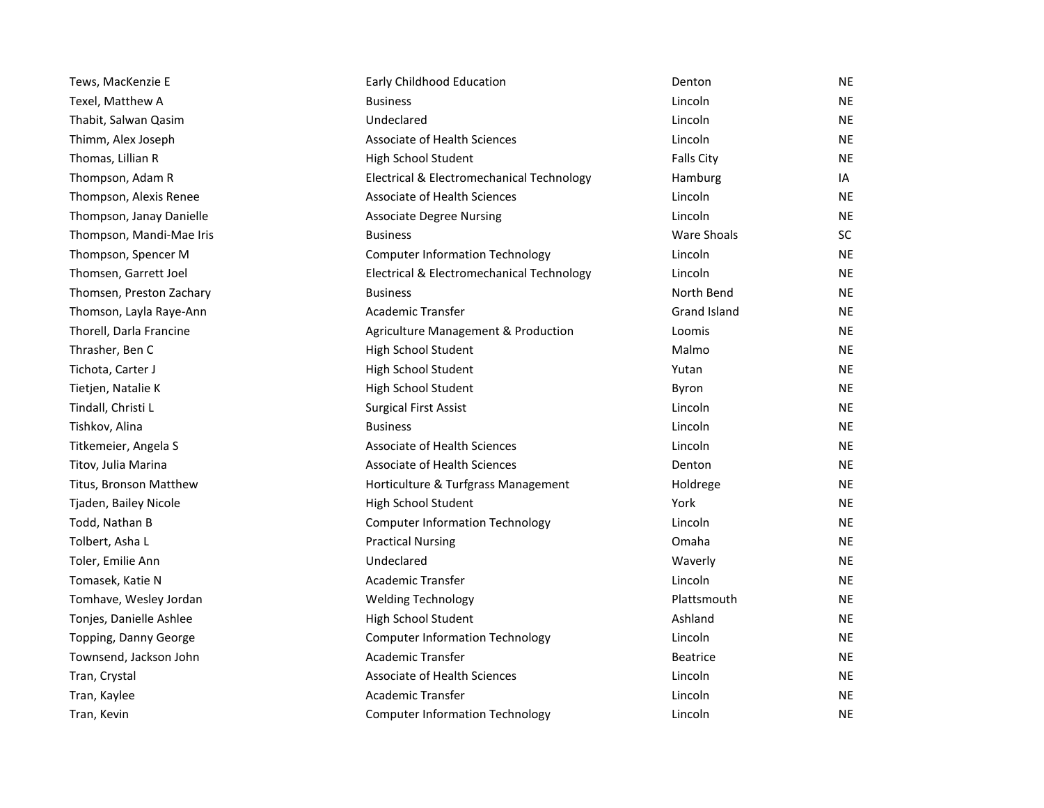| Tews, MacKenzie E        | Early Childhood Education                 | Denton              | <b>NE</b> |
|--------------------------|-------------------------------------------|---------------------|-----------|
| Texel, Matthew A         | <b>Business</b>                           | Lincoln             | <b>NE</b> |
| Thabit, Salwan Qasim     | Undeclared                                | Lincoln             | <b>NE</b> |
| Thimm, Alex Joseph       | Associate of Health Sciences              | Lincoln             | <b>NE</b> |
| Thomas, Lillian R        | High School Student                       | <b>Falls City</b>   | <b>NE</b> |
| Thompson, Adam R         | Electrical & Electromechanical Technology | Hamburg             | IA        |
| Thompson, Alexis Renee   | Associate of Health Sciences              | Lincoln             | <b>NE</b> |
| Thompson, Janay Danielle | <b>Associate Degree Nursing</b>           | Lincoln             | <b>NE</b> |
| Thompson, Mandi-Mae Iris | <b>Business</b>                           | <b>Ware Shoals</b>  | <b>SC</b> |
| Thompson, Spencer M      | <b>Computer Information Technology</b>    | Lincoln             | <b>NE</b> |
| Thomsen, Garrett Joel    | Electrical & Electromechanical Technology | Lincoln             | <b>NE</b> |
| Thomsen, Preston Zachary | <b>Business</b>                           | North Bend          | <b>NE</b> |
| Thomson, Layla Raye-Ann  | <b>Academic Transfer</b>                  | <b>Grand Island</b> | <b>NE</b> |
| Thorell, Darla Francine  | Agriculture Management & Production       | Loomis              | <b>NE</b> |
| Thrasher, Ben C          | High School Student                       | Malmo               | <b>NE</b> |
| Tichota, Carter J        | High School Student                       | Yutan               | <b>NE</b> |
| Tietjen, Natalie K       | High School Student                       | Byron               | <b>NE</b> |
| Tindall, Christi L       | <b>Surgical First Assist</b>              | Lincoln             | <b>NE</b> |
| Tishkov, Alina           | <b>Business</b>                           | Lincoln             | <b>NE</b> |
| Titkemeier, Angela S     | Associate of Health Sciences              | Lincoln             | <b>NE</b> |
| Titov, Julia Marina      | Associate of Health Sciences              | Denton              | <b>NE</b> |
| Titus, Bronson Matthew   | Horticulture & Turfgrass Management       | Holdrege            | <b>NE</b> |
| Tjaden, Bailey Nicole    | High School Student                       | York                | <b>NE</b> |
| Todd, Nathan B           | <b>Computer Information Technology</b>    | Lincoln             | <b>NE</b> |
| Tolbert, Asha L          | <b>Practical Nursing</b>                  | Omaha               | <b>NE</b> |
| Toler, Emilie Ann        | Undeclared                                | Waverly             | <b>NE</b> |
| Tomasek, Katie N         | <b>Academic Transfer</b>                  | Lincoln             | <b>NE</b> |
| Tomhave, Wesley Jordan   | <b>Welding Technology</b>                 | Plattsmouth         | <b>NE</b> |
| Tonjes, Danielle Ashlee  | High School Student                       | Ashland             | <b>NE</b> |
| Topping, Danny George    | <b>Computer Information Technology</b>    | Lincoln             | <b>NE</b> |
| Townsend, Jackson John   | Academic Transfer                         | <b>Beatrice</b>     | <b>NE</b> |
| Tran, Crystal            | <b>Associate of Health Sciences</b>       | Lincoln             | <b>NE</b> |
| Tran, Kaylee             | Academic Transfer                         | Lincoln             | <b>NE</b> |
| Tran, Kevin              | <b>Computer Information Technology</b>    | Lincoln             | <b>NE</b> |
|                          |                                           |                     |           |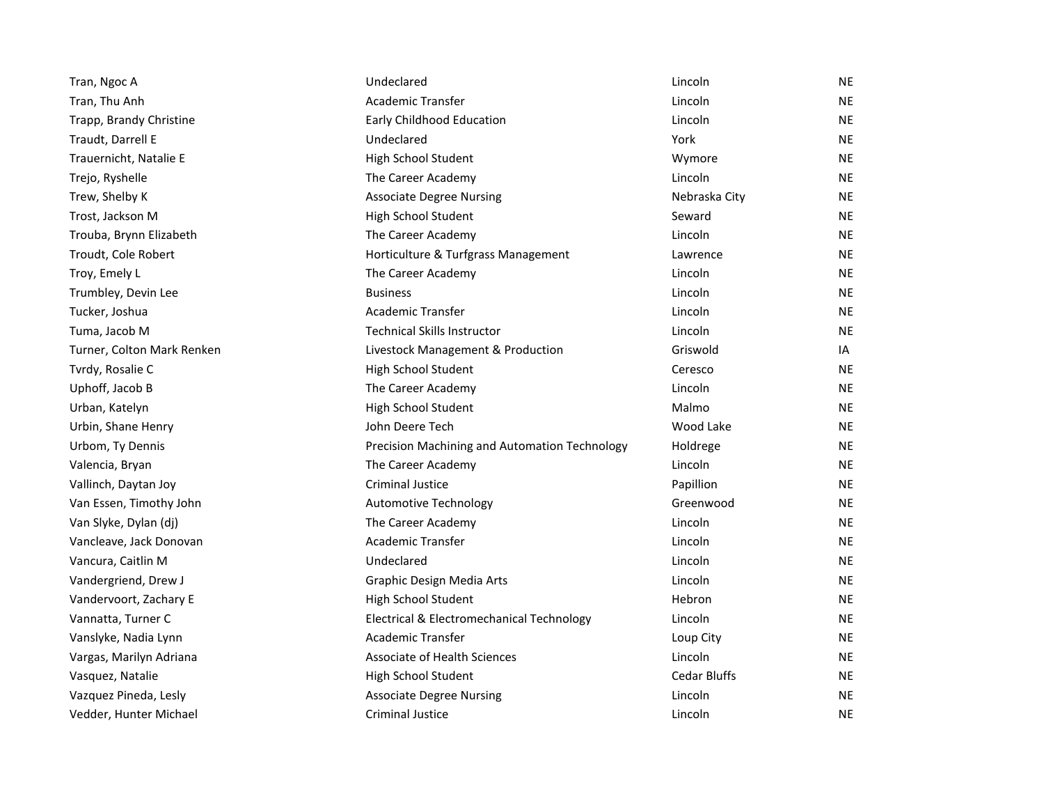| Tran, Ngoc A               | Undeclared                                    | Lincoln             | <b>NE</b> |
|----------------------------|-----------------------------------------------|---------------------|-----------|
| Tran, Thu Anh              | <b>Academic Transfer</b>                      | Lincoln             | <b>NE</b> |
| Trapp, Brandy Christine    | Early Childhood Education                     | Lincoln             | <b>NE</b> |
| Traudt, Darrell E          | Undeclared                                    | York                | NE        |
| Trauernicht, Natalie E     | High School Student                           | Wymore              | <b>NE</b> |
| Trejo, Ryshelle            | The Career Academy                            | Lincoln             | <b>NE</b> |
| Trew, Shelby K             | <b>Associate Degree Nursing</b>               | Nebraska City       | NE        |
| Trost, Jackson M           | High School Student                           | Seward              | NE        |
| Trouba, Brynn Elizabeth    | The Career Academy                            | Lincoln             | NE        |
| Troudt, Cole Robert        | Horticulture & Turfgrass Management           | Lawrence            | <b>NE</b> |
| Troy, Emely L              | The Career Academy                            | Lincoln             | NE.       |
| Trumbley, Devin Lee        | <b>Business</b>                               | Lincoln             | NE        |
| Tucker, Joshua             | <b>Academic Transfer</b>                      | Lincoln             | NE        |
| Tuma, Jacob M              | <b>Technical Skills Instructor</b>            | Lincoln             | <b>NE</b> |
| Turner, Colton Mark Renken | Livestock Management & Production             | Griswold            | IA        |
| Tvrdy, Rosalie C           | High School Student                           | Ceresco             | <b>NE</b> |
| Uphoff, Jacob B            | The Career Academy                            | Lincoln             | <b>NE</b> |
| Urban, Katelyn             | High School Student                           | Malmo               | NE        |
| Urbin, Shane Henry         | John Deere Tech                               | Wood Lake           | <b>NE</b> |
| Urbom, Ty Dennis           | Precision Machining and Automation Technology | Holdrege            | NE.       |
| Valencia, Bryan            | The Career Academy                            | Lincoln             | <b>NE</b> |
| Vallinch, Daytan Joy       | <b>Criminal Justice</b>                       | Papillion           | NE        |
| Van Essen, Timothy John    | <b>Automotive Technology</b>                  | Greenwood           | <b>NE</b> |
| Van Slyke, Dylan (dj)      | The Career Academy                            | Lincoln             | NE        |
| Vancleave, Jack Donovan    | <b>Academic Transfer</b>                      | Lincoln             | <b>NE</b> |
| Vancura, Caitlin M         | Undeclared                                    | Lincoln             | <b>NE</b> |
| Vandergriend, Drew J       | Graphic Design Media Arts                     | Lincoln             | <b>NE</b> |
| Vandervoort, Zachary E     | High School Student                           | Hebron              | NE        |
| Vannatta, Turner C         | Electrical & Electromechanical Technology     | Lincoln             | NE        |
| Vanslyke, Nadia Lynn       | <b>Academic Transfer</b>                      | Loup City           | <b>NE</b> |
| Vargas, Marilyn Adriana    | Associate of Health Sciences                  | Lincoln             | NE.       |
| Vasquez, Natalie           | High School Student                           | <b>Cedar Bluffs</b> | NE        |
| Vazquez Pineda, Lesly      | <b>Associate Degree Nursing</b>               | Lincoln             | NE        |
| Vedder, Hunter Michael     | Criminal Justice                              | Lincoln             | <b>NE</b> |
|                            |                                               |                     |           |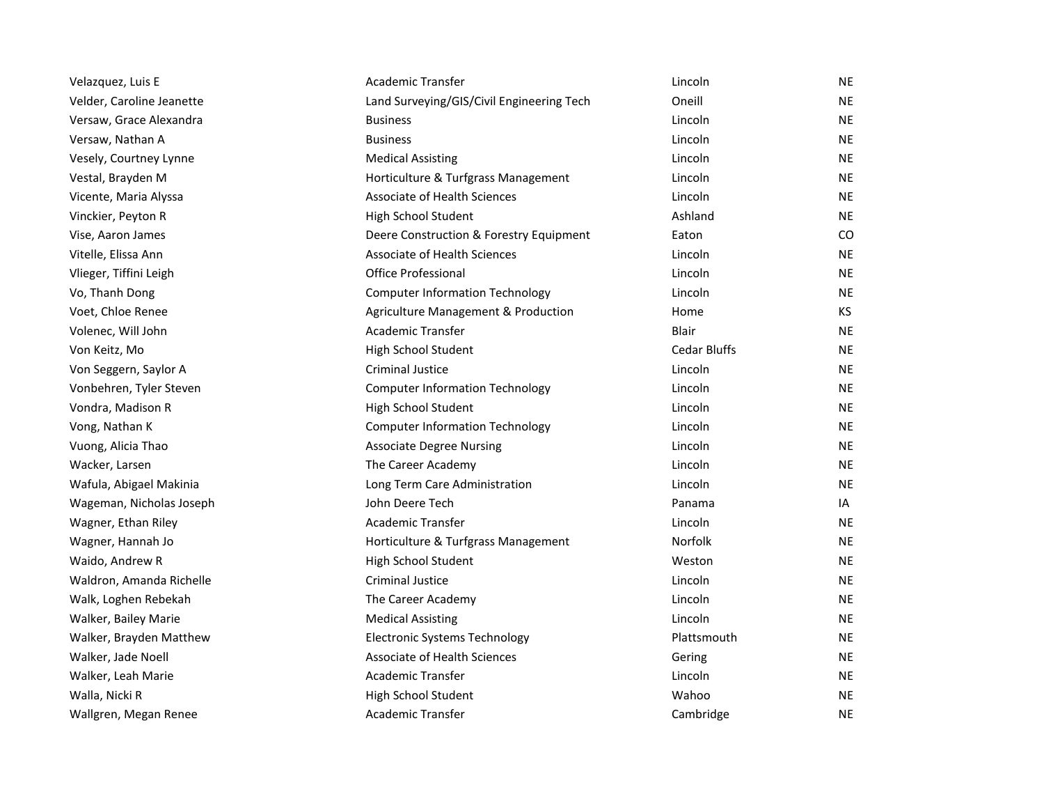| Velazquez, Luis E         | Academic Transfer                         | Lincoln             | ΝE        |
|---------------------------|-------------------------------------------|---------------------|-----------|
| Velder, Caroline Jeanette | Land Surveying/GIS/Civil Engineering Tech | Oneill              | <b>NE</b> |
| Versaw, Grace Alexandra   | <b>Business</b>                           | Lincoln             | <b>NE</b> |
| Versaw, Nathan A          | <b>Business</b>                           | Lincoln             | <b>NE</b> |
| Vesely, Courtney Lynne    | <b>Medical Assisting</b>                  | Lincoln             | <b>NE</b> |
| Vestal, Brayden M         | Horticulture & Turfgrass Management       | Lincoln             | <b>NE</b> |
| Vicente, Maria Alyssa     | <b>Associate of Health Sciences</b>       | Lincoln             | <b>NE</b> |
| Vinckier, Peyton R        | High School Student                       | Ashland             | <b>NE</b> |
| Vise, Aaron James         | Deere Construction & Forestry Equipment   | Eaton               | CO        |
| Vitelle, Elissa Ann       | Associate of Health Sciences              | Lincoln             | <b>NE</b> |
| Vlieger, Tiffini Leigh    | Office Professional                       | Lincoln             | NE        |
| Vo, Thanh Dong            | <b>Computer Information Technology</b>    | Lincoln             | <b>NE</b> |
| Voet, Chloe Renee         | Agriculture Management & Production       | Home                | KS        |
| Volenec, Will John        | Academic Transfer                         | Blair               | <b>NE</b> |
| Von Keitz, Mo             | High School Student                       | <b>Cedar Bluffs</b> | <b>NE</b> |
| Von Seggern, Saylor A     | Criminal Justice                          | Lincoln             | <b>NE</b> |
| Vonbehren, Tyler Steven   | <b>Computer Information Technology</b>    | Lincoln             | <b>NE</b> |
| Vondra, Madison R         | High School Student                       | Lincoln             | <b>NE</b> |
| Vong, Nathan K            | <b>Computer Information Technology</b>    | Lincoln             | <b>NE</b> |
| Vuong, Alicia Thao        | <b>Associate Degree Nursing</b>           | Lincoln             | <b>NE</b> |
| Wacker, Larsen            | The Career Academy                        | Lincoln             | <b>NE</b> |
| Wafula, Abigael Makinia   | Long Term Care Administration             | Lincoln             | <b>NE</b> |
| Wageman, Nicholas Joseph  | John Deere Tech                           | Panama              | IA        |
| Wagner, Ethan Riley       | Academic Transfer                         | Lincoln             | <b>NE</b> |
| Wagner, Hannah Jo         | Horticulture & Turfgrass Management       | <b>Norfolk</b>      | <b>NE</b> |
| Waido, Andrew R           | High School Student                       | Weston              | <b>NE</b> |
| Waldron, Amanda Richelle  | Criminal Justice                          | Lincoln             | NE        |
| Walk, Loghen Rebekah      | The Career Academy                        | Lincoln             | <b>NE</b> |
| Walker, Bailey Marie      | <b>Medical Assisting</b>                  | Lincoln             | NE        |
| Walker, Brayden Matthew   | <b>Electronic Systems Technology</b>      | Plattsmouth         | <b>NE</b> |
| Walker, Jade Noell        | Associate of Health Sciences              | Gering              | <b>NE</b> |
| Walker, Leah Marie        | <b>Academic Transfer</b>                  | Lincoln             | <b>NE</b> |
| Walla, Nicki R            | High School Student                       | Wahoo               | <b>NE</b> |
| Wallgren, Megan Renee     | Academic Transfer                         | Cambridge           | <b>NE</b> |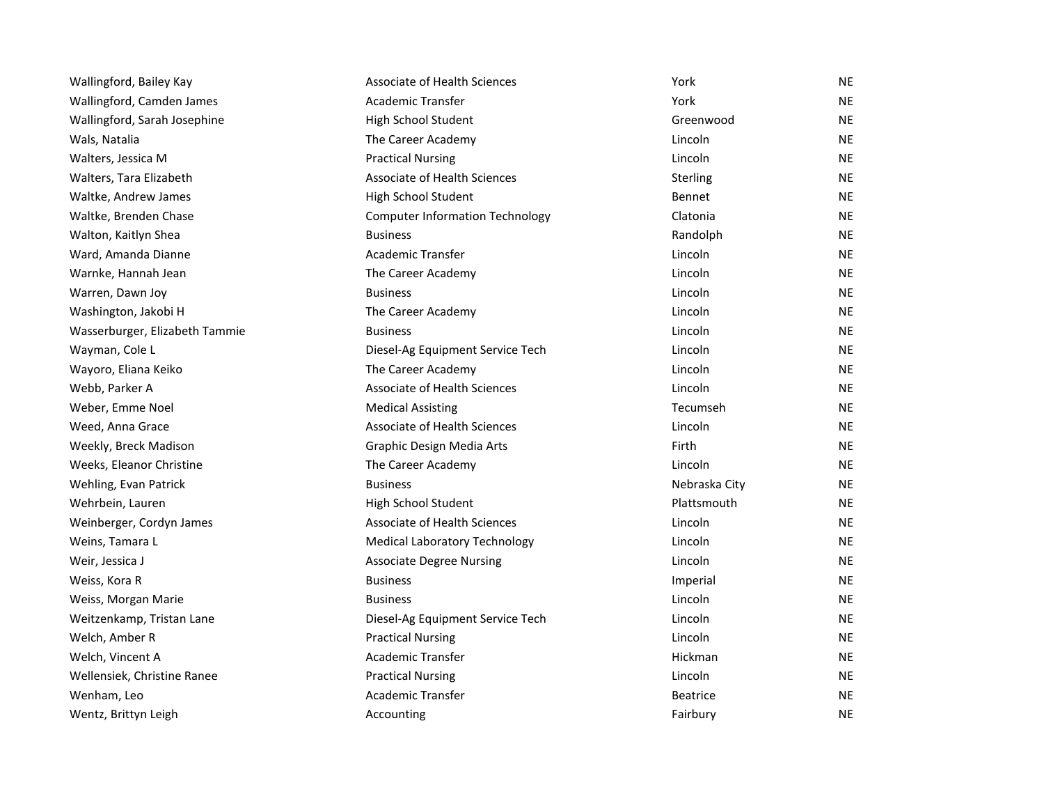| Wallingford, Bailey Kay        | <b>Associate of Health Sciences</b>    | York            | <b>NE</b> |
|--------------------------------|----------------------------------------|-----------------|-----------|
| Wallingford, Camden James      | Academic Transfer                      | York            | <b>NE</b> |
| Wallingford, Sarah Josephine   | High School Student                    | Greenwood       | <b>NE</b> |
| Wals, Natalia                  | The Career Academy                     | Lincoln         | <b>NE</b> |
| Walters, Jessica M             | <b>Practical Nursing</b>               | Lincoln         | <b>NE</b> |
| Walters, Tara Elizabeth        | Associate of Health Sciences           | Sterling        | <b>NE</b> |
| Waltke, Andrew James           | High School Student                    | Bennet          | <b>NE</b> |
| Waltke, Brenden Chase          | <b>Computer Information Technology</b> | Clatonia        | NE        |
| Walton, Kaitlyn Shea           | <b>Business</b>                        | Randolph        | <b>NE</b> |
| Ward, Amanda Dianne            | <b>Academic Transfer</b>               | Lincoln         | <b>NE</b> |
| Warnke, Hannah Jean            | The Career Academy                     | Lincoln         | <b>NE</b> |
| Warren, Dawn Joy               | <b>Business</b>                        | Lincoln         | <b>NE</b> |
| Washington, Jakobi H           | The Career Academy                     | Lincoln         | <b>NE</b> |
| Wasserburger, Elizabeth Tammie | <b>Business</b>                        | Lincoln         | <b>NE</b> |
| Wayman, Cole L                 | Diesel-Ag Equipment Service Tech       | Lincoln         | <b>NE</b> |
| Wayoro, Eliana Keiko           | The Career Academy                     | Lincoln         | <b>NE</b> |
| Webb, Parker A                 | <b>Associate of Health Sciences</b>    | Lincoln         | <b>NE</b> |
| Weber, Emme Noel               | <b>Medical Assisting</b>               | Tecumseh        | <b>NE</b> |
| Weed, Anna Grace               | <b>Associate of Health Sciences</b>    | Lincoln         | <b>NE</b> |
| Weekly, Breck Madison          | Graphic Design Media Arts              | Firth           | <b>NE</b> |
| Weeks, Eleanor Christine       | The Career Academy                     | Lincoln         | <b>NE</b> |
| Wehling, Evan Patrick          | <b>Business</b>                        | Nebraska City   | <b>NE</b> |
| Wehrbein, Lauren               | High School Student                    | Plattsmouth     | <b>NE</b> |
| Weinberger, Cordyn James       | <b>Associate of Health Sciences</b>    | Lincoln         | NE        |
| Weins, Tamara L                | <b>Medical Laboratory Technology</b>   | Lincoln         | <b>NE</b> |
| Weir, Jessica J                | <b>Associate Degree Nursing</b>        | Lincoln         | <b>NE</b> |
| Weiss, Kora R                  | <b>Business</b>                        | Imperial        | <b>NE</b> |
| Weiss, Morgan Marie            | <b>Business</b>                        | Lincoln         | <b>NE</b> |
| Weitzenkamp, Tristan Lane      | Diesel-Ag Equipment Service Tech       | Lincoln         | <b>NE</b> |
| Welch, Amber R                 | <b>Practical Nursing</b>               | Lincoln         | <b>NE</b> |
| Welch, Vincent A               | <b>Academic Transfer</b>               | Hickman         | <b>NE</b> |
| Wellensiek, Christine Ranee    | <b>Practical Nursing</b>               | Lincoln         | <b>NE</b> |
| Wenham, Leo                    | Academic Transfer                      | <b>Beatrice</b> | <b>NE</b> |
| Wentz, Brittyn Leigh           | Accounting                             | Fairbury        | <b>NE</b> |
|                                |                                        |                 |           |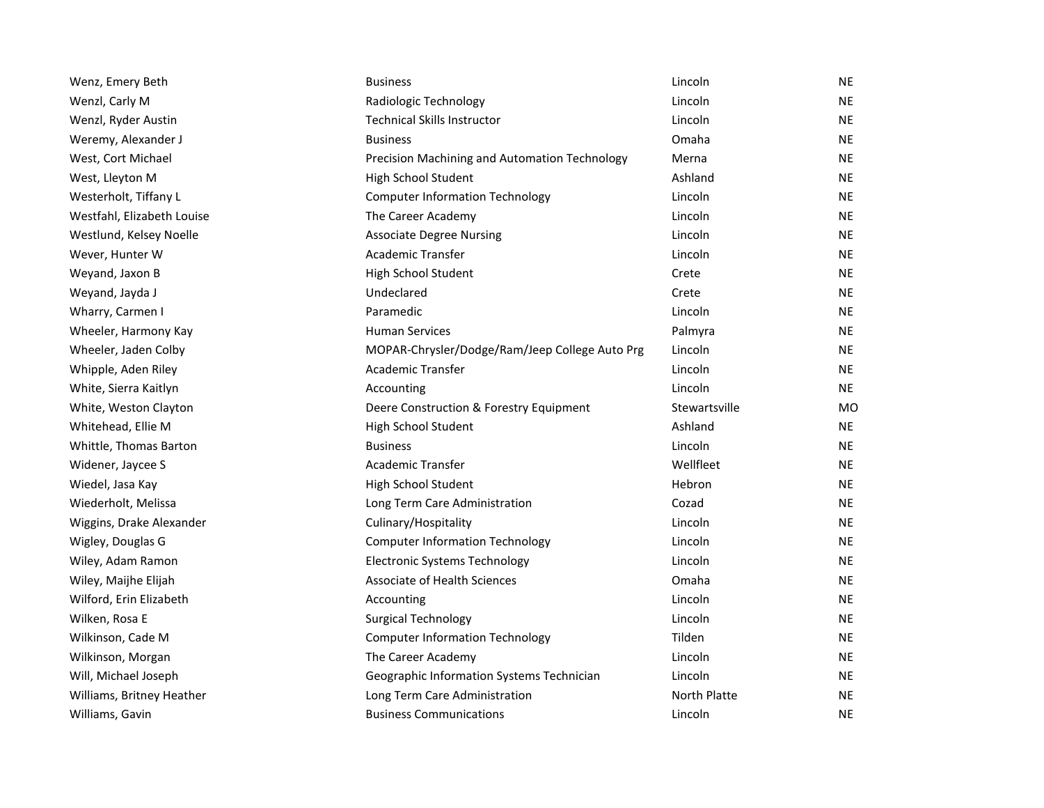| Wenz, Emery Beth           | <b>Business</b>                                | Lincoln       | NE        |
|----------------------------|------------------------------------------------|---------------|-----------|
| Wenzl, Carly M             | Radiologic Technology                          | Lincoln       | <b>NE</b> |
| Wenzl, Ryder Austin        | <b>Technical Skills Instructor</b>             | Lincoln       | <b>NE</b> |
| Weremy, Alexander J        | <b>Business</b>                                | Omaha         | NE        |
| West, Cort Michael         | Precision Machining and Automation Technology  | Merna         | <b>NE</b> |
| West, Lleyton M            | High School Student                            | Ashland       | <b>NE</b> |
| Westerholt, Tiffany L      | <b>Computer Information Technology</b>         | Lincoln       | NE        |
| Westfahl, Elizabeth Louise | The Career Academy                             | Lincoln       | <b>NE</b> |
| Westlund, Kelsey Noelle    | <b>Associate Degree Nursing</b>                | Lincoln       | <b>NE</b> |
| Wever, Hunter W            | Academic Transfer                              | Lincoln       | <b>NE</b> |
| Weyand, Jaxon B            | High School Student                            | Crete         | NE.       |
| Weyand, Jayda J            | Undeclared                                     | Crete         | NE.       |
| Wharry, Carmen I           | Paramedic                                      | Lincoln       | <b>NE</b> |
| Wheeler, Harmony Kay       | <b>Human Services</b>                          | Palmyra       | <b>NE</b> |
| Wheeler, Jaden Colby       | MOPAR-Chrysler/Dodge/Ram/Jeep College Auto Prg | Lincoln       | NE.       |
| Whipple, Aden Riley        | <b>Academic Transfer</b>                       | Lincoln       | <b>NE</b> |
| White, Sierra Kaitlyn      | Accounting                                     | Lincoln       | NE        |
| White, Weston Clayton      | Deere Construction & Forestry Equipment        | Stewartsville | MO        |
| Whitehead, Ellie M         | High School Student                            | Ashland       | NE.       |
| Whittle, Thomas Barton     | <b>Business</b>                                | Lincoln       | <b>NE</b> |
| Widener, Jaycee S          | Academic Transfer                              | Wellfleet     | NE        |
| Wiedel, Jasa Kay           | High School Student                            | Hebron        | NE.       |
| Wiederholt, Melissa        | Long Term Care Administration                  | Cozad         | <b>NE</b> |
| Wiggins, Drake Alexander   | Culinary/Hospitality                           | Lincoln       | <b>NE</b> |
| Wigley, Douglas G          | <b>Computer Information Technology</b>         | Lincoln       | <b>NE</b> |
| Wiley, Adam Ramon          | <b>Electronic Systems Technology</b>           | Lincoln       | NE.       |
| Wiley, Maijhe Elijah       | Associate of Health Sciences                   | Omaha         | <b>NE</b> |
| Wilford, Erin Elizabeth    | Accounting                                     | Lincoln       | NE        |
| Wilken, Rosa E             | <b>Surgical Technology</b>                     | Lincoln       | NE.       |
| Wilkinson, Cade M          | <b>Computer Information Technology</b>         | Tilden        | <b>NE</b> |
| Wilkinson, Morgan          | The Career Academy                             | Lincoln       | <b>NE</b> |
| Will, Michael Joseph       | Geographic Information Systems Technician      | Lincoln       | <b>NE</b> |
| Williams, Britney Heather  | Long Term Care Administration                  | North Platte  | <b>NE</b> |
| Williams, Gavin            | <b>Business Communications</b>                 | Lincoln       | <b>NE</b> |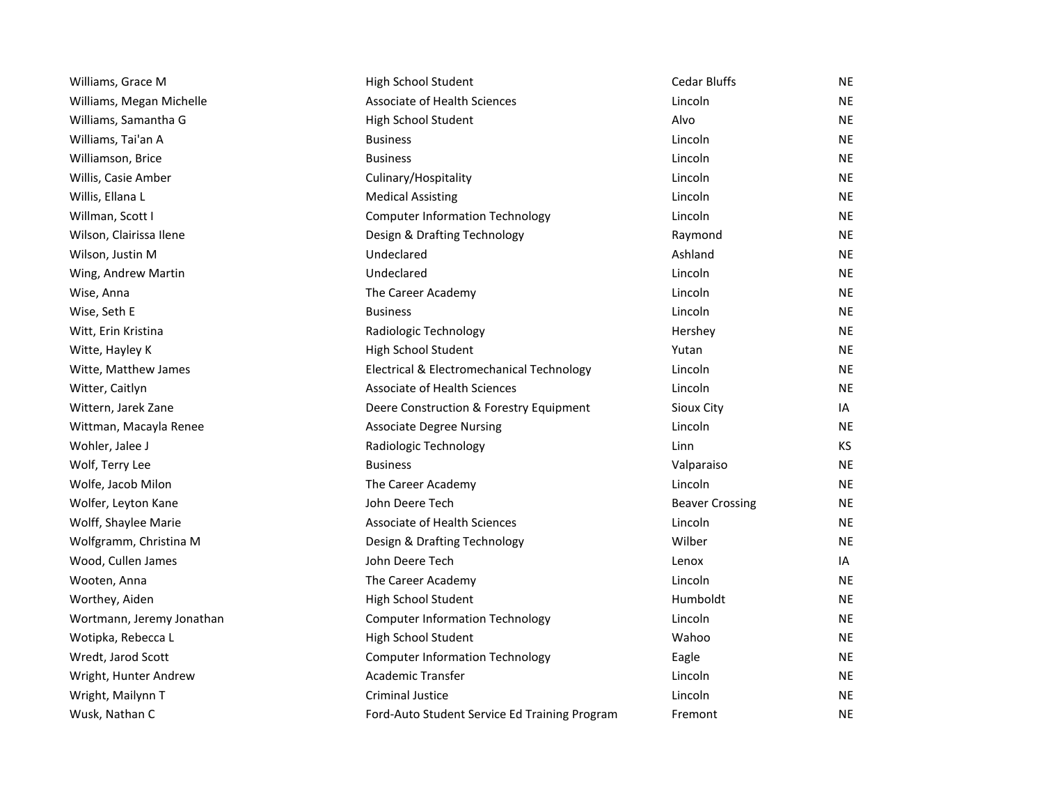| Williams, Grace M         | High School Student                           | <b>Cedar Bluffs</b>    | <b>NE</b> |
|---------------------------|-----------------------------------------------|------------------------|-----------|
| Williams, Megan Michelle  | Associate of Health Sciences                  | Lincoln                | <b>NE</b> |
| Williams, Samantha G      | High School Student                           | Alvo                   | <b>NE</b> |
| Williams, Tai'an A        | <b>Business</b>                               | Lincoln                | <b>NE</b> |
| Williamson, Brice         | <b>Business</b>                               | Lincoln                | <b>NE</b> |
| Willis, Casie Amber       | Culinary/Hospitality                          | Lincoln                | <b>NE</b> |
| Willis, Ellana L          | <b>Medical Assisting</b>                      | Lincoln                | <b>NE</b> |
| Willman, Scott I          | <b>Computer Information Technology</b>        | Lincoln                | <b>NE</b> |
| Wilson, Clairissa Ilene   | Design & Drafting Technology                  | Raymond                | <b>NE</b> |
| Wilson, Justin M          | Undeclared                                    | Ashland                | <b>NE</b> |
| Wing, Andrew Martin       | Undeclared                                    | Lincoln                | <b>NE</b> |
| Wise, Anna                | The Career Academy                            | Lincoln                | <b>NE</b> |
| Wise, Seth E              | <b>Business</b>                               | Lincoln                | <b>NE</b> |
| Witt, Erin Kristina       | Radiologic Technology                         | Hershey                | <b>NE</b> |
| Witte, Hayley K           | High School Student                           | Yutan                  | <b>NE</b> |
| Witte, Matthew James      | Electrical & Electromechanical Technology     | Lincoln                | NE        |
| Witter, Caitlyn           | <b>Associate of Health Sciences</b>           | Lincoln                | <b>NE</b> |
| Wittern, Jarek Zane       | Deere Construction & Forestry Equipment       | Sioux City             | IA        |
| Wittman, Macayla Renee    | <b>Associate Degree Nursing</b>               | Lincoln                | <b>NE</b> |
| Wohler, Jalee J           | Radiologic Technology                         | Linn                   | KS.       |
| Wolf, Terry Lee           | <b>Business</b>                               | Valparaiso             | <b>NE</b> |
| Wolfe, Jacob Milon        | The Career Academy                            | Lincoln                | <b>NE</b> |
| Wolfer, Leyton Kane       | John Deere Tech                               | <b>Beaver Crossing</b> | <b>NE</b> |
| Wolff, Shaylee Marie      | <b>Associate of Health Sciences</b>           | Lincoln                | <b>NE</b> |
| Wolfgramm, Christina M    | Design & Drafting Technology                  | Wilber                 | <b>NE</b> |
| Wood, Cullen James        | John Deere Tech                               | Lenox                  | IA        |
| Wooten, Anna              | The Career Academy                            | Lincoln                | <b>NE</b> |
| Worthey, Aiden            | High School Student                           | Humboldt               | <b>NE</b> |
| Wortmann, Jeremy Jonathan | <b>Computer Information Technology</b>        | Lincoln                | <b>NE</b> |
| Wotipka, Rebecca L        | High School Student                           | Wahoo                  | <b>NE</b> |
| Wredt, Jarod Scott        | <b>Computer Information Technology</b>        | Eagle                  | <b>NE</b> |
| Wright, Hunter Andrew     | Academic Transfer                             | Lincoln                | NE        |
| Wright, Mailynn T         | <b>Criminal Justice</b>                       | Lincoln                | <b>NE</b> |
| Wusk, Nathan C            | Ford-Auto Student Service Ed Training Program | Fremont                | <b>NE</b> |